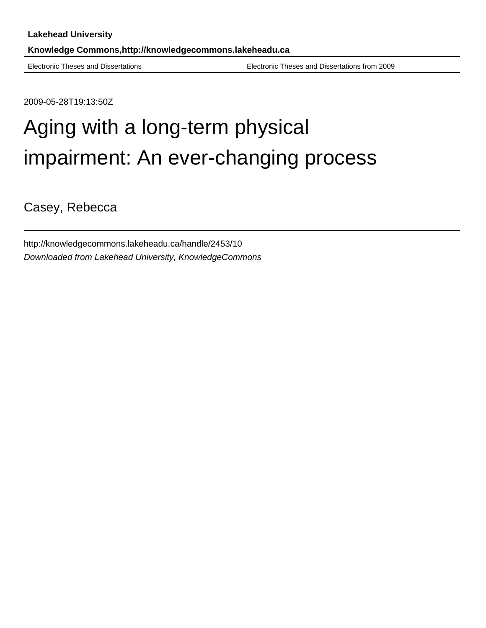Electronic Theses and Dissertations Electronic Theses and Dissertations from 2009

2009-05-28T19:13:50Z

# Aging with a long-term physical impairment: An ever-changing process

Casey, Rebecca

http://knowledgecommons.lakeheadu.ca/handle/2453/10 Downloaded from Lakehead University, KnowledgeCommons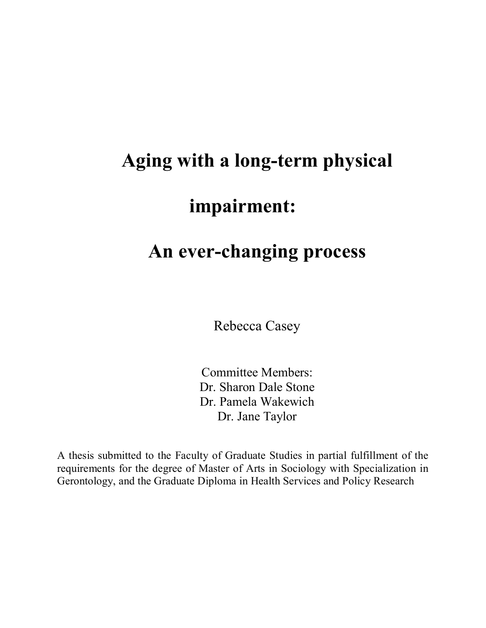# **Aging with a long-term physical impairment:**

## **An ever-changing process**

Rebecca Casey

Committee Members: Dr. Sharon Dale Stone Dr. Pamela Wakewich Dr. Jane Taylor

A thesis submitted to the Faculty of Graduate Studies in partial fulfillment of the requirements for the degree of Master of Arts in Sociology with Specialization in Gerontology, and the Graduate Diploma in Health Services and Policy Research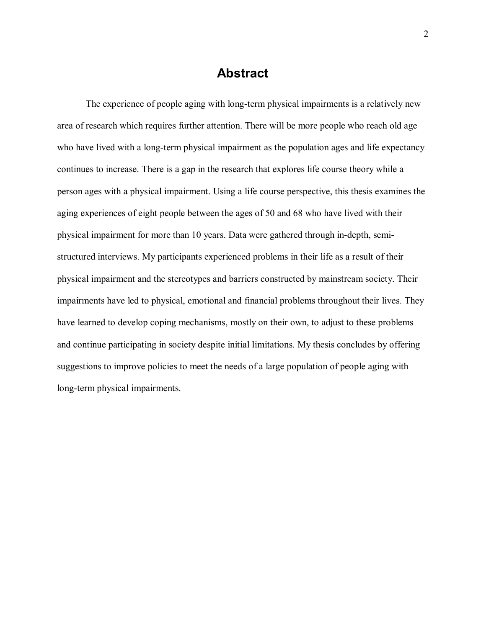## **Abstract**

The experience of people aging with long-term physical impairments is a relatively new area of research which requires further attention. There will be more people who reach old age who have lived with a long-term physical impairment as the population ages and life expectancy continues to increase. There is a gap in the research that explores life course theory while a person ages with a physical impairment. Using a life course perspective, this thesis examines the aging experiences of eight people between the ages of 50 and 68 who have lived with their physical impairment for more than 10 years. Data were gathered through in-depth, semistructured interviews. My participants experienced problems in their life as a result of their physical impairment and the stereotypes and barriers constructed by mainstream society. Their impairments have led to physical, emotional and financial problems throughout their lives. They have learned to develop coping mechanisms, mostly on their own, to adjust to these problems and continue participating in society despite initial limitations. My thesis concludes by offering suggestions to improve policies to meet the needs of a large population of people aging with long-term physical impairments.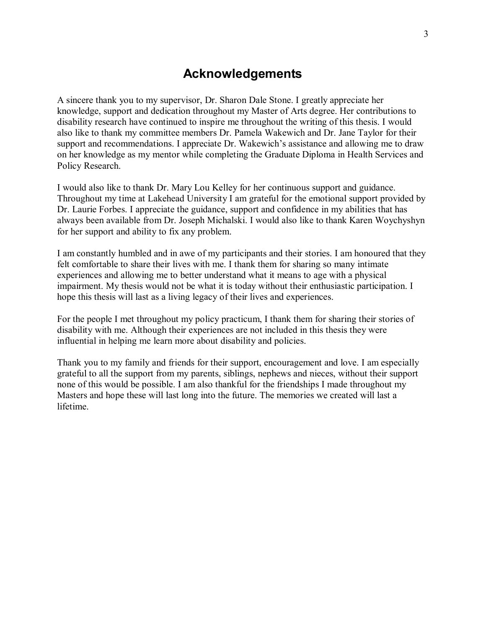## **Acknowledgements**

A sincere thank you to my supervisor, Dr. Sharon Dale Stone. I greatly appreciate her knowledge, support and dedication throughout my Master of Arts degree. Her contributions to disability research have continued to inspire me throughout the writing of this thesis. I would also like to thank my committee members Dr. Pamela Wakewich and Dr. Jane Taylor for their support and recommendations. I appreciate Dr. Wakewich's assistance and allowing me to draw on her knowledge as my mentor while completing the Graduate Diploma in Health Services and Policy Research.

I would also like to thank Dr. Mary Lou Kelley for her continuous support and guidance. Throughout my time at Lakehead University I am grateful for the emotional support provided by Dr. Laurie Forbes. I appreciate the guidance, support and confidence in my abilities that has always been available from Dr. Joseph Michalski. I would also like to thank Karen Woychyshyn for her support and ability to fix any problem.

I am constantly humbled and in awe of my participants and their stories. I am honoured that they felt comfortable to share their lives with me. I thank them for sharing so many intimate experiences and allowing me to better understand what it means to age with a physical impairment. My thesis would not be what it is today without their enthusiastic participation. I hope this thesis will last as a living legacy of their lives and experiences.

For the people I met throughout my policy practicum, I thank them for sharing their stories of disability with me. Although their experiences are not included in this thesis they were influential in helping me learn more about disability and policies.

Thank you to my family and friends for their support, encouragement and love. I am especially grateful to all the support from my parents, siblings, nephews and nieces, without their support none of this would be possible. I am also thankful for the friendships I made throughout my Masters and hope these will last long into the future. The memories we created will last a lifetime.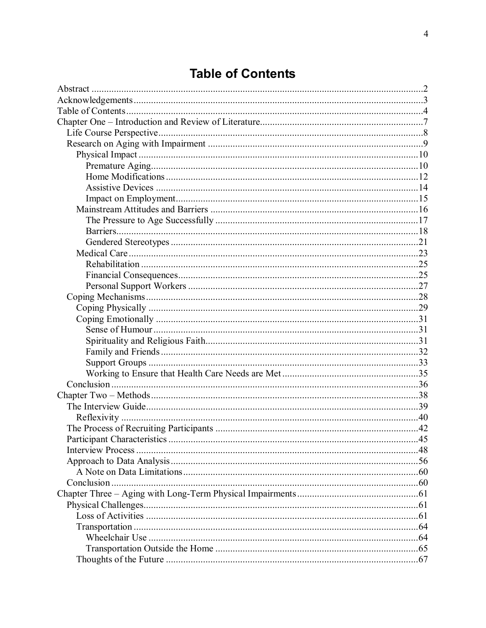## **Table of Contents**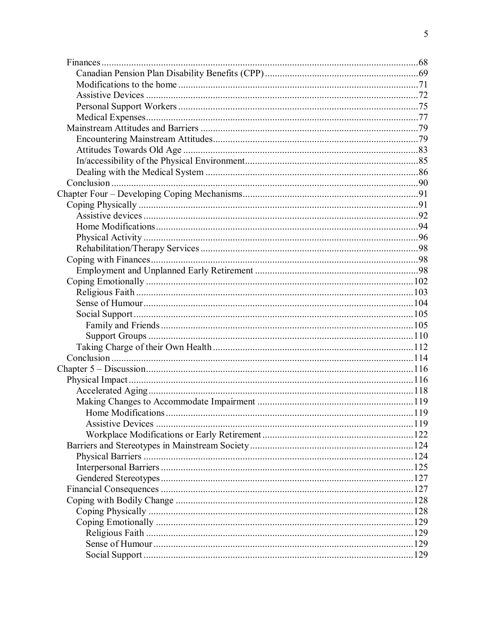| Home Modifications | 119 |
|--------------------|-----|
|                    |     |
|                    |     |
|                    |     |
|                    |     |
|                    |     |
|                    |     |
|                    |     |
|                    |     |
|                    |     |
|                    |     |
|                    |     |
|                    |     |
|                    |     |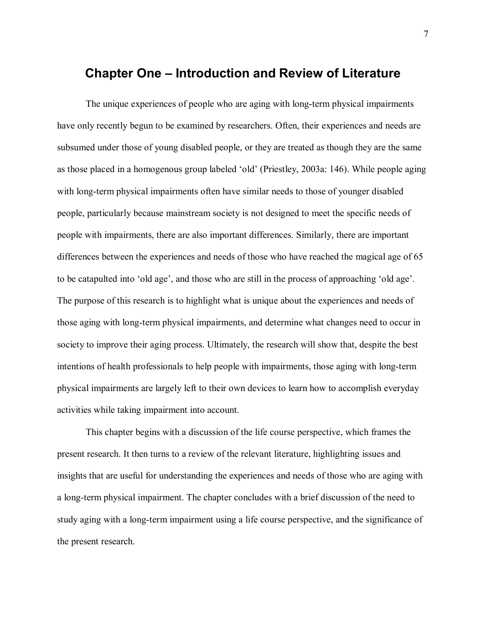## **Chapter One – Introduction and Review of Literature**

The unique experiences of people who are aging with long-term physical impairments have only recently begun to be examined by researchers. Often, their experiences and needs are subsumed under those of young disabled people, or they are treated as though they are the same as those placed in a homogenous group labeled 'old' (Priestley, 2003a: 146). While people aging with long-term physical impairments often have similar needs to those of younger disabled people, particularly because mainstream society is not designed to meet the specific needs of people with impairments, there are also important differences. Similarly, there are important differences between the experiences and needs of those who have reached the magical age of 65 to be catapulted into 'old age', and those who are still in the process of approaching 'old age'. The purpose of this research is to highlight what is unique about the experiences and needs of those aging with long-term physical impairments, and determine what changes need to occur in society to improve their aging process. Ultimately, the research will show that, despite the best intentions of health professionals to help people with impairments, those aging with long-term physical impairments are largely left to their own devices to learn how to accomplish everyday activities while taking impairment into account.

This chapter begins with a discussion of the life course perspective, which frames the present research. It then turns to a review of the relevant literature, highlighting issues and insights that are useful for understanding the experiences and needs of those who are aging with a long-term physical impairment. The chapter concludes with a brief discussion of the need to study aging with a long-term impairment using a life course perspective, and the significance of the present research.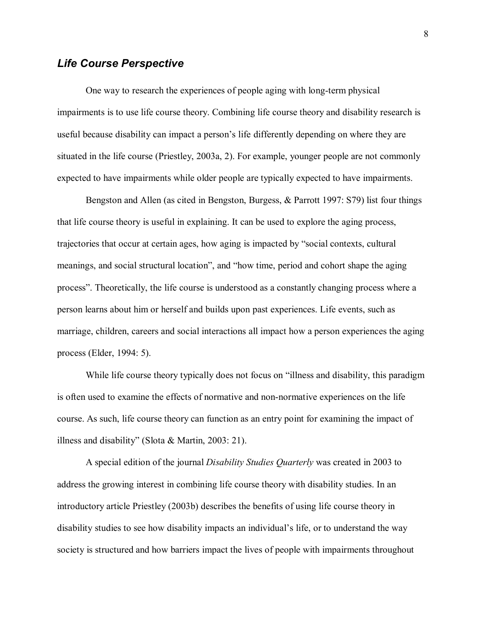### *Life Course Perspective*

One way to research the experiences of people aging with long-term physical impairments is to use life course theory. Combining life course theory and disability research is useful because disability can impact a person's life differently depending on where they are situated in the life course (Priestley, 2003a, 2). For example, younger people are not commonly expected to have impairments while older people are typically expected to have impairments.

Bengston and Allen (as cited in Bengston, Burgess, & Parrott 1997: S79) list four things that life course theory is useful in explaining. It can be used to explore the aging process, trajectories that occur at certain ages, how aging is impacted by "social contexts, cultural meanings, and social structural location", and "how time, period and cohort shape the aging process". Theoretically, the life course is understood as a constantly changing process where a person learns about him or herself and builds upon past experiences. Life events, such as marriage, children, careers and social interactions all impact how a person experiences the aging process (Elder, 1994: 5).

While life course theory typically does not focus on "illness and disability, this paradigm is often used to examine the effects of normative and non-normative experiences on the life course. As such, life course theory can function as an entry point for examining the impact of illness and disability" (Slota & Martin, 2003: 21).

A special edition of the journal *Disability Studies Quarterly* was created in 2003 to address the growing interest in combining life course theory with disability studies. In an introductory article Priestley (2003b) describes the benefits of using life course theory in disability studies to see how disability impacts an individual's life, or to understand the way society is structured and how barriers impact the lives of people with impairments throughout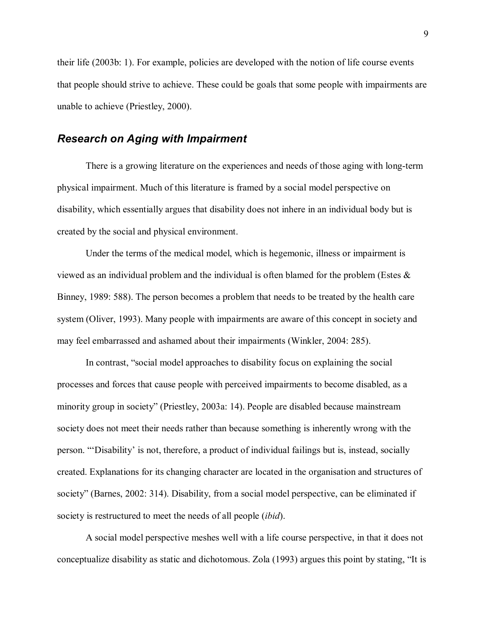their life (2003b: 1). For example, policies are developed with the notion of life course events that people should strive to achieve. These could be goals that some people with impairments are unable to achieve (Priestley, 2000).

## *Research on Aging with Impairment*

There is a growing literature on the experiences and needs of those aging with long-term physical impairment. Much of this literature is framed by a social model perspective on disability, which essentially argues that disability does not inhere in an individual body but is created by the social and physical environment.

Under the terms of the medical model, which is hegemonic, illness or impairment is viewed as an individual problem and the individual is often blamed for the problem (Estes  $\&$ Binney, 1989: 588). The person becomes a problem that needs to be treated by the health care system (Oliver, 1993). Many people with impairments are aware of this concept in society and may feel embarrassed and ashamed about their impairments (Winkler, 2004: 285).

In contrast, "social model approaches to disability focus on explaining the social processes and forces that cause people with perceived impairments to become disabled, as a minority group in society" (Priestley, 2003a: 14). People are disabled because mainstream society does not meet their needs rather than because something is inherently wrong with the person. "Disability' is not, therefore, a product of individual failings but is, instead, socially created. Explanations for its changing character are located in the organisation and structures of society" (Barnes, 2002: 314). Disability, from a social model perspective, can be eliminated if society is restructured to meet the needs of all people (*ibid*).

A social model perspective meshes well with a life course perspective, in that it does not conceptualize disability as static and dichotomous. Zola (1993) argues this point by stating, "It is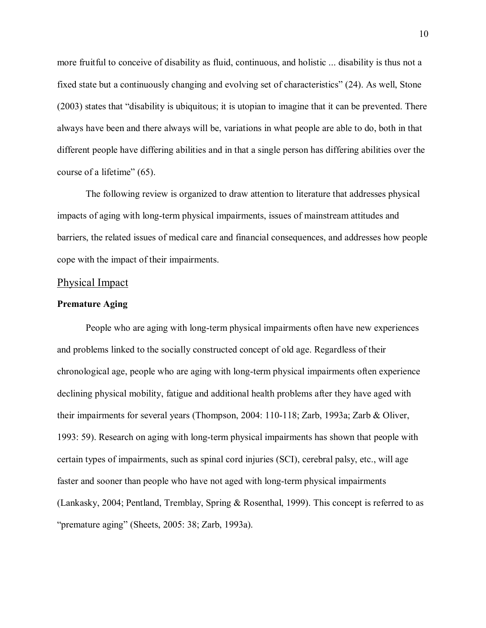more fruitful to conceive of disability as fluid, continuous, and holistic ... disability is thus not a fixed state but a continuously changing and evolving set of characteristics" (24). As well, Stone  $(2003)$  states that "disability is ubiquitous; it is utopian to imagine that it can be prevented. There always have been and there always will be, variations in what people are able to do, both in that different people have differing abilities and in that a single person has differing abilities over the course of a lifetime"  $(65)$ .

The following review is organized to draw attention to literature that addresses physical impacts of aging with long-term physical impairments, issues of mainstream attitudes and barriers, the related issues of medical care and financial consequences, and addresses how people cope with the impact of their impairments.

#### Physical Impact

#### **Premature Aging**

People who are aging with long-term physical impairments often have new experiences and problems linked to the socially constructed concept of old age. Regardless of their chronological age, people who are aging with long-term physical impairments often experience declining physical mobility, fatigue and additional health problems after they have aged with their impairments for several years (Thompson, 2004: 110-118; Zarb, 1993a; Zarb & Oliver, 1993: 59). Research on aging with long-term physical impairments has shown that people with certain types of impairments, such as spinal cord injuries (SCI), cerebral palsy, etc., will age faster and sooner than people who have not aged with long-term physical impairments (Lankasky, 2004; Pentland, Tremblay, Spring & Rosenthal, 1999). This concept is referred to as "premature aging" (Sheets,  $2005: 38$ ; Zarb, 1993a).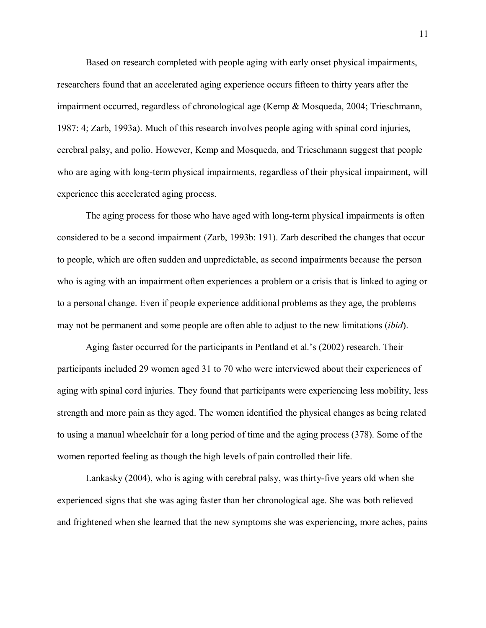Based on research completed with people aging with early onset physical impairments, researchers found that an accelerated aging experience occurs fifteen to thirty years after the impairment occurred, regardless of chronological age (Kemp & Mosqueda, 2004; Trieschmann, 1987: 4; Zarb, 1993a). Much of this research involves people aging with spinal cord injuries, cerebral palsy, and polio. However, Kemp and Mosqueda, and Trieschmann suggest that people who are aging with long-term physical impairments, regardless of their physical impairment, will experience this accelerated aging process.

The aging process for those who have aged with long-term physical impairments is often considered to be a second impairment (Zarb, 1993b: 191). Zarb described the changes that occur to people, which are often sudden and unpredictable, as second impairments because the person who is aging with an impairment often experiences a problem or a crisis that is linked to aging or to a personal change. Even if people experience additional problems as they age, the problems may not be permanent and some people are often able to adjust to the new limitations (*ibid*).

Aging faster occurred for the participants in Pentland et al.'s  $(2002)$  research. Their participants included 29 women aged 31 to 70 who were interviewed about their experiences of aging with spinal cord injuries. They found that participants were experiencing less mobility, less strength and more pain as they aged. The women identified the physical changes as being related to using a manual wheelchair for a long period of time and the aging process (378). Some of the women reported feeling as though the high levels of pain controlled their life.

Lankasky (2004), who is aging with cerebral palsy, was thirty-five years old when she experienced signs that she was aging faster than her chronological age. She was both relieved and frightened when she learned that the new symptoms she was experiencing, more aches, pains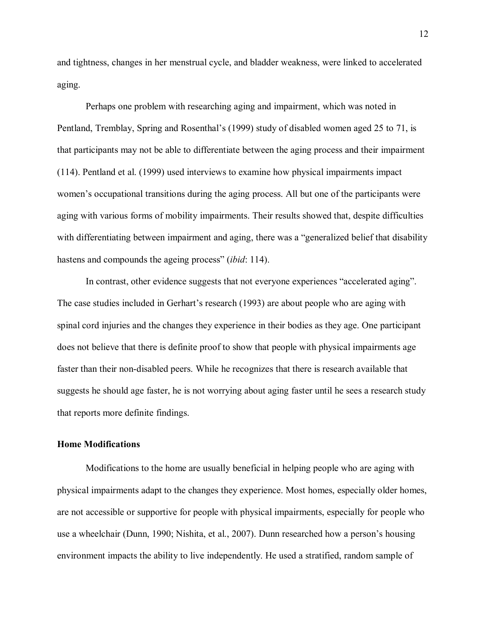and tightness, changes in her menstrual cycle, and bladder weakness, were linked to accelerated aging.

Perhaps one problem with researching aging and impairment, which was noted in Pentland, Tremblay, Spring and Rosenthal's (1999) study of disabled women aged 25 to 71, is that participants may not be able to differentiate between the aging process and their impairment (114). Pentland et al. (1999) used interviews to examine how physical impairments impact women's occupational transitions during the aging process. All but one of the participants were aging with various forms of mobility impairments. Their results showed that, despite difficulties with differentiating between impairment and aging, there was a "generalized belief that disability" hastens and compounds the ageing process" *(ibid: 114)*.

In contrast, other evidence suggests that not everyone experiences "accelerated aging". The case studies included in Gerhart's research (1993) are about people who are aging with spinal cord injuries and the changes they experience in their bodies as they age. One participant does not believe that there is definite proof to show that people with physical impairments age faster than their non-disabled peers. While he recognizes that there is research available that suggests he should age faster, he is not worrying about aging faster until he sees a research study that reports more definite findings.

#### **Home Modifications**

Modifications to the home are usually beneficial in helping people who are aging with physical impairments adapt to the changes they experience. Most homes, especially older homes, are not accessible or supportive for people with physical impairments, especially for people who use a wheelchair (Dunn, 1990; Nishita, et al., 2007). Dunn researched how a person's housing environment impacts the ability to live independently. He used a stratified, random sample of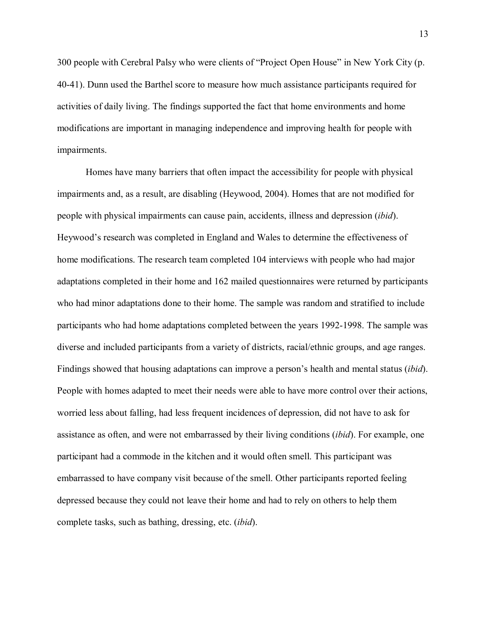300 people with Cerebral Palsy who were clients of "Project Open House" in New York City (p. 40-41). Dunn used the Barthel score to measure how much assistance participants required for activities of daily living. The findings supported the fact that home environments and home modifications are important in managing independence and improving health for people with impairments.

Homes have many barriers that often impact the accessibility for people with physical impairments and, as a result, are disabling (Heywood, 2004). Homes that are not modified for people with physical impairments can cause pain, accidents, illness and depression (*ibid*). Heywood's research was completed in England and Wales to determine the effectiveness of home modifications. The research team completed 104 interviews with people who had major adaptations completed in their home and 162 mailed questionnaires were returned by participants who had minor adaptations done to their home. The sample was random and stratified to include participants who had home adaptations completed between the years 1992-1998. The sample was diverse and included participants from a variety of districts, racial/ethnic groups, and age ranges. Findings showed that housing adaptations can improve a person's health and mental status *(ibid)*. People with homes adapted to meet their needs were able to have more control over their actions, worried less about falling, had less frequent incidences of depression, did not have to ask for assistance as often, and were not embarrassed by their living conditions (*ibid*). For example, one participant had a commode in the kitchen and it would often smell. This participant was embarrassed to have company visit because of the smell. Other participants reported feeling depressed because they could not leave their home and had to rely on others to help them complete tasks, such as bathing, dressing, etc. (*ibid*).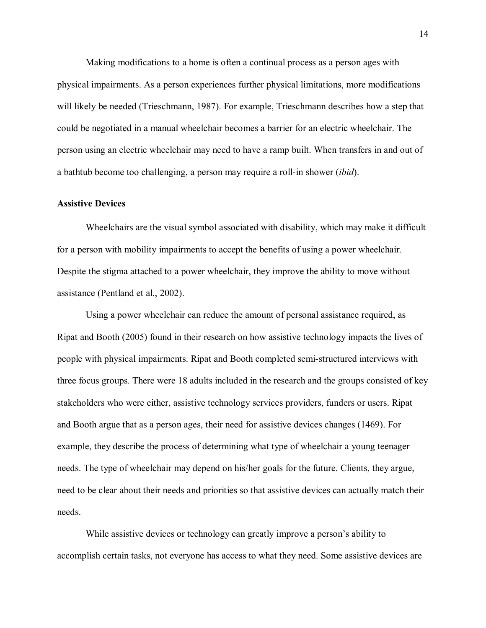Making modifications to a home is often a continual process as a person ages with physical impairments. As a person experiences further physical limitations, more modifications will likely be needed (Trieschmann, 1987). For example, Trieschmann describes how a step that could be negotiated in a manual wheelchair becomes a barrier for an electric wheelchair. The person using an electric wheelchair may need to have a ramp built. When transfers in and out of a bathtub become too challenging, a person may require a roll-in shower (*ibid*).

#### **Assistive Devices**

Wheelchairs are the visual symbol associated with disability, which may make it difficult for a person with mobility impairments to accept the benefits of using a power wheelchair. Despite the stigma attached to a power wheelchair, they improve the ability to move without assistance (Pentland et al., 2002).

Using a power wheelchair can reduce the amount of personal assistance required, as Ripat and Booth (2005) found in their research on how assistive technology impacts the lives of people with physical impairments. Ripat and Booth completed semi-structured interviews with three focus groups. There were 18 adults included in the research and the groups consisted of key stakeholders who were either, assistive technology services providers, funders or users. Ripat and Booth argue that as a person ages, their need for assistive devices changes (1469). For example, they describe the process of determining what type of wheelchair a young teenager needs. The type of wheelchair may depend on his/her goals for the future. Clients, they argue, need to be clear about their needs and priorities so that assistive devices can actually match their needs.

While assistive devices or technology can greatly improve a person's ability to accomplish certain tasks, not everyone has access to what they need. Some assistive devices are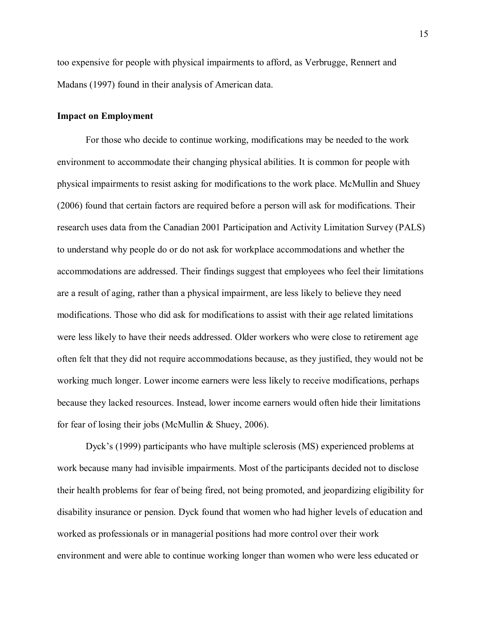too expensive for people with physical impairments to afford, as Verbrugge, Rennert and Madans (1997) found in their analysis of American data.

#### **Impact on Employment**

For those who decide to continue working, modifications may be needed to the work environment to accommodate their changing physical abilities. It is common for people with physical impairments to resist asking for modifications to the work place. McMullin and Shuey (2006) found that certain factors are required before a person will ask for modifications. Their research uses data from the Canadian 2001 Participation and Activity Limitation Survey (PALS) to understand why people do or do not ask for workplace accommodations and whether the accommodations are addressed. Their findings suggest that employees who feel their limitations are a result of aging, rather than a physical impairment, are less likely to believe they need modifications. Those who did ask for modifications to assist with their age related limitations were less likely to have their needs addressed. Older workers who were close to retirement age often felt that they did not require accommodations because, as they justified, they would not be working much longer. Lower income earners were less likely to receive modifications, perhaps because they lacked resources. Instead, lower income earners would often hide their limitations for fear of losing their jobs (McMullin & Shuey, 2006).

Dyck's (1999) participants who have multiple sclerosis (MS) experienced problems at work because many had invisible impairments. Most of the participants decided not to disclose their health problems for fear of being fired, not being promoted, and jeopardizing eligibility for disability insurance or pension. Dyck found that women who had higher levels of education and worked as professionals or in managerial positions had more control over their work environment and were able to continue working longer than women who were less educated or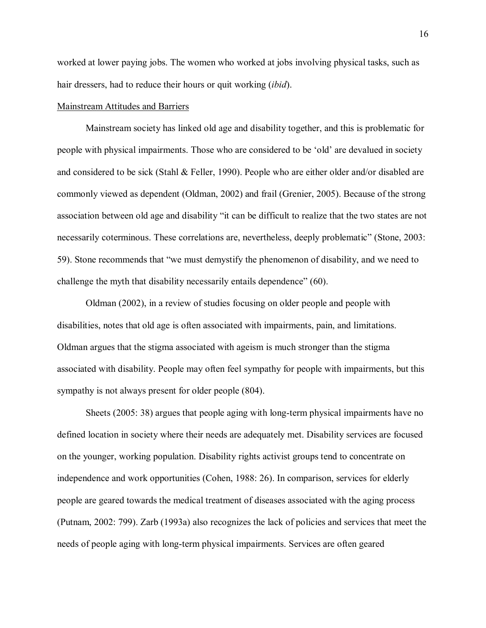worked at lower paying jobs. The women who worked at jobs involving physical tasks, such as hair dressers, had to reduce their hours or quit working (*ibid*).

#### Mainstream Attitudes and Barriers

Mainstream society has linked old age and disability together, and this is problematic for people with physical impairments. Those who are considered to be 'old' are devalued in society and considered to be sick (Stahl & Feller, 1990). People who are either older and/or disabled are commonly viewed as dependent (Oldman, 2002) and frail (Grenier, 2005). Because of the strong association between old age and disability "it can be difficult to realize that the two states are not necessarily coterminous. These correlations are, nevertheless, deeply problematic" (Stone, 2003: 59). Stone recommends that "we must demystify the phenomenon of disability, and we need to challenge the myth that disability necessarily entails dependence"  $(60)$ .

Oldman (2002), in a review of studies focusing on older people and people with disabilities, notes that old age is often associated with impairments, pain, and limitations. Oldman argues that the stigma associated with ageism is much stronger than the stigma associated with disability. People may often feel sympathy for people with impairments, but this sympathy is not always present for older people (804).

Sheets (2005: 38) argues that people aging with long-term physical impairments have no defined location in society where their needs are adequately met. Disability services are focused on the younger, working population. Disability rights activist groups tend to concentrate on independence and work opportunities (Cohen, 1988: 26). In comparison, services for elderly people are geared towards the medical treatment of diseases associated with the aging process (Putnam, 2002: 799). Zarb (1993a) also recognizes the lack of policies and services that meet the needs of people aging with long-term physical impairments. Services are often geared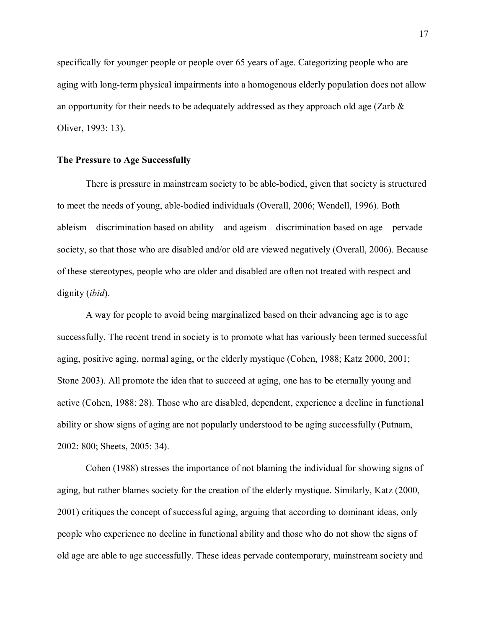specifically for younger people or people over 65 years of age. Categorizing people who are aging with long-term physical impairments into a homogenous elderly population does not allow an opportunity for their needs to be adequately addressed as they approach old age (Zarb  $\&$ Oliver, 1993: 13).

#### **The Pressure to Age Successfully**

There is pressure in mainstream society to be able-bodied, given that society is structured to meet the needs of young, able-bodied individuals (Overall, 2006; Wendell, 1996). Both ableism  $-$  discrimination based on ability  $-$  and ageism  $-$  discrimination based on age  $-$  pervade society, so that those who are disabled and/or old are viewed negatively (Overall, 2006). Because of these stereotypes, people who are older and disabled are often not treated with respect and dignity (*ibid*).

A way for people to avoid being marginalized based on their advancing age is to age successfully. The recent trend in society is to promote what has variously been termed successful aging, positive aging, normal aging, or the elderly mystique (Cohen, 1988; Katz 2000, 2001; Stone 2003). All promote the idea that to succeed at aging, one has to be eternally young and active (Cohen, 1988: 28). Those who are disabled, dependent, experience a decline in functional ability or show signs of aging are not popularly understood to be aging successfully (Putnam, 2002: 800; Sheets, 2005: 34).

Cohen (1988) stresses the importance of not blaming the individual for showing signs of aging, but rather blames society for the creation of the elderly mystique. Similarly, Katz (2000, 2001) critiques the concept of successful aging, arguing that according to dominant ideas, only people who experience no decline in functional ability and those who do not show the signs of old age are able to age successfully. These ideas pervade contemporary, mainstream society and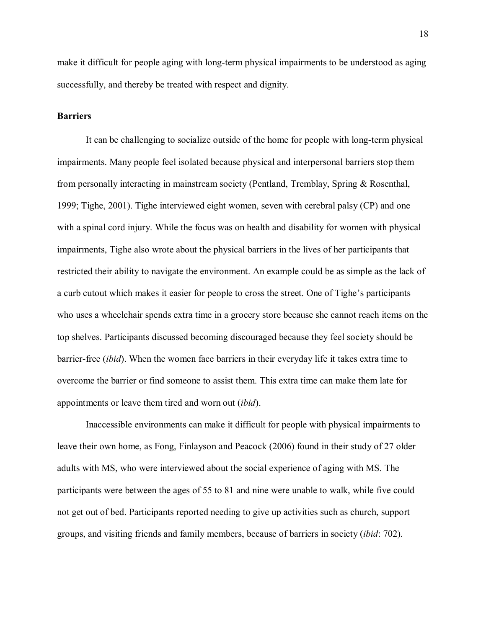make it difficult for people aging with long-term physical impairments to be understood as aging successfully, and thereby be treated with respect and dignity.

#### **Barriers**

It can be challenging to socialize outside of the home for people with long-term physical impairments. Many people feel isolated because physical and interpersonal barriers stop them from personally interacting in mainstream society (Pentland, Tremblay, Spring & Rosenthal, 1999; Tighe, 2001). Tighe interviewed eight women, seven with cerebral palsy (CP) and one with a spinal cord injury. While the focus was on health and disability for women with physical impairments, Tighe also wrote about the physical barriers in the lives of her participants that restricted their ability to navigate the environment. An example could be as simple as the lack of a curb cutout which makes it easier for people to cross the street. One of Tighe's participants who uses a wheelchair spends extra time in a grocery store because she cannot reach items on the top shelves. Participants discussed becoming discouraged because they feel society should be barrier-free (*ibid*). When the women face barriers in their everyday life it takes extra time to overcome the barrier or find someone to assist them. This extra time can make them late for appointments or leave them tired and worn out (*ibid*).

Inaccessible environments can make it difficult for people with physical impairments to leave their own home, as Fong, Finlayson and Peacock (2006) found in their study of 27 older adults with MS, who were interviewed about the social experience of aging with MS. The participants were between the ages of 55 to 81 and nine were unable to walk, while five could not get out of bed. Participants reported needing to give up activities such as church, support groups, and visiting friends and family members, because of barriers in society (*ibid*: 702).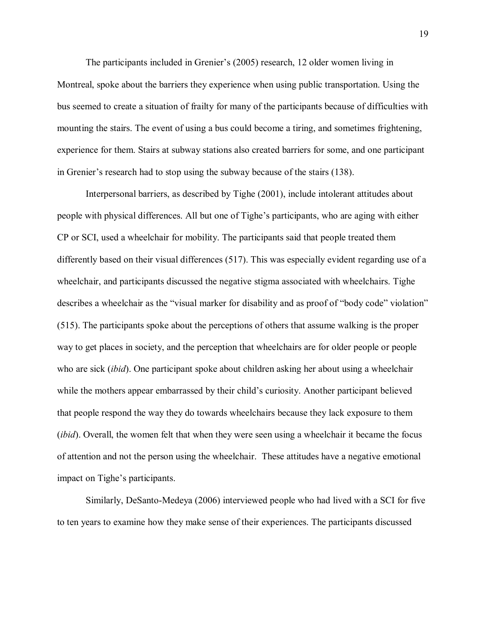The participants included in Grenier's  $(2005)$  research, 12 older women living in Montreal, spoke about the barriers they experience when using public transportation. Using the bus seemed to create a situation of frailty for many of the participants because of difficulties with mounting the stairs. The event of using a bus could become a tiring, and sometimes frightening, experience for them. Stairs at subway stations also created barriers for some, and one participant in Grenier's research had to stop using the subway because of the stairs  $(138)$ .

Interpersonal barriers, as described by Tighe (2001), include intolerant attitudes about people with physical differences. All but one of Tighe's participants, who are aging with either CP or SCI, used a wheelchair for mobility. The participants said that people treated them differently based on their visual differences (517). This was especially evident regarding use of a wheelchair, and participants discussed the negative stigma associated with wheelchairs. Tighe describes a wheelchair as the "visual marker for disability and as proof of "body code" violation" (515). The participants spoke about the perceptions of others that assume walking is the proper way to get places in society, and the perception that wheelchairs are for older people or people who are sick (*ibid*). One participant spoke about children asking her about using a wheelchair while the mothers appear embarrassed by their child's curiosity. Another participant believed that people respond the way they do towards wheelchairs because they lack exposure to them (*ibid*). Overall, the women felt that when they were seen using a wheelchair it became the focus of attention and not the person using the wheelchair. These attitudes have a negative emotional impact on Tighe's participants.

Similarly, DeSanto-Medeya (2006) interviewed people who had lived with a SCI for five to ten years to examine how they make sense of their experiences. The participants discussed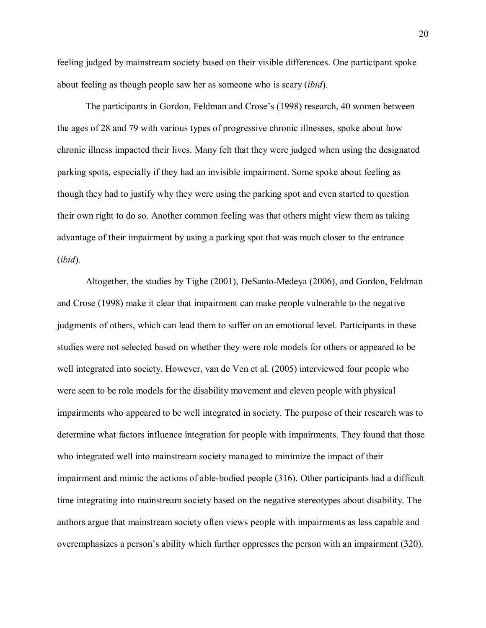feeling judged by mainstream society based on their visible differences. One participant spoke about feeling as though people saw her as someone who is scary (*ibid*).

The participants in Gordon, Feldman and Crose's (1998) research, 40 women between the ages of 28 and 79 with various types of progressive chronic illnesses, spoke about how chronic illness impacted their lives. Many felt that they were judged when using the designated parking spots, especially if they had an invisible impairment. Some spoke about feeling as though they had to justify why they were using the parking spot and even started to question their own right to do so. Another common feeling was that others might view them as taking advantage of their impairment by using a parking spot that was much closer to the entrance (*ibid*).

Altogether, the studies by Tighe (2001), DeSanto-Medeya (2006), and Gordon, Feldman and Crose (1998) make it clear that impairment can make people vulnerable to the negative judgments of others, which can lead them to suffer on an emotional level. Participants in these studies were not selected based on whether they were role models for others or appeared to be well integrated into society. However, van de Ven et al. (2005) interviewed four people who were seen to be role models for the disability movement and eleven people with physical impairments who appeared to be well integrated in society. The purpose of their research was to determine what factors influence integration for people with impairments. They found that those who integrated well into mainstream society managed to minimize the impact of their impairment and mimic the actions of able-bodied people (316). Other participants had a difficult time integrating into mainstream society based on the negative stereotypes about disability. The authors argue that mainstream society often views people with impairments as less capable and overemphasizes a person's ability which further oppresses the person with an impairment (320).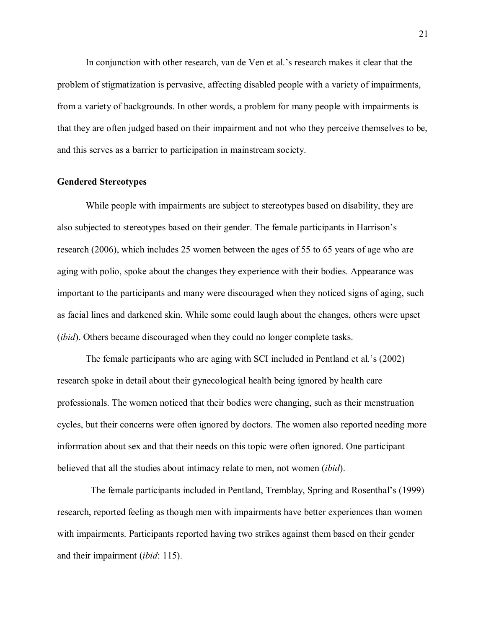In conjunction with other research, van de Ven et al.'s research makes it clear that the problem of stigmatization is pervasive, affecting disabled people with a variety of impairments, from a variety of backgrounds. In other words, a problem for many people with impairments is that they are often judged based on their impairment and not who they perceive themselves to be, and this serves as a barrier to participation in mainstream society.

#### **Gendered Stereotypes**

While people with impairments are subject to stereotypes based on disability, they are also subjected to stereotypes based on their gender. The female participants in Harrison's research (2006), which includes 25 women between the ages of 55 to 65 years of age who are aging with polio, spoke about the changes they experience with their bodies. Appearance was important to the participants and many were discouraged when they noticed signs of aging, such as facial lines and darkened skin. While some could laugh about the changes, others were upset (*ibid*). Others became discouraged when they could no longer complete tasks.

The female participants who are aging with SCI included in Pentland et al.'s  $(2002)$ research spoke in detail about their gynecological health being ignored by health care professionals. The women noticed that their bodies were changing, such as their menstruation cycles, but their concerns were often ignored by doctors. The women also reported needing more information about sex and that their needs on this topic were often ignored. One participant believed that all the studies about intimacy relate to men, not women (*ibid*).

The female participants included in Pentland, Tremblay, Spring and Rosenthal's (1999) research, reported feeling as though men with impairments have better experiences than women with impairments. Participants reported having two strikes against them based on their gender and their impairment (*ibid*: 115).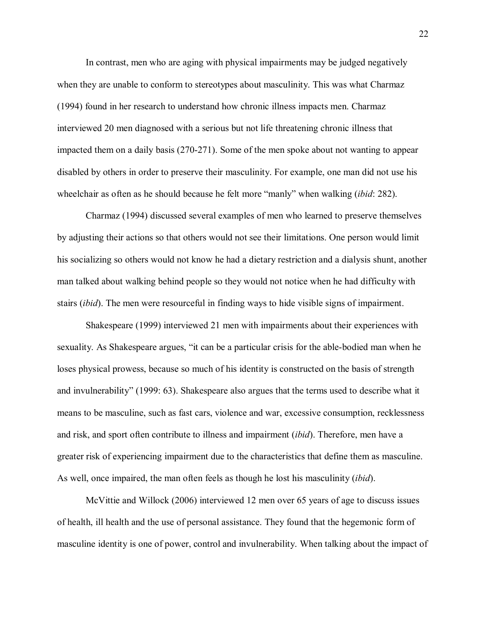In contrast, men who are aging with physical impairments may be judged negatively when they are unable to conform to stereotypes about masculinity. This was what Charmaz (1994) found in her research to understand how chronic illness impacts men. Charmaz interviewed 20 men diagnosed with a serious but not life threatening chronic illness that impacted them on a daily basis (270-271). Some of the men spoke about not wanting to appear disabled by others in order to preserve their masculinity. For example, one man did not use his wheelchair as often as he should because he felt more "manly" when walking *(ibid: 282)*.

Charmaz (1994) discussed several examples of men who learned to preserve themselves by adjusting their actions so that others would not see their limitations. One person would limit his socializing so others would not know he had a dietary restriction and a dialysis shunt, another man talked about walking behind people so they would not notice when he had difficulty with stairs (*ibid*). The men were resourceful in finding ways to hide visible signs of impairment.

Shakespeare (1999) interviewed 21 men with impairments about their experiences with sexuality. As Shakespeare argues, "it can be a particular crisis for the able-bodied man when he loses physical prowess, because so much of his identity is constructed on the basis of strength and invulnerability" (1999: 63). Shakespeare also argues that the terms used to describe what it means to be masculine, such as fast cars, violence and war, excessive consumption, recklessness and risk, and sport often contribute to illness and impairment (*ibid*). Therefore, men have a greater risk of experiencing impairment due to the characteristics that define them as masculine. As well, once impaired, the man often feels as though he lost his masculinity (*ibid*).

McVittie and Willock (2006) interviewed 12 men over 65 years of age to discuss issues of health, ill health and the use of personal assistance. They found that the hegemonic form of masculine identity is one of power, control and invulnerability. When talking about the impact of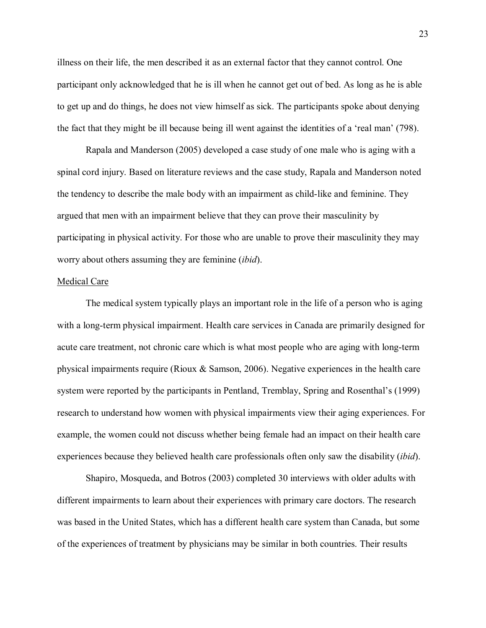illness on their life, the men described it as an external factor that they cannot control. One participant only acknowledged that he is ill when he cannot get out of bed. As long as he is able to get up and do things, he does not view himself as sick. The participants spoke about denying the fact that they might be ill because being ill went against the identities of a 'real man' (798).

Rapala and Manderson (2005) developed a case study of one male who is aging with a spinal cord injury. Based on literature reviews and the case study, Rapala and Manderson noted the tendency to describe the male body with an impairment as child-like and feminine. They argued that men with an impairment believe that they can prove their masculinity by participating in physical activity. For those who are unable to prove their masculinity they may worry about others assuming they are feminine (*ibid*).

#### Medical Care

The medical system typically plays an important role in the life of a person who is aging with a long-term physical impairment. Health care services in Canada are primarily designed for acute care treatment, not chronic care which is what most people who are aging with long-term physical impairments require (Rioux & Samson, 2006). Negative experiences in the health care system were reported by the participants in Pentland, Tremblay, Spring and Rosenthal's (1999) research to understand how women with physical impairments view their aging experiences. For example, the women could not discuss whether being female had an impact on their health care experiences because they believed health care professionals often only saw the disability (*ibid*).

Shapiro, Mosqueda, and Botros (2003) completed 30 interviews with older adults with different impairments to learn about their experiences with primary care doctors. The research was based in the United States, which has a different health care system than Canada, but some of the experiences of treatment by physicians may be similar in both countries. Their results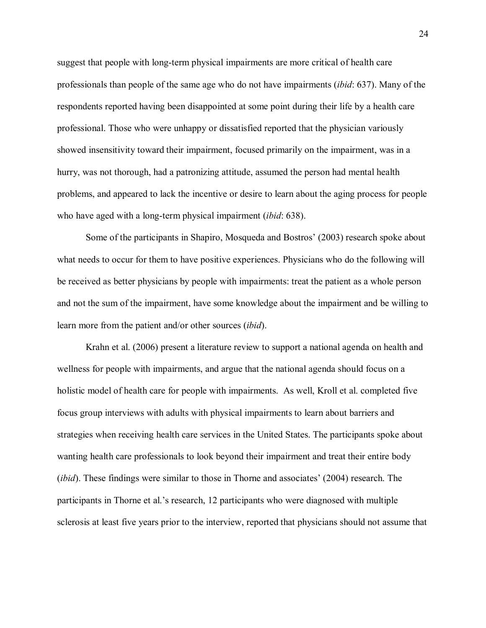suggest that people with long-term physical impairments are more critical of health care professionals than people of the same age who do not have impairments (*ibid*: 637). Many of the respondents reported having been disappointed at some point during their life by a health care professional. Those who were unhappy or dissatisfied reported that the physician variously showed insensitivity toward their impairment, focused primarily on the impairment, was in a hurry, was not thorough, had a patronizing attitude, assumed the person had mental health problems, and appeared to lack the incentive or desire to learn about the aging process for people who have aged with a long-term physical impairment (*ibid*: 638).

Some of the participants in Shapiro, Mosqueda and Bostros (2003) research spoke about what needs to occur for them to have positive experiences. Physicians who do the following will be received as better physicians by people with impairments: treat the patient as a whole person and not the sum of the impairment, have some knowledge about the impairment and be willing to learn more from the patient and/or other sources (*ibid*).

Krahn et al. (2006) present a literature review to support a national agenda on health and wellness for people with impairments, and argue that the national agenda should focus on a holistic model of health care for people with impairments. As well, Kroll et al. completed five focus group interviews with adults with physical impairments to learn about barriers and strategies when receiving health care services in the United States. The participants spoke about wanting health care professionals to look beyond their impairment and treat their entire body (*ibid*). These findings were similar to those in Thorne and associates (2004) research. The participants in Thorne et al.'s research, 12 participants who were diagnosed with multiple sclerosis at least five years prior to the interview, reported that physicians should not assume that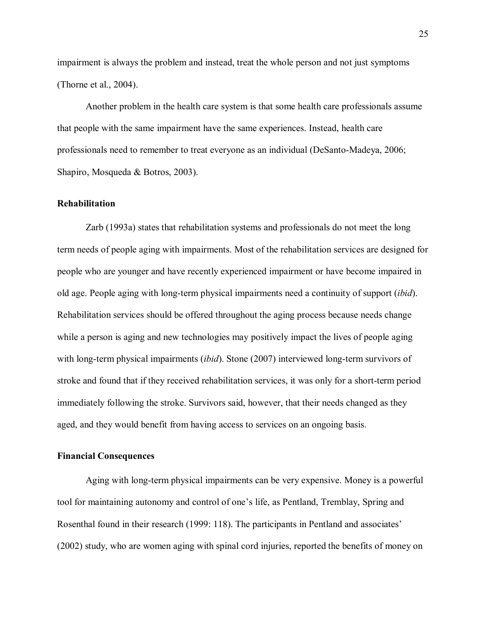impairment is always the problem and instead, treat the whole person and not just symptoms (Thorne et al., 2004).

Another problem in the health care system is that some health care professionals assume that people with the same impairment have the same experiences. Instead, health care professionals need to remember to treat everyone as an individual (DeSanto-Madeya, 2006; Shapiro, Mosqueda & Botros, 2003).

#### **Rehabilitation**

Zarb (1993a) states that rehabilitation systems and professionals do not meet the long term needs of people aging with impairments. Most of the rehabilitation services are designed for people who are younger and have recently experienced impairment or have become impaired in old age. People aging with long-term physical impairments need a continuity of support (*ibid*). Rehabilitation services should be offered throughout the aging process because needs change while a person is aging and new technologies may positively impact the lives of people aging with long-term physical impairments (*ibid*). Stone (2007) interviewed long-term survivors of stroke and found that if they received rehabilitation services, it was only for a short-term period immediately following the stroke. Survivors said, however, that their needs changed as they aged, and they would benefit from having access to services on an ongoing basis.

#### **Financial Consequences**

Aging with long-term physical impairments can be very expensive. Money is a powerful tool for maintaining autonomy and control of one's life, as Pentland, Tremblay, Spring and Rosenthal found in their research (1999: 118). The participants in Pentland and associates' (2002) study, who are women aging with spinal cord injuries, reported the benefits of money on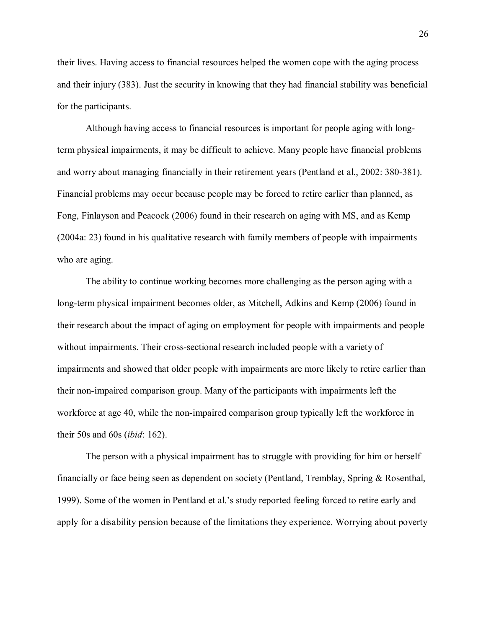their lives. Having access to financial resources helped the women cope with the aging process and their injury (383). Just the security in knowing that they had financial stability was beneficial for the participants.

Although having access to financial resources is important for people aging with longterm physical impairments, it may be difficult to achieve. Many people have financial problems and worry about managing financially in their retirement years (Pentland et al., 2002: 380-381). Financial problems may occur because people may be forced to retire earlier than planned, as Fong, Finlayson and Peacock (2006) found in their research on aging with MS, and as Kemp (2004a: 23) found in his qualitative research with family members of people with impairments who are aging.

 The ability to continue working becomes more challenging as the person aging with a long-term physical impairment becomes older, as Mitchell, Adkins and Kemp (2006) found in their research about the impact of aging on employment for people with impairments and people without impairments. Their cross-sectional research included people with a variety of impairments and showed that older people with impairments are more likely to retire earlier than their non-impaired comparison group. Many of the participants with impairments left the workforce at age 40, while the non-impaired comparison group typically left the workforce in their 50s and 60s (*ibid*: 162).

The person with a physical impairment has to struggle with providing for him or herself financially or face being seen as dependent on society (Pentland, Tremblay, Spring & Rosenthal, 1999). Some of the women in Pentland et al.'s study reported feeling forced to retire early and apply for a disability pension because of the limitations they experience. Worrying about poverty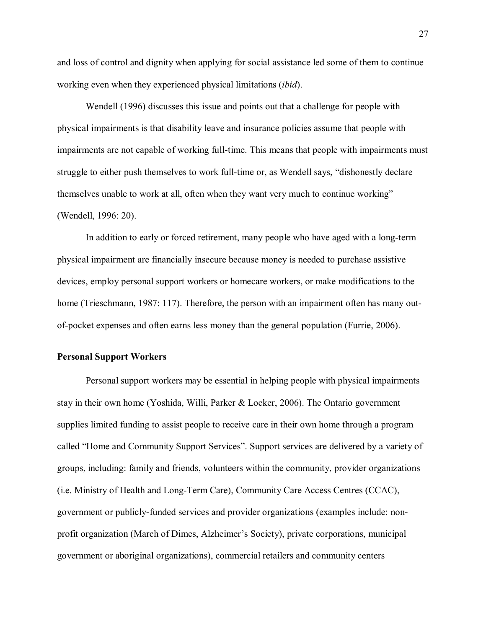and loss of control and dignity when applying for social assistance led some of them to continue working even when they experienced physical limitations (*ibid*).

Wendell (1996) discusses this issue and points out that a challenge for people with physical impairments is that disability leave and insurance policies assume that people with impairments are not capable of working full-time. This means that people with impairments must struggle to either push themselves to work full-time or, as Wendell says, "dishonestly declare themselves unable to work at all, often when they want very much to continue working (Wendell, 1996: 20).

In addition to early or forced retirement, many people who have aged with a long-term physical impairment are financially insecure because money is needed to purchase assistive devices, employ personal support workers or homecare workers, or make modifications to the home (Trieschmann, 1987: 117). Therefore, the person with an impairment often has many outof-pocket expenses and often earns less money than the general population (Furrie, 2006).

#### **Personal Support Workers**

Personal support workers may be essential in helping people with physical impairments stay in their own home (Yoshida, Willi, Parker & Locker, 2006). The Ontario government supplies limited funding to assist people to receive care in their own home through a program called "Home and Community Support Services". Support services are delivered by a variety of groups, including: family and friends, volunteers within the community, provider organizations (i.e. Ministry of Health and Long-Term Care), Community Care Access Centres (CCAC), government or publicly-funded services and provider organizations (examples include: nonprofit organization (March of Dimes, Alzheimer's Society), private corporations, municipal government or aboriginal organizations), commercial retailers and community centers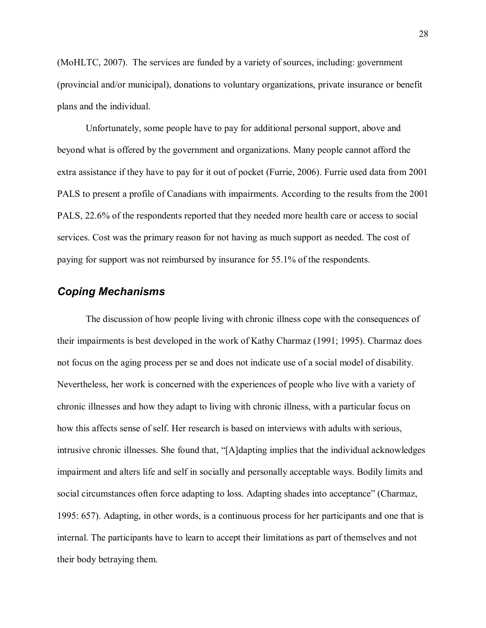(MoHLTC, 2007). The services are funded by a variety of sources, including: government (provincial and/or municipal), donations to voluntary organizations, private insurance or benefit plans and the individual.

Unfortunately, some people have to pay for additional personal support, above and beyond what is offered by the government and organizations. Many people cannot afford the extra assistance if they have to pay for it out of pocket (Furrie, 2006). Furrie used data from 2001 PALS to present a profile of Canadians with impairments. According to the results from the 2001 PALS, 22.6% of the respondents reported that they needed more health care or access to social services. Cost was the primary reason for not having as much support as needed. The cost of paying for support was not reimbursed by insurance for 55.1% of the respondents.

### *Coping Mechanisms*

The discussion of how people living with chronic illness cope with the consequences of their impairments is best developed in the work of Kathy Charmaz (1991; 1995). Charmaz does not focus on the aging process per se and does not indicate use of a social model of disability. Nevertheless, her work is concerned with the experiences of people who live with a variety of chronic illnesses and how they adapt to living with chronic illness, with a particular focus on how this affects sense of self. Her research is based on interviews with adults with serious, intrusive chronic illnesses. She found that, "[A]dapting implies that the individual acknowledges impairment and alters life and self in socially and personally acceptable ways. Bodily limits and social circumstances often force adapting to loss. Adapting shades into acceptance" (Charmaz, 1995: 657). Adapting, in other words, is a continuous process for her participants and one that is internal. The participants have to learn to accept their limitations as part of themselves and not their body betraying them.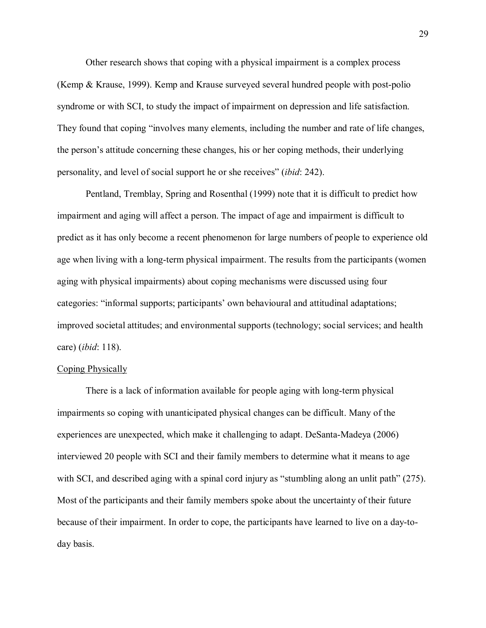Other research shows that coping with a physical impairment is a complex process (Kemp & Krause, 1999). Kemp and Krause surveyed several hundred people with post-polio syndrome or with SCI, to study the impact of impairment on depression and life satisfaction. They found that coping "involves many elements, including the number and rate of life changes, the person's attitude concerning these changes, his or her coping methods, their underlying personality, and level of social support he or she receives" *(ibid: 242)*.

Pentland, Tremblay, Spring and Rosenthal (1999) note that it is difficult to predict how impairment and aging will affect a person. The impact of age and impairment is difficult to predict as it has only become a recent phenomenon for large numbers of people to experience old age when living with a long-term physical impairment. The results from the participants (women aging with physical impairments) about coping mechanisms were discussed using four categories: "informal supports; participants' own behavioural and attitudinal adaptations; improved societal attitudes; and environmental supports (technology; social services; and health care) (*ibid*: 118).

#### Coping Physically

 There is a lack of information available for people aging with long-term physical impairments so coping with unanticipated physical changes can be difficult. Many of the experiences are unexpected, which make it challenging to adapt. DeSanta-Madeya (2006) interviewed 20 people with SCI and their family members to determine what it means to age with SCI, and described aging with a spinal cord injury as "stumbling along an unlit path"  $(275)$ . Most of the participants and their family members spoke about the uncertainty of their future because of their impairment. In order to cope, the participants have learned to live on a day-today basis.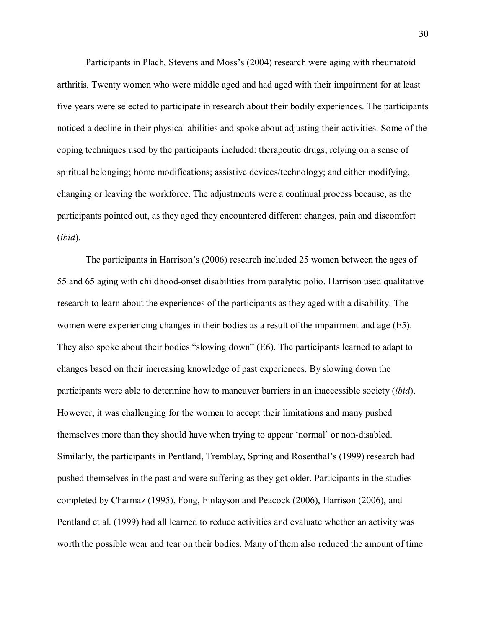Participants in Plach, Stevens and Moss's (2004) research were aging with rheumatoid arthritis. Twenty women who were middle aged and had aged with their impairment for at least five years were selected to participate in research about their bodily experiences. The participants noticed a decline in their physical abilities and spoke about adjusting their activities. Some of the coping techniques used by the participants included: therapeutic drugs; relying on a sense of spiritual belonging; home modifications; assistive devices/technology; and either modifying, changing or leaving the workforce. The adjustments were a continual process because, as the participants pointed out, as they aged they encountered different changes, pain and discomfort (*ibid*).

The participants in Harrison's (2006) research included 25 women between the ages of 55 and 65 aging with childhood-onset disabilities from paralytic polio. Harrison used qualitative research to learn about the experiences of the participants as they aged with a disability. The women were experiencing changes in their bodies as a result of the impairment and age (E5). They also spoke about their bodies "slowing down"  $(E6)$ . The participants learned to adapt to changes based on their increasing knowledge of past experiences. By slowing down the participants were able to determine how to maneuver barriers in an inaccessible society (*ibid*). However, it was challenging for the women to accept their limitations and many pushed themselves more than they should have when trying to appear 'normal' or non-disabled. Similarly, the participants in Pentland, Tremblay, Spring and Rosenthal's (1999) research had pushed themselves in the past and were suffering as they got older. Participants in the studies completed by Charmaz (1995), Fong, Finlayson and Peacock (2006), Harrison (2006), and Pentland et al. (1999) had all learned to reduce activities and evaluate whether an activity was worth the possible wear and tear on their bodies. Many of them also reduced the amount of time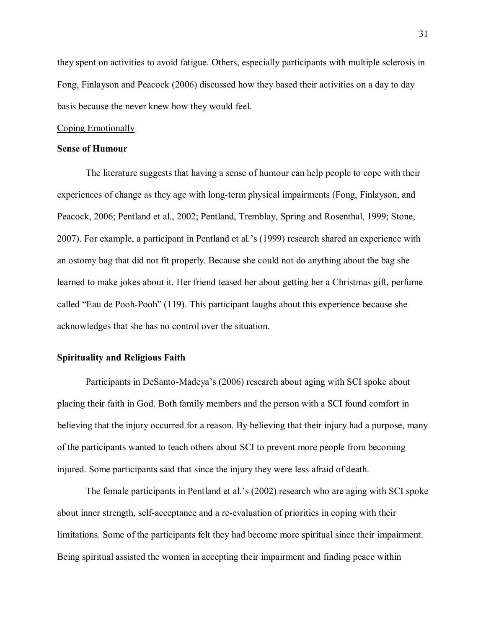they spent on activities to avoid fatigue. Others, especially participants with multiple sclerosis in Fong, Finlayson and Peacock (2006) discussed how they based their activities on a day to day basis because the never knew how they would feel.

#### Coping Emotionally

#### **Sense of Humour**

The literature suggests that having a sense of humour can help people to cope with their experiences of change as they age with long-term physical impairments (Fong, Finlayson, and Peacock, 2006; Pentland et al., 2002; Pentland, Tremblay, Spring and Rosenthal, 1999; Stone, 2007). For example, a participant in Pentland et al.'s (1999) research shared an experience with an ostomy bag that did not fit properly. Because she could not do anything about the bag she learned to make jokes about it. Her friend teased her about getting her a Christmas gift, perfume called "Eau de Pooh-Pooh" (119). This participant laughs about this experience because she acknowledges that she has no control over the situation.

#### **Spirituality and Religious Faith**

Participants in DeSanto-Madeya's (2006) research about aging with SCI spoke about placing their faith in God. Both family members and the person with a SCI found comfort in believing that the injury occurred for a reason. By believing that their injury had a purpose, many of the participants wanted to teach others about SCI to prevent more people from becoming injured. Some participants said that since the injury they were less afraid of death.

The female participants in Pentland et al.'s (2002) research who are aging with SCI spoke about inner strength, self-acceptance and a re-evaluation of priorities in coping with their limitations. Some of the participants felt they had become more spiritual since their impairment. Being spiritual assisted the women in accepting their impairment and finding peace within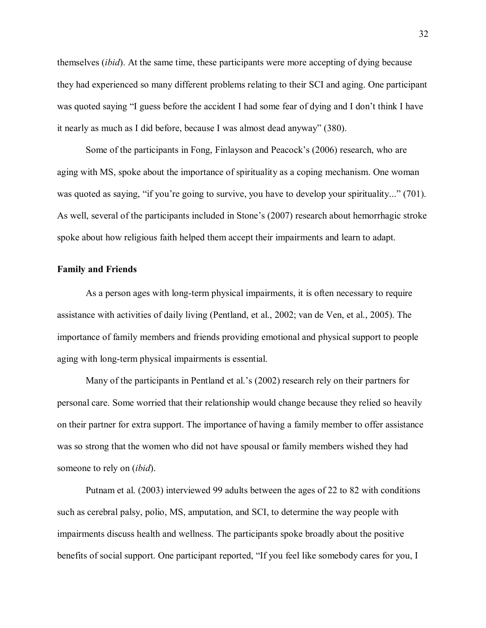themselves (*ibid*). At the same time, these participants were more accepting of dying because they had experienced so many different problems relating to their SCI and aging. One participant was quoted saying "I guess before the accident I had some fear of dying and I don't think I have it nearly as much as I did before, because I was almost dead anyway" (380).

Some of the participants in Fong, Finlayson and Peacock's (2006) research, who are aging with MS, spoke about the importance of spirituality as a coping mechanism. One woman was quoted as saying, "if you're going to survive, you have to develop your spirituality..." (701). As well, several of the participants included in Stone's (2007) research about hemorrhagic stroke spoke about how religious faith helped them accept their impairments and learn to adapt.

#### **Family and Friends**

As a person ages with long-term physical impairments, it is often necessary to require assistance with activities of daily living (Pentland, et al., 2002; van de Ven, et al., 2005). The importance of family members and friends providing emotional and physical support to people aging with long-term physical impairments is essential.

Many of the participants in Pentland et al.'s  $(2002)$  research rely on their partners for personal care. Some worried that their relationship would change because they relied so heavily on their partner for extra support. The importance of having a family member to offer assistance was so strong that the women who did not have spousal or family members wished they had someone to rely on (*ibid*).

Putnam et al. (2003) interviewed 99 adults between the ages of 22 to 82 with conditions such as cerebral palsy, polio, MS, amputation, and SCI, to determine the way people with impairments discuss health and wellness. The participants spoke broadly about the positive benefits of social support. One participant reported, "If you feel like somebody cares for you, I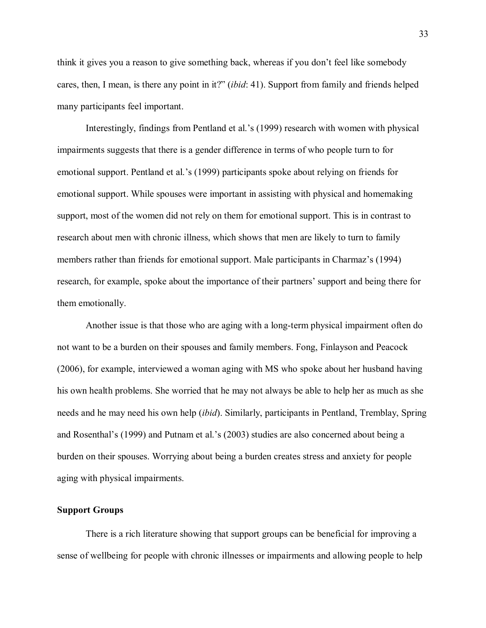think it gives you a reason to give something back, whereas if you don't feel like somebody cares, then, I mean, is there any point in it?" *(ibid:* 41). Support from family and friends helped many participants feel important.

Interestingly, findings from Pentland et al.'s (1999) research with women with physical impairments suggests that there is a gender difference in terms of who people turn to for emotional support. Pentland et al.'s (1999) participants spoke about relying on friends for emotional support. While spouses were important in assisting with physical and homemaking support, most of the women did not rely on them for emotional support. This is in contrast to research about men with chronic illness, which shows that men are likely to turn to family members rather than friends for emotional support. Male participants in Charmaz's (1994) research, for example, spoke about the importance of their partners' support and being there for them emotionally.

Another issue is that those who are aging with a long-term physical impairment often do not want to be a burden on their spouses and family members. Fong, Finlayson and Peacock (2006), for example, interviewed a woman aging with MS who spoke about her husband having his own health problems. She worried that he may not always be able to help her as much as she needs and he may need his own help (*ibid*). Similarly, participants in Pentland, Tremblay, Spring and Rosenthal's (1999) and Putnam et al.'s (2003) studies are also concerned about being a burden on their spouses. Worrying about being a burden creates stress and anxiety for people aging with physical impairments.

#### **Support Groups**

There is a rich literature showing that support groups can be beneficial for improving a sense of wellbeing for people with chronic illnesses or impairments and allowing people to help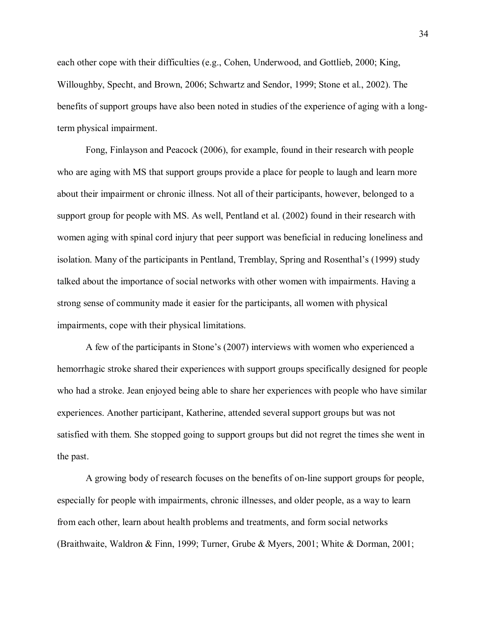each other cope with their difficulties (e.g., Cohen, Underwood, and Gottlieb, 2000; King, Willoughby, Specht, and Brown, 2006; Schwartz and Sendor, 1999; Stone et al., 2002). The benefits of support groups have also been noted in studies of the experience of aging with a longterm physical impairment.

Fong, Finlayson and Peacock (2006), for example, found in their research with people who are aging with MS that support groups provide a place for people to laugh and learn more about their impairment or chronic illness. Not all of their participants, however, belonged to a support group for people with MS. As well, Pentland et al. (2002) found in their research with women aging with spinal cord injury that peer support was beneficial in reducing loneliness and isolation. Many of the participants in Pentland, Tremblay, Spring and Rosenthal's (1999) study talked about the importance of social networks with other women with impairments. Having a strong sense of community made it easier for the participants, all women with physical impairments, cope with their physical limitations.

A few of the participants in Stone's (2007) interviews with women who experienced a hemorrhagic stroke shared their experiences with support groups specifically designed for people who had a stroke. Jean enjoyed being able to share her experiences with people who have similar experiences. Another participant, Katherine, attended several support groups but was not satisfied with them. She stopped going to support groups but did not regret the times she went in the past.

A growing body of research focuses on the benefits of on-line support groups for people, especially for people with impairments, chronic illnesses, and older people, as a way to learn from each other, learn about health problems and treatments, and form social networks (Braithwaite, Waldron & Finn, 1999; Turner, Grube & Myers, 2001; White & Dorman, 2001;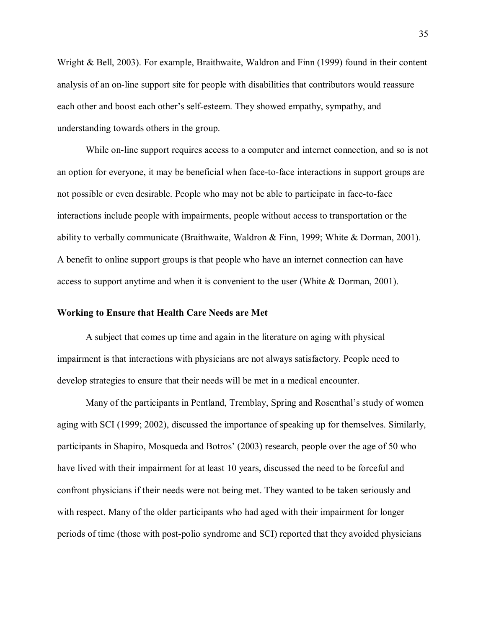Wright & Bell, 2003). For example, Braithwaite, Waldron and Finn (1999) found in their content analysis of an on-line support site for people with disabilities that contributors would reassure each other and boost each other's self-esteem. They showed empathy, sympathy, and understanding towards others in the group.

While on-line support requires access to a computer and internet connection, and so is not an option for everyone, it may be beneficial when face-to-face interactions in support groups are not possible or even desirable. People who may not be able to participate in face-to-face interactions include people with impairments, people without access to transportation or the ability to verbally communicate (Braithwaite, Waldron & Finn, 1999; White & Dorman, 2001). A benefit to online support groups is that people who have an internet connection can have access to support anytime and when it is convenient to the user (White & Dorman, 2001).

#### **Working to Ensure that Health Care Needs are Met**

A subject that comes up time and again in the literature on aging with physical impairment is that interactions with physicians are not always satisfactory. People need to develop strategies to ensure that their needs will be met in a medical encounter.

Many of the participants in Pentland, Tremblay, Spring and Rosenthal's study of women aging with SCI (1999; 2002), discussed the importance of speaking up for themselves. Similarly, participants in Shapiro, Mosqueda and Botros (2003) research, people over the age of 50 who have lived with their impairment for at least 10 years, discussed the need to be forceful and confront physicians if their needs were not being met. They wanted to be taken seriously and with respect. Many of the older participants who had aged with their impairment for longer periods of time (those with post-polio syndrome and SCI) reported that they avoided physicians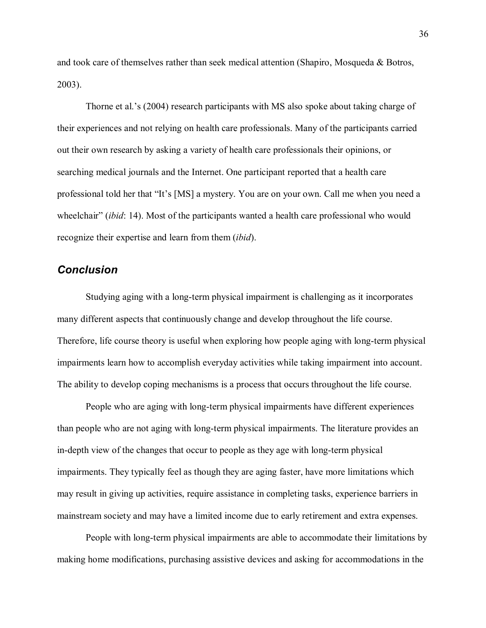and took care of themselves rather than seek medical attention (Shapiro, Mosqueda & Botros, 2003).

Thorne et al.'s  $(2004)$  research participants with MS also spoke about taking charge of their experiences and not relying on health care professionals. Many of the participants carried out their own research by asking a variety of health care professionals their opinions, or searching medical journals and the Internet. One participant reported that a health care professional told her that "It's [MS] a mystery. You are on your own. Call me when you need a wheelchair" *(ibid: 14)*. Most of the participants wanted a health care professional who would recognize their expertise and learn from them (*ibid*).

## *Conclusion*

 Studying aging with a long-term physical impairment is challenging as it incorporates many different aspects that continuously change and develop throughout the life course. Therefore, life course theory is useful when exploring how people aging with long-term physical impairments learn how to accomplish everyday activities while taking impairment into account. The ability to develop coping mechanisms is a process that occurs throughout the life course.

People who are aging with long-term physical impairments have different experiences than people who are not aging with long-term physical impairments. The literature provides an in-depth view of the changes that occur to people as they age with long-term physical impairments. They typically feel as though they are aging faster, have more limitations which may result in giving up activities, require assistance in completing tasks, experience barriers in mainstream society and may have a limited income due to early retirement and extra expenses.

People with long-term physical impairments are able to accommodate their limitations by making home modifications, purchasing assistive devices and asking for accommodations in the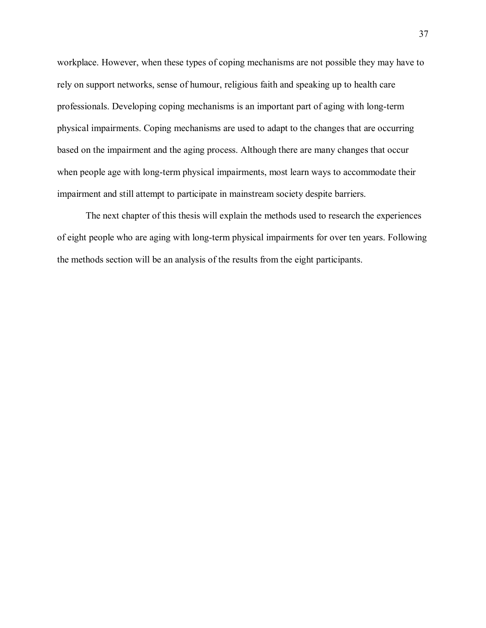workplace. However, when these types of coping mechanisms are not possible they may have to rely on support networks, sense of humour, religious faith and speaking up to health care professionals. Developing coping mechanisms is an important part of aging with long-term physical impairments. Coping mechanisms are used to adapt to the changes that are occurring based on the impairment and the aging process. Although there are many changes that occur when people age with long-term physical impairments, most learn ways to accommodate their impairment and still attempt to participate in mainstream society despite barriers.

 The next chapter of this thesis will explain the methods used to research the experiences of eight people who are aging with long-term physical impairments for over ten years. Following the methods section will be an analysis of the results from the eight participants.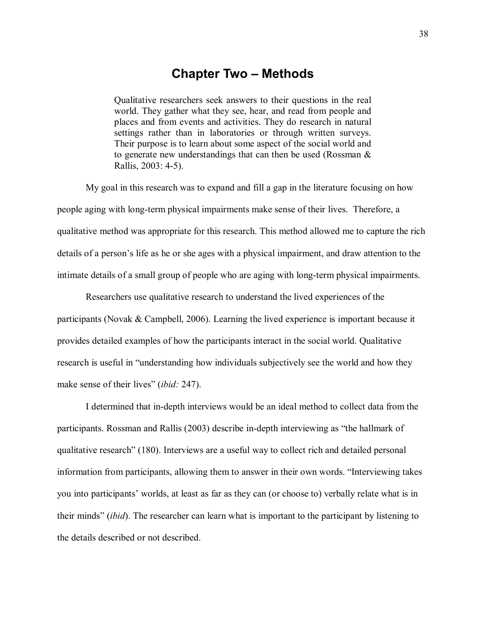# **Chapter Two – Methods**

Qualitative researchers seek answers to their questions in the real world. They gather what they see, hear, and read from people and places and from events and activities. They do research in natural settings rather than in laboratories or through written surveys. Their purpose is to learn about some aspect of the social world and to generate new understandings that can then be used (Rossman & Rallis, 2003: 4-5).

My goal in this research was to expand and fill a gap in the literature focusing on how people aging with long-term physical impairments make sense of their lives. Therefore, a qualitative method was appropriate for this research. This method allowed me to capture the rich details of a person's life as he or she ages with a physical impairment, and draw attention to the intimate details of a small group of people who are aging with long-term physical impairments.

 Researchers use qualitative research to understand the lived experiences of the participants (Novak & Campbell, 2006). Learning the lived experience is important because it provides detailed examples of how the participants interact in the social world. Qualitative research is useful in "understanding how individuals subjectively see the world and how they make sense of their lives" *(ibid:* 247).

I determined that in-depth interviews would be an ideal method to collect data from the participants. Rossman and Rallis (2003) describe in-depth interviewing as "the hallmark of qualitative research" (180). Interviews are a useful way to collect rich and detailed personal information from participants, allowing them to answer in their own words. "Interviewing takes you into participants' worlds, at least as far as they can (or choose to) verbally relate what is in their minds" *(ibid)*. The researcher can learn what is important to the participant by listening to the details described or not described.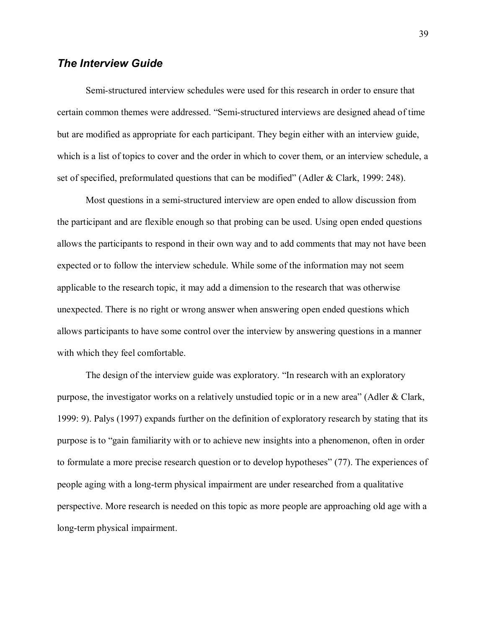## *The Interview Guide*

Semi-structured interview schedules were used for this research in order to ensure that certain common themes were addressed. "Semi-structured interviews are designed ahead of time but are modified as appropriate for each participant. They begin either with an interview guide, which is a list of topics to cover and the order in which to cover them, or an interview schedule, a set of specified, preformulated questions that can be modified" (Adler & Clark, 1999: 248).

Most questions in a semi-structured interview are open ended to allow discussion from the participant and are flexible enough so that probing can be used. Using open ended questions allows the participants to respond in their own way and to add comments that may not have been expected or to follow the interview schedule. While some of the information may not seem applicable to the research topic, it may add a dimension to the research that was otherwise unexpected. There is no right or wrong answer when answering open ended questions which allows participants to have some control over the interview by answering questions in a manner with which they feel comfortable.

The design of the interview guide was exploratory. "In research with an exploratory purpose, the investigator works on a relatively unstudied topic or in a new area" (Adler & Clark, 1999: 9). Palys (1997) expands further on the definition of exploratory research by stating that its purpose is to "gain familiarity with or to achieve new insights into a phenomenon, often in order to formulate a more precise research question or to develop hypotheses" (77). The experiences of people aging with a long-term physical impairment are under researched from a qualitative perspective. More research is needed on this topic as more people are approaching old age with a long-term physical impairment.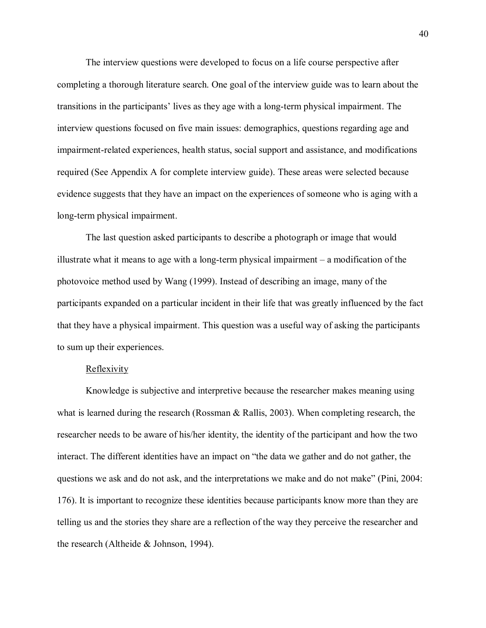The interview questions were developed to focus on a life course perspective after completing a thorough literature search. One goal of the interview guide was to learn about the transitions in the participants' lives as they age with a long-term physical impairment. The interview questions focused on five main issues: demographics, questions regarding age and impairment-related experiences, health status, social support and assistance, and modifications required (See Appendix A for complete interview guide). These areas were selected because evidence suggests that they have an impact on the experiences of someone who is aging with a long-term physical impairment.

The last question asked participants to describe a photograph or image that would illustrate what it means to age with a long-term physical impairment  $-$  a modification of the photovoice method used by Wang (1999). Instead of describing an image, many of the participants expanded on a particular incident in their life that was greatly influenced by the fact that they have a physical impairment. This question was a useful way of asking the participants to sum up their experiences.

### **Reflexivity**

Knowledge is subjective and interpretive because the researcher makes meaning using what is learned during the research (Rossman & Rallis, 2003). When completing research, the researcher needs to be aware of his/her identity, the identity of the participant and how the two interact. The different identities have an impact on "the data we gather and do not gather, the questions we ask and do not ask, and the interpretations we make and do not make" (Pini, 2004: 176). It is important to recognize these identities because participants know more than they are telling us and the stories they share are a reflection of the way they perceive the researcher and the research (Altheide & Johnson, 1994).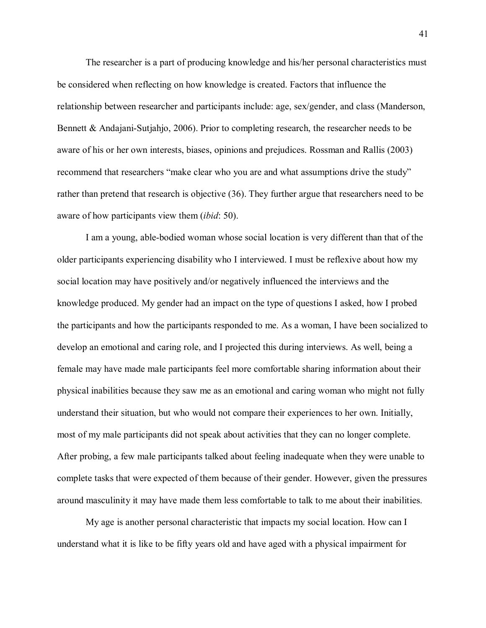The researcher is a part of producing knowledge and his/her personal characteristics must be considered when reflecting on how knowledge is created. Factors that influence the relationship between researcher and participants include: age, sex/gender, and class (Manderson, Bennett & Andajani-Sutjahjo, 2006). Prior to completing research, the researcher needs to be aware of his or her own interests, biases, opinions and prejudices. Rossman and Rallis (2003) recommend that researchers "make clear who you are and what assumptions drive the study" rather than pretend that research is objective (36). They further argue that researchers need to be aware of how participants view them (*ibid*: 50).

 I am a young, able-bodied woman whose social location is very different than that of the older participants experiencing disability who I interviewed. I must be reflexive about how my social location may have positively and/or negatively influenced the interviews and the knowledge produced. My gender had an impact on the type of questions I asked, how I probed the participants and how the participants responded to me. As a woman, I have been socialized to develop an emotional and caring role, and I projected this during interviews. As well, being a female may have made male participants feel more comfortable sharing information about their physical inabilities because they saw me as an emotional and caring woman who might not fully understand their situation, but who would not compare their experiences to her own. Initially, most of my male participants did not speak about activities that they can no longer complete. After probing, a few male participants talked about feeling inadequate when they were unable to complete tasks that were expected of them because of their gender. However, given the pressures around masculinity it may have made them less comfortable to talk to me about their inabilities.

My age is another personal characteristic that impacts my social location. How can I understand what it is like to be fifty years old and have aged with a physical impairment for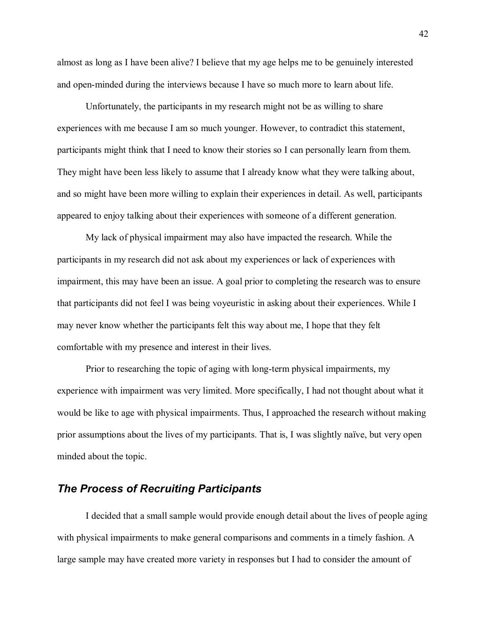almost as long as I have been alive? I believe that my age helps me to be genuinely interested and open-minded during the interviews because I have so much more to learn about life.

Unfortunately, the participants in my research might not be as willing to share experiences with me because I am so much younger. However, to contradict this statement, participants might think that I need to know their stories so I can personally learn from them. They might have been less likely to assume that I already know what they were talking about, and so might have been more willing to explain their experiences in detail. As well, participants appeared to enjoy talking about their experiences with someone of a different generation.

My lack of physical impairment may also have impacted the research. While the participants in my research did not ask about my experiences or lack of experiences with impairment, this may have been an issue. A goal prior to completing the research was to ensure that participants did not feel I was being voyeuristic in asking about their experiences. While I may never know whether the participants felt this way about me, I hope that they felt comfortable with my presence and interest in their lives.

 Prior to researching the topic of aging with long-term physical impairments, my experience with impairment was very limited. More specifically, I had not thought about what it would be like to age with physical impairments. Thus, I approached the research without making prior assumptions about the lives of my participants. That is, I was slightly naïve, but very open minded about the topic.

# *The Process of Recruiting Participants*

I decided that a small sample would provide enough detail about the lives of people aging with physical impairments to make general comparisons and comments in a timely fashion. A large sample may have created more variety in responses but I had to consider the amount of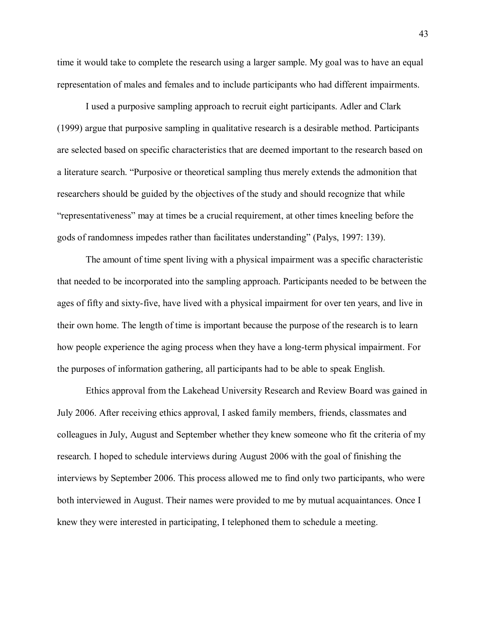time it would take to complete the research using a larger sample. My goal was to have an equal representation of males and females and to include participants who had different impairments.

I used a purposive sampling approach to recruit eight participants. Adler and Clark (1999) argue that purposive sampling in qualitative research is a desirable method. Participants are selected based on specific characteristics that are deemed important to the research based on a literature search. "Purposive or theoretical sampling thus merely extends the admonition that researchers should be guided by the objectives of the study and should recognize that while representativeness may at times be a crucial requirement, at other times kneeling before the gods of randomness impedes rather than facilitates understanding" (Palys, 1997: 139).

The amount of time spent living with a physical impairment was a specific characteristic that needed to be incorporated into the sampling approach. Participants needed to be between the ages of fifty and sixty-five, have lived with a physical impairment for over ten years, and live in their own home. The length of time is important because the purpose of the research is to learn how people experience the aging process when they have a long-term physical impairment. For the purposes of information gathering, all participants had to be able to speak English.

Ethics approval from the Lakehead University Research and Review Board was gained in July 2006. After receiving ethics approval, I asked family members, friends, classmates and colleagues in July, August and September whether they knew someone who fit the criteria of my research. I hoped to schedule interviews during August 2006 with the goal of finishing the interviews by September 2006. This process allowed me to find only two participants, who were both interviewed in August. Their names were provided to me by mutual acquaintances. Once I knew they were interested in participating, I telephoned them to schedule a meeting.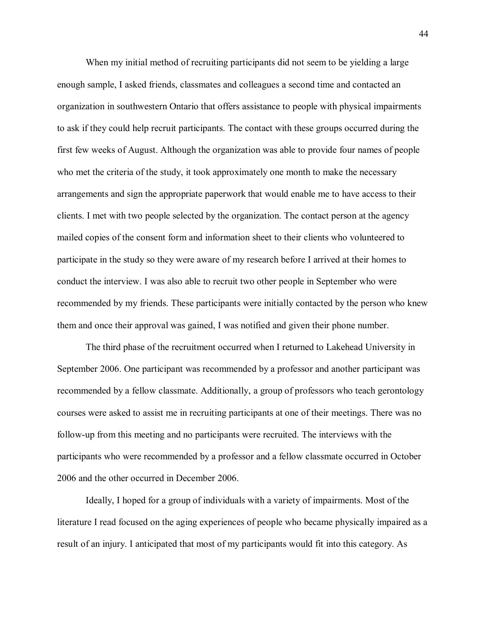When my initial method of recruiting participants did not seem to be yielding a large enough sample, I asked friends, classmates and colleagues a second time and contacted an organization in southwestern Ontario that offers assistance to people with physical impairments to ask if they could help recruit participants. The contact with these groups occurred during the first few weeks of August. Although the organization was able to provide four names of people who met the criteria of the study, it took approximately one month to make the necessary arrangements and sign the appropriate paperwork that would enable me to have access to their clients. I met with two people selected by the organization. The contact person at the agency mailed copies of the consent form and information sheet to their clients who volunteered to participate in the study so they were aware of my research before I arrived at their homes to conduct the interview. I was also able to recruit two other people in September who were recommended by my friends. These participants were initially contacted by the person who knew them and once their approval was gained, I was notified and given their phone number.

The third phase of the recruitment occurred when I returned to Lakehead University in September 2006. One participant was recommended by a professor and another participant was recommended by a fellow classmate. Additionally, a group of professors who teach gerontology courses were asked to assist me in recruiting participants at one of their meetings. There was no follow-up from this meeting and no participants were recruited. The interviews with the participants who were recommended by a professor and a fellow classmate occurred in October 2006 and the other occurred in December 2006.

Ideally, I hoped for a group of individuals with a variety of impairments. Most of the literature I read focused on the aging experiences of people who became physically impaired as a result of an injury. I anticipated that most of my participants would fit into this category. As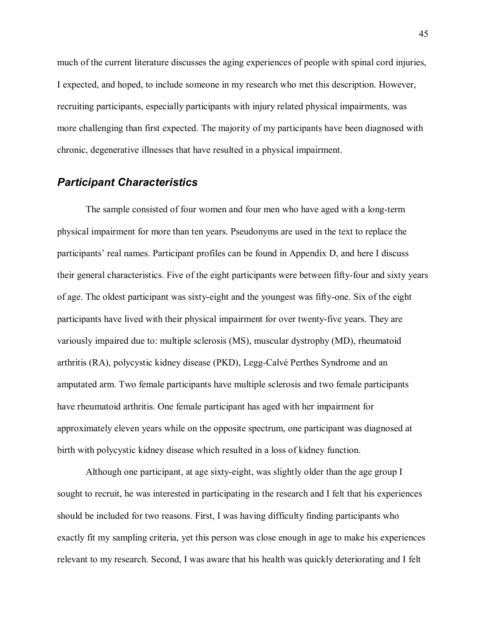much of the current literature discusses the aging experiences of people with spinal cord injuries, I expected, and hoped, to include someone in my research who met this description. However, recruiting participants, especially participants with injury related physical impairments, was more challenging than first expected. The majority of my participants have been diagnosed with chronic, degenerative illnesses that have resulted in a physical impairment.

# *Participant Characteristics*

The sample consisted of four women and four men who have aged with a long-term physical impairment for more than ten years. Pseudonyms are used in the text to replace the participants' real names. Participant profiles can be found in Appendix D, and here I discuss their general characteristics. Five of the eight participants were between fifty-four and sixty years of age. The oldest participant was sixty-eight and the youngest was fifty-one. Six of the eight participants have lived with their physical impairment for over twenty-five years. They are variously impaired due to: multiple sclerosis (MS), muscular dystrophy (MD), rheumatoid arthritis (RA), polycystic kidney disease (PKD), Legg-Calvé Perthes Syndrome and an amputated arm. Two female participants have multiple sclerosis and two female participants have rheumatoid arthritis. One female participant has aged with her impairment for approximately eleven years while on the opposite spectrum, one participant was diagnosed at birth with polycystic kidney disease which resulted in a loss of kidney function.

Although one participant, at age sixty-eight, was slightly older than the age group I sought to recruit, he was interested in participating in the research and I felt that his experiences should be included for two reasons. First, I was having difficulty finding participants who exactly fit my sampling criteria, yet this person was close enough in age to make his experiences relevant to my research. Second, I was aware that his health was quickly deteriorating and I felt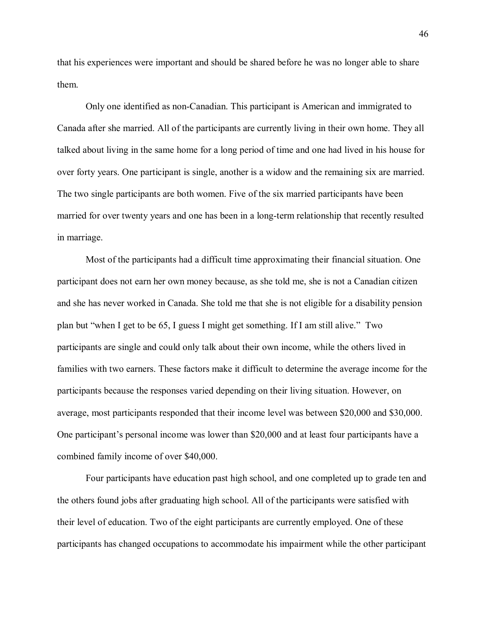that his experiences were important and should be shared before he was no longer able to share them.

Only one identified as non-Canadian. This participant is American and immigrated to Canada after she married. All of the participants are currently living in their own home. They all talked about living in the same home for a long period of time and one had lived in his house for over forty years. One participant is single, another is a widow and the remaining six are married. The two single participants are both women. Five of the six married participants have been married for over twenty years and one has been in a long-term relationship that recently resulted in marriage.

 Most of the participants had a difficult time approximating their financial situation. One participant does not earn her own money because, as she told me, she is not a Canadian citizen and she has never worked in Canada. She told me that she is not eligible for a disability pension plan but "when I get to be 65, I guess I might get something. If I am still alive." Two participants are single and could only talk about their own income, while the others lived in families with two earners. These factors make it difficult to determine the average income for the participants because the responses varied depending on their living situation. However, on average, most participants responded that their income level was between \$20,000 and \$30,000. One participant's personal income was lower than \$20,000 and at least four participants have a combined family income of over \$40,000.

Four participants have education past high school, and one completed up to grade ten and the others found jobs after graduating high school. All of the participants were satisfied with their level of education. Two of the eight participants are currently employed. One of these participants has changed occupations to accommodate his impairment while the other participant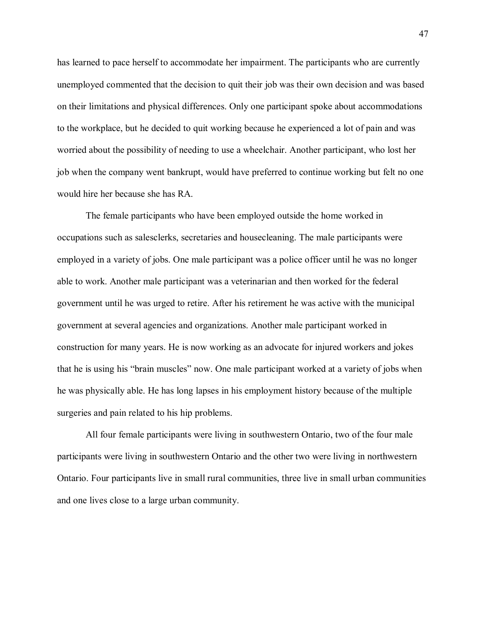has learned to pace herself to accommodate her impairment. The participants who are currently unemployed commented that the decision to quit their job was their own decision and was based on their limitations and physical differences. Only one participant spoke about accommodations to the workplace, but he decided to quit working because he experienced a lot of pain and was worried about the possibility of needing to use a wheelchair. Another participant, who lost her job when the company went bankrupt, would have preferred to continue working but felt no one would hire her because she has RA.

The female participants who have been employed outside the home worked in occupations such as salesclerks, secretaries and housecleaning. The male participants were employed in a variety of jobs. One male participant was a police officer until he was no longer able to work. Another male participant was a veterinarian and then worked for the federal government until he was urged to retire. After his retirement he was active with the municipal government at several agencies and organizations. Another male participant worked in construction for many years. He is now working as an advocate for injured workers and jokes that he is using his "brain muscles" now. One male participant worked at a variety of jobs when he was physically able. He has long lapses in his employment history because of the multiple surgeries and pain related to his hip problems.

 All four female participants were living in southwestern Ontario, two of the four male participants were living in southwestern Ontario and the other two were living in northwestern Ontario. Four participants live in small rural communities, three live in small urban communities and one lives close to a large urban community.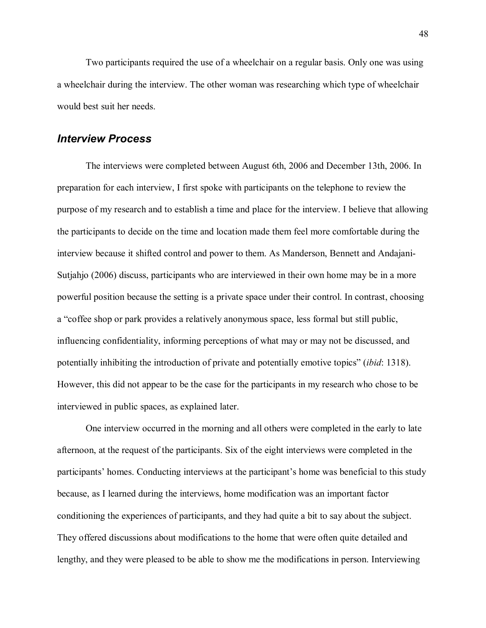Two participants required the use of a wheelchair on a regular basis. Only one was using a wheelchair during the interview. The other woman was researching which type of wheelchair would best suit her needs.

## *Interview Process*

The interviews were completed between August 6th, 2006 and December 13th, 2006. In preparation for each interview, I first spoke with participants on the telephone to review the purpose of my research and to establish a time and place for the interview. I believe that allowing the participants to decide on the time and location made them feel more comfortable during the interview because it shifted control and power to them. As Manderson, Bennett and Andajani-Sutjahjo (2006) discuss, participants who are interviewed in their own home may be in a more powerful position because the setting is a private space under their control. In contrast, choosing a "coffee shop or park provides a relatively anonymous space, less formal but still public, influencing confidentiality, informing perceptions of what may or may not be discussed, and potentially inhibiting the introduction of private and potentially emotive topics (*ibid*: 1318). However, this did not appear to be the case for the participants in my research who chose to be interviewed in public spaces, as explained later.

One interview occurred in the morning and all others were completed in the early to late afternoon, at the request of the participants. Six of the eight interviews were completed in the participants' homes. Conducting interviews at the participant's home was beneficial to this study because, as I learned during the interviews, home modification was an important factor conditioning the experiences of participants, and they had quite a bit to say about the subject. They offered discussions about modifications to the home that were often quite detailed and lengthy, and they were pleased to be able to show me the modifications in person. Interviewing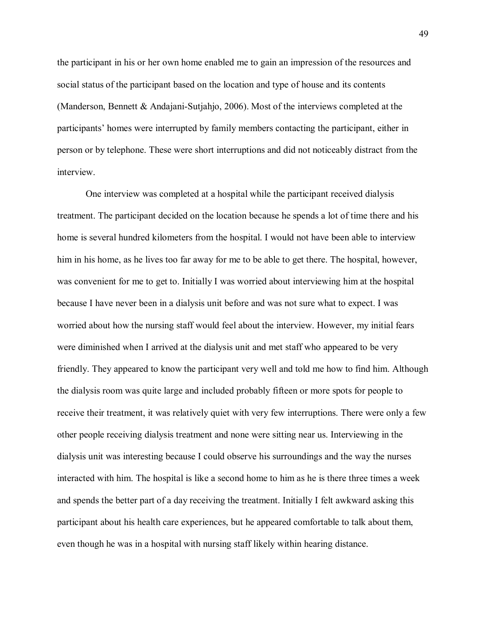the participant in his or her own home enabled me to gain an impression of the resources and social status of the participant based on the location and type of house and its contents (Manderson, Bennett & Andajani-Sutjahjo, 2006). Most of the interviews completed at the participants' homes were interrupted by family members contacting the participant, either in person or by telephone. These were short interruptions and did not noticeably distract from the interview.

One interview was completed at a hospital while the participant received dialysis treatment. The participant decided on the location because he spends a lot of time there and his home is several hundred kilometers from the hospital. I would not have been able to interview him in his home, as he lives too far away for me to be able to get there. The hospital, however, was convenient for me to get to. Initially I was worried about interviewing him at the hospital because I have never been in a dialysis unit before and was not sure what to expect. I was worried about how the nursing staff would feel about the interview. However, my initial fears were diminished when I arrived at the dialysis unit and met staff who appeared to be very friendly. They appeared to know the participant very well and told me how to find him. Although the dialysis room was quite large and included probably fifteen or more spots for people to receive their treatment, it was relatively quiet with very few interruptions. There were only a few other people receiving dialysis treatment and none were sitting near us. Interviewing in the dialysis unit was interesting because I could observe his surroundings and the way the nurses interacted with him. The hospital is like a second home to him as he is there three times a week and spends the better part of a day receiving the treatment. Initially I felt awkward asking this participant about his health care experiences, but he appeared comfortable to talk about them, even though he was in a hospital with nursing staff likely within hearing distance.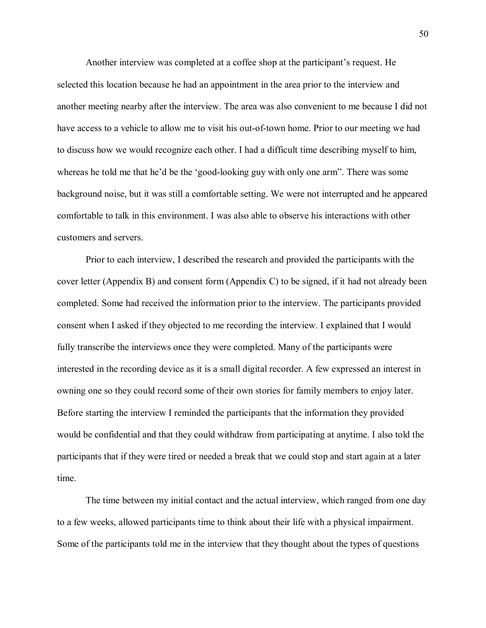Another interview was completed at a coffee shop at the participant's request. He selected this location because he had an appointment in the area prior to the interview and another meeting nearby after the interview. The area was also convenient to me because I did not have access to a vehicle to allow me to visit his out-of-town home. Prior to our meeting we had to discuss how we would recognize each other. I had a difficult time describing myself to him, whereas he told me that he'd be the 'good-looking guy with only one arm". There was some background noise, but it was still a comfortable setting. We were not interrupted and he appeared comfortable to talk in this environment. I was also able to observe his interactions with other customers and servers.

Prior to each interview, I described the research and provided the participants with the cover letter (Appendix B) and consent form (Appendix C) to be signed, if it had not already been completed. Some had received the information prior to the interview. The participants provided consent when I asked if they objected to me recording the interview. I explained that I would fully transcribe the interviews once they were completed. Many of the participants were interested in the recording device as it is a small digital recorder. A few expressed an interest in owning one so they could record some of their own stories for family members to enjoy later. Before starting the interview I reminded the participants that the information they provided would be confidential and that they could withdraw from participating at anytime. I also told the participants that if they were tired or needed a break that we could stop and start again at a later time.

The time between my initial contact and the actual interview, which ranged from one day to a few weeks, allowed participants time to think about their life with a physical impairment. Some of the participants told me in the interview that they thought about the types of questions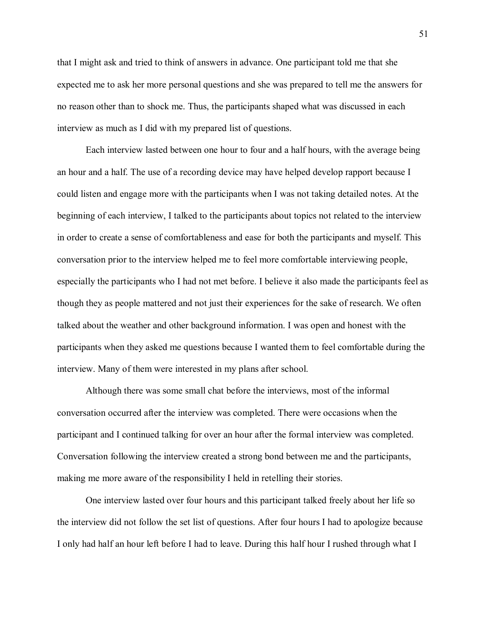that I might ask and tried to think of answers in advance. One participant told me that she expected me to ask her more personal questions and she was prepared to tell me the answers for no reason other than to shock me. Thus, the participants shaped what was discussed in each interview as much as I did with my prepared list of questions.

Each interview lasted between one hour to four and a half hours, with the average being an hour and a half. The use of a recording device may have helped develop rapport because I could listen and engage more with the participants when I was not taking detailed notes. At the beginning of each interview, I talked to the participants about topics not related to the interview in order to create a sense of comfortableness and ease for both the participants and myself. This conversation prior to the interview helped me to feel more comfortable interviewing people, especially the participants who I had not met before. I believe it also made the participants feel as though they as people mattered and not just their experiences for the sake of research. We often talked about the weather and other background information. I was open and honest with the participants when they asked me questions because I wanted them to feel comfortable during the interview. Many of them were interested in my plans after school.

Although there was some small chat before the interviews, most of the informal conversation occurred after the interview was completed. There were occasions when the participant and I continued talking for over an hour after the formal interview was completed. Conversation following the interview created a strong bond between me and the participants, making me more aware of the responsibility I held in retelling their stories.

One interview lasted over four hours and this participant talked freely about her life so the interview did not follow the set list of questions. After four hours I had to apologize because I only had half an hour left before I had to leave. During this half hour I rushed through what I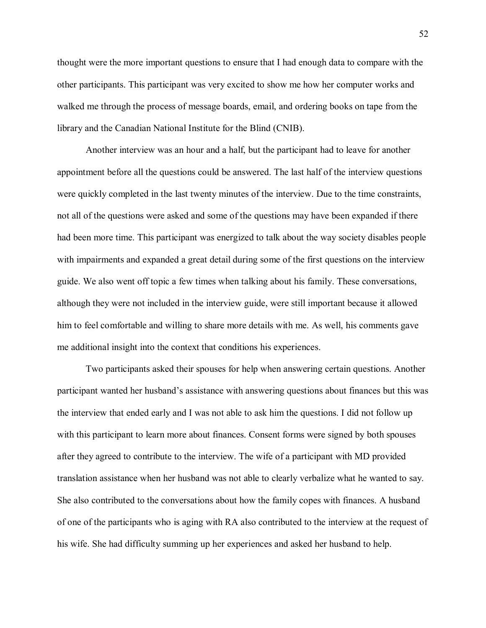thought were the more important questions to ensure that I had enough data to compare with the other participants. This participant was very excited to show me how her computer works and walked me through the process of message boards, email, and ordering books on tape from the library and the Canadian National Institute for the Blind (CNIB).

Another interview was an hour and a half, but the participant had to leave for another appointment before all the questions could be answered. The last half of the interview questions were quickly completed in the last twenty minutes of the interview. Due to the time constraints, not all of the questions were asked and some of the questions may have been expanded if there had been more time. This participant was energized to talk about the way society disables people with impairments and expanded a great detail during some of the first questions on the interview guide. We also went off topic a few times when talking about his family. These conversations, although they were not included in the interview guide, were still important because it allowed him to feel comfortable and willing to share more details with me. As well, his comments gave me additional insight into the context that conditions his experiences.

Two participants asked their spouses for help when answering certain questions. Another participant wanted her husband's assistance with answering questions about finances but this was the interview that ended early and I was not able to ask him the questions. I did not follow up with this participant to learn more about finances. Consent forms were signed by both spouses after they agreed to contribute to the interview. The wife of a participant with MD provided translation assistance when her husband was not able to clearly verbalize what he wanted to say. She also contributed to the conversations about how the family copes with finances. A husband of one of the participants who is aging with RA also contributed to the interview at the request of his wife. She had difficulty summing up her experiences and asked her husband to help.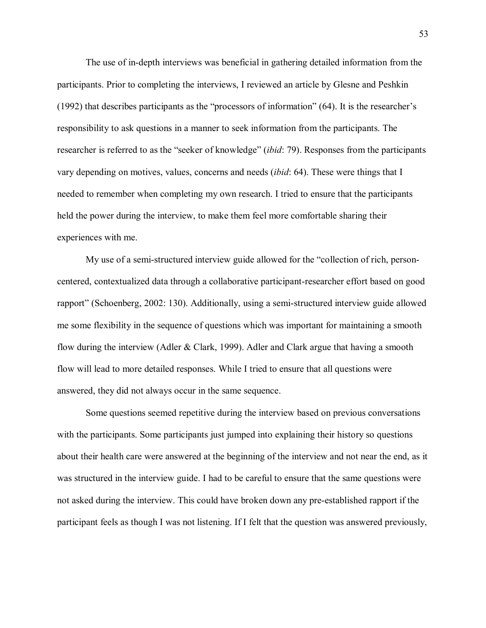The use of in-depth interviews was beneficial in gathering detailed information from the participants. Prior to completing the interviews, I reviewed an article by Glesne and Peshkin  $(1992)$  that describes participants as the "processors of information" (64). It is the researcher's responsibility to ask questions in a manner to seek information from the participants. The researcher is referred to as the "seeker of knowledge" (*ibid*: 79). Responses from the participants vary depending on motives, values, concerns and needs (*ibid*: 64). These were things that I needed to remember when completing my own research. I tried to ensure that the participants held the power during the interview, to make them feel more comfortable sharing their experiences with me.

My use of a semi-structured interview guide allowed for the "collection of rich, personcentered, contextualized data through a collaborative participant-researcher effort based on good rapport" (Schoenberg, 2002: 130). Additionally, using a semi-structured interview guide allowed me some flexibility in the sequence of questions which was important for maintaining a smooth flow during the interview (Adler & Clark, 1999). Adler and Clark argue that having a smooth flow will lead to more detailed responses. While I tried to ensure that all questions were answered, they did not always occur in the same sequence.

Some questions seemed repetitive during the interview based on previous conversations with the participants. Some participants just jumped into explaining their history so questions about their health care were answered at the beginning of the interview and not near the end, as it was structured in the interview guide. I had to be careful to ensure that the same questions were not asked during the interview. This could have broken down any pre-established rapport if the participant feels as though I was not listening. If I felt that the question was answered previously,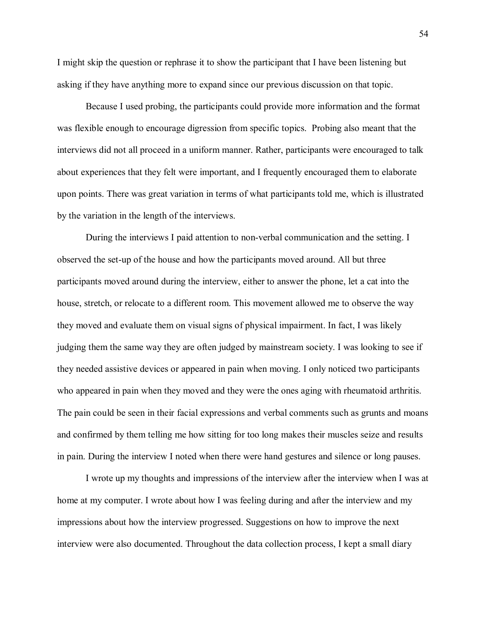I might skip the question or rephrase it to show the participant that I have been listening but asking if they have anything more to expand since our previous discussion on that topic.

Because I used probing, the participants could provide more information and the format was flexible enough to encourage digression from specific topics. Probing also meant that the interviews did not all proceed in a uniform manner. Rather, participants were encouraged to talk about experiences that they felt were important, and I frequently encouraged them to elaborate upon points. There was great variation in terms of what participants told me, which is illustrated by the variation in the length of the interviews.

During the interviews I paid attention to non-verbal communication and the setting. I observed the set-up of the house and how the participants moved around. All but three participants moved around during the interview, either to answer the phone, let a cat into the house, stretch, or relocate to a different room. This movement allowed me to observe the way they moved and evaluate them on visual signs of physical impairment. In fact, I was likely judging them the same way they are often judged by mainstream society. I was looking to see if they needed assistive devices or appeared in pain when moving. I only noticed two participants who appeared in pain when they moved and they were the ones aging with rheumatoid arthritis. The pain could be seen in their facial expressions and verbal comments such as grunts and moans and confirmed by them telling me how sitting for too long makes their muscles seize and results in pain. During the interview I noted when there were hand gestures and silence or long pauses.

I wrote up my thoughts and impressions of the interview after the interview when I was at home at my computer. I wrote about how I was feeling during and after the interview and my impressions about how the interview progressed. Suggestions on how to improve the next interview were also documented. Throughout the data collection process, I kept a small diary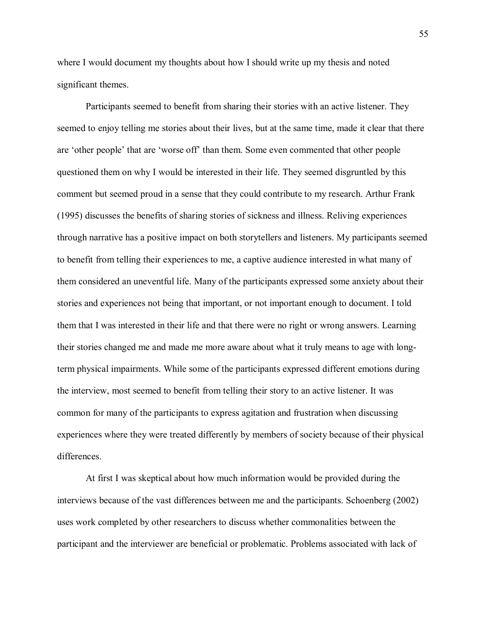where I would document my thoughts about how I should write up my thesis and noted significant themes.

Participants seemed to benefit from sharing their stories with an active listener. They seemed to enjoy telling me stories about their lives, but at the same time, made it clear that there are 'other people' that are 'worse off' than them. Some even commented that other people questioned them on why I would be interested in their life. They seemed disgruntled by this comment but seemed proud in a sense that they could contribute to my research. Arthur Frank (1995) discusses the benefits of sharing stories of sickness and illness. Reliving experiences through narrative has a positive impact on both storytellers and listeners. My participants seemed to benefit from telling their experiences to me, a captive audience interested in what many of them considered an uneventful life. Many of the participants expressed some anxiety about their stories and experiences not being that important, or not important enough to document. I told them that I was interested in their life and that there were no right or wrong answers. Learning their stories changed me and made me more aware about what it truly means to age with longterm physical impairments. While some of the participants expressed different emotions during the interview, most seemed to benefit from telling their story to an active listener. It was common for many of the participants to express agitation and frustration when discussing experiences where they were treated differently by members of society because of their physical differences.

At first I was skeptical about how much information would be provided during the interviews because of the vast differences between me and the participants. Schoenberg (2002) uses work completed by other researchers to discuss whether commonalities between the participant and the interviewer are beneficial or problematic. Problems associated with lack of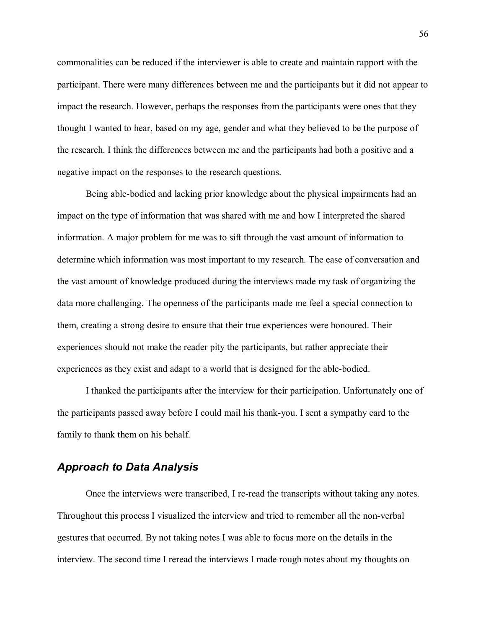commonalities can be reduced if the interviewer is able to create and maintain rapport with the participant. There were many differences between me and the participants but it did not appear to impact the research. However, perhaps the responses from the participants were ones that they thought I wanted to hear, based on my age, gender and what they believed to be the purpose of the research. I think the differences between me and the participants had both a positive and a negative impact on the responses to the research questions.

Being able-bodied and lacking prior knowledge about the physical impairments had an impact on the type of information that was shared with me and how I interpreted the shared information. A major problem for me was to sift through the vast amount of information to determine which information was most important to my research. The ease of conversation and the vast amount of knowledge produced during the interviews made my task of organizing the data more challenging. The openness of the participants made me feel a special connection to them, creating a strong desire to ensure that their true experiences were honoured. Their experiences should not make the reader pity the participants, but rather appreciate their experiences as they exist and adapt to a world that is designed for the able-bodied.

I thanked the participants after the interview for their participation. Unfortunately one of the participants passed away before I could mail his thank-you. I sent a sympathy card to the family to thank them on his behalf.

## *Approach to Data Analysis*

Once the interviews were transcribed, I re-read the transcripts without taking any notes. Throughout this process I visualized the interview and tried to remember all the non-verbal gestures that occurred. By not taking notes I was able to focus more on the details in the interview. The second time I reread the interviews I made rough notes about my thoughts on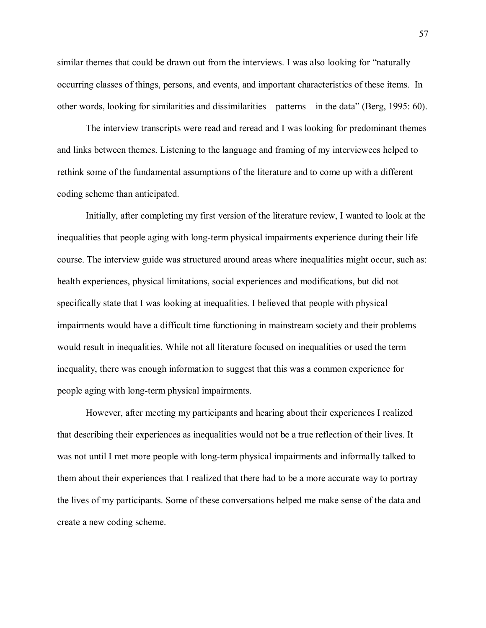similar themes that could be drawn out from the interviews. I was also looking for "naturally occurring classes of things, persons, and events, and important characteristics of these items. In other words, looking for similarities and dissimilarities  $-$  patterns  $-$  in the data" (Berg, 1995: 60).

The interview transcripts were read and reread and I was looking for predominant themes and links between themes. Listening to the language and framing of my interviewees helped to rethink some of the fundamental assumptions of the literature and to come up with a different coding scheme than anticipated.

Initially, after completing my first version of the literature review, I wanted to look at the inequalities that people aging with long-term physical impairments experience during their life course. The interview guide was structured around areas where inequalities might occur, such as: health experiences, physical limitations, social experiences and modifications, but did not specifically state that I was looking at inequalities. I believed that people with physical impairments would have a difficult time functioning in mainstream society and their problems would result in inequalities. While not all literature focused on inequalities or used the term inequality, there was enough information to suggest that this was a common experience for people aging with long-term physical impairments.

However, after meeting my participants and hearing about their experiences I realized that describing their experiences as inequalities would not be a true reflection of their lives. It was not until I met more people with long-term physical impairments and informally talked to them about their experiences that I realized that there had to be a more accurate way to portray the lives of my participants. Some of these conversations helped me make sense of the data and create a new coding scheme.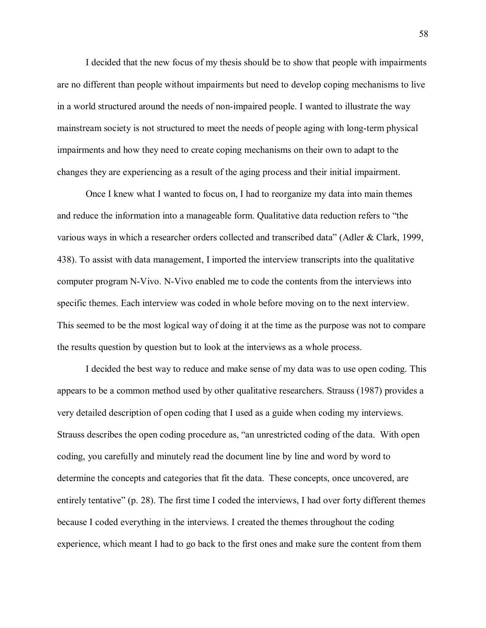I decided that the new focus of my thesis should be to show that people with impairments are no different than people without impairments but need to develop coping mechanisms to live in a world structured around the needs of non-impaired people. I wanted to illustrate the way mainstream society is not structured to meet the needs of people aging with long-term physical impairments and how they need to create coping mechanisms on their own to adapt to the changes they are experiencing as a result of the aging process and their initial impairment.

Once I knew what I wanted to focus on, I had to reorganize my data into main themes and reduce the information into a manageable form. Qualitative data reduction refers to "the various ways in which a researcher orders collected and transcribed data" (Adler & Clark, 1999, 438). To assist with data management, I imported the interview transcripts into the qualitative computer program N-Vivo. N-Vivo enabled me to code the contents from the interviews into specific themes. Each interview was coded in whole before moving on to the next interview. This seemed to be the most logical way of doing it at the time as the purpose was not to compare the results question by question but to look at the interviews as a whole process.

I decided the best way to reduce and make sense of my data was to use open coding. This appears to be a common method used by other qualitative researchers. Strauss (1987) provides a very detailed description of open coding that I used as a guide when coding my interviews. Strauss describes the open coding procedure as, "an unrestricted coding of the data. With open coding, you carefully and minutely read the document line by line and word by word to determine the concepts and categories that fit the data. These concepts, once uncovered, are entirely tentative"  $(p. 28)$ . The first time I coded the interviews, I had over forty different themes because I coded everything in the interviews. I created the themes throughout the coding experience, which meant I had to go back to the first ones and make sure the content from them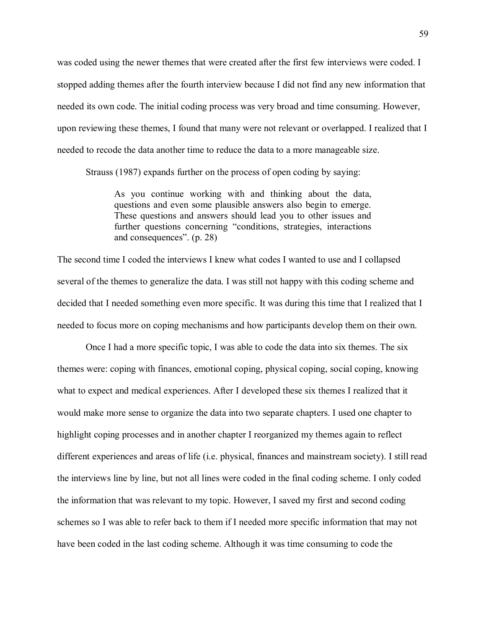was coded using the newer themes that were created after the first few interviews were coded. I stopped adding themes after the fourth interview because I did not find any new information that needed its own code. The initial coding process was very broad and time consuming. However, upon reviewing these themes, I found that many were not relevant or overlapped. I realized that I needed to recode the data another time to reduce the data to a more manageable size.

Strauss (1987) expands further on the process of open coding by saying:

As you continue working with and thinking about the data, questions and even some plausible answers also begin to emerge. These questions and answers should lead you to other issues and further questions concerning "conditions, strategies, interactions and consequences".  $(p. 28)$ 

The second time I coded the interviews I knew what codes I wanted to use and I collapsed several of the themes to generalize the data. I was still not happy with this coding scheme and decided that I needed something even more specific. It was during this time that I realized that I needed to focus more on coping mechanisms and how participants develop them on their own.

Once I had a more specific topic, I was able to code the data into six themes. The six themes were: coping with finances, emotional coping, physical coping, social coping, knowing what to expect and medical experiences. After I developed these six themes I realized that it would make more sense to organize the data into two separate chapters. I used one chapter to highlight coping processes and in another chapter I reorganized my themes again to reflect different experiences and areas of life (i.e. physical, finances and mainstream society). I still read the interviews line by line, but not all lines were coded in the final coding scheme. I only coded the information that was relevant to my topic. However, I saved my first and second coding schemes so I was able to refer back to them if I needed more specific information that may not have been coded in the last coding scheme. Although it was time consuming to code the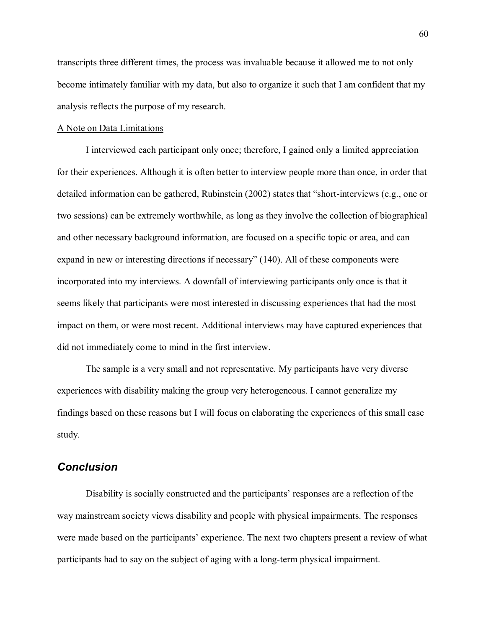transcripts three different times, the process was invaluable because it allowed me to not only become intimately familiar with my data, but also to organize it such that I am confident that my analysis reflects the purpose of my research.

### A Note on Data Limitations

I interviewed each participant only once; therefore, I gained only a limited appreciation for their experiences. Although it is often better to interview people more than once, in order that detailed information can be gathered, Rubinstein  $(2002)$  states that "short-interviews (e.g., one or two sessions) can be extremely worthwhile, as long as they involve the collection of biographical and other necessary background information, are focused on a specific topic or area, and can expand in new or interesting directions if necessary"  $(140)$ . All of these components were incorporated into my interviews. A downfall of interviewing participants only once is that it seems likely that participants were most interested in discussing experiences that had the most impact on them, or were most recent. Additional interviews may have captured experiences that did not immediately come to mind in the first interview.

The sample is a very small and not representative. My participants have very diverse experiences with disability making the group very heterogeneous. I cannot generalize my findings based on these reasons but I will focus on elaborating the experiences of this small case study.

## *Conclusion*

Disability is socially constructed and the participants' responses are a reflection of the way mainstream society views disability and people with physical impairments. The responses were made based on the participants' experience. The next two chapters present a review of what participants had to say on the subject of aging with a long-term physical impairment.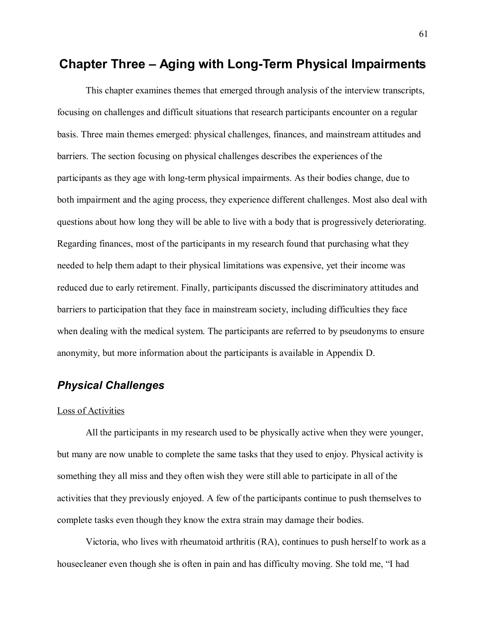# **Chapter Three Aging with Long-Term Physical Impairments**

This chapter examines themes that emerged through analysis of the interview transcripts, focusing on challenges and difficult situations that research participants encounter on a regular basis. Three main themes emerged: physical challenges, finances, and mainstream attitudes and barriers. The section focusing on physical challenges describes the experiences of the participants as they age with long-term physical impairments. As their bodies change, due to both impairment and the aging process, they experience different challenges. Most also deal with questions about how long they will be able to live with a body that is progressively deteriorating. Regarding finances, most of the participants in my research found that purchasing what they needed to help them adapt to their physical limitations was expensive, yet their income was reduced due to early retirement. Finally, participants discussed the discriminatory attitudes and barriers to participation that they face in mainstream society, including difficulties they face when dealing with the medical system. The participants are referred to by pseudonyms to ensure anonymity, but more information about the participants is available in Appendix D.

# *Physical Challenges*

### Loss of Activities

All the participants in my research used to be physically active when they were younger, but many are now unable to complete the same tasks that they used to enjoy. Physical activity is something they all miss and they often wish they were still able to participate in all of the activities that they previously enjoyed. A few of the participants continue to push themselves to complete tasks even though they know the extra strain may damage their bodies.

Victoria, who lives with rheumatoid arthritis (RA), continues to push herself to work as a housecleaner even though she is often in pain and has difficulty moving. She told me, "I had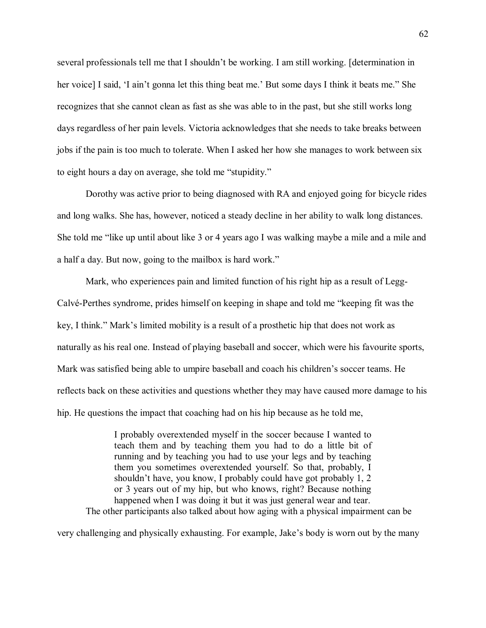several professionals tell me that I shouldn't be working. I am still working. [determination in her voice] I said, 'I ain't gonna let this thing beat me.' But some days I think it beats me." She recognizes that she cannot clean as fast as she was able to in the past, but she still works long days regardless of her pain levels. Victoria acknowledges that she needs to take breaks between jobs if the pain is too much to tolerate. When I asked her how she manages to work between six to eight hours a day on average, she told me "stupidity."

Dorothy was active prior to being diagnosed with RA and enjoyed going for bicycle rides and long walks. She has, however, noticed a steady decline in her ability to walk long distances. She told me "like up until about like 3 or 4 years ago I was walking maybe a mile and a mile and a half a day. But now, going to the mailbox is hard work.

Mark, who experiences pain and limited function of his right hip as a result of Legg-Calvé-Perthes syndrome, prides himself on keeping in shape and told me "keeping fit was the key, I think." Mark's limited mobility is a result of a prosthetic hip that does not work as naturally as his real one. Instead of playing baseball and soccer, which were his favourite sports, Mark was satisfied being able to umpire baseball and coach his children's soccer teams. He reflects back on these activities and questions whether they may have caused more damage to his hip. He questions the impact that coaching had on his hip because as he told me,

I probably overextended myself in the soccer because I wanted to teach them and by teaching them you had to do a little bit of running and by teaching you had to use your legs and by teaching them you sometimes overextended yourself. So that, probably, I shouldn't have, you know, I probably could have got probably  $1, 2$ or 3 years out of my hip, but who knows, right? Because nothing happened when I was doing it but it was just general wear and tear. The other participants also talked about how aging with a physical impairment can be

very challenging and physically exhausting. For example, Jake's body is worn out by the many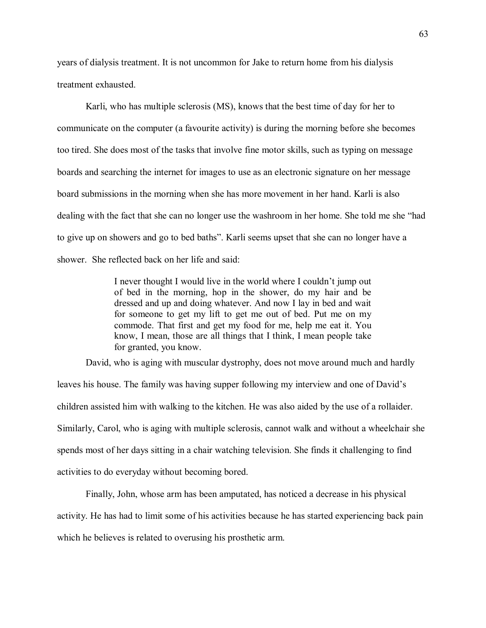years of dialysis treatment. It is not uncommon for Jake to return home from his dialysis treatment exhausted.

Karli, who has multiple sclerosis (MS), knows that the best time of day for her to communicate on the computer (a favourite activity) is during the morning before she becomes too tired. She does most of the tasks that involve fine motor skills, such as typing on message boards and searching the internet for images to use as an electronic signature on her message board submissions in the morning when she has more movement in her hand. Karli is also dealing with the fact that she can no longer use the washroom in her home. She told me she "had to give up on showers and go to bed baths". Karli seems upset that she can no longer have a shower. She reflected back on her life and said:

> I never thought I would live in the world where I couldn't jump out of bed in the morning, hop in the shower, do my hair and be dressed and up and doing whatever. And now I lay in bed and wait for someone to get my lift to get me out of bed. Put me on my commode. That first and get my food for me, help me eat it. You know, I mean, those are all things that I think, I mean people take for granted, you know.

David, who is aging with muscular dystrophy, does not move around much and hardly

leaves his house. The family was having supper following my interview and one of David's children assisted him with walking to the kitchen. He was also aided by the use of a rollaider. Similarly, Carol, who is aging with multiple sclerosis, cannot walk and without a wheelchair she spends most of her days sitting in a chair watching television. She finds it challenging to find activities to do everyday without becoming bored.

Finally, John, whose arm has been amputated, has noticed a decrease in his physical activity. He has had to limit some of his activities because he has started experiencing back pain which he believes is related to overusing his prosthetic arm.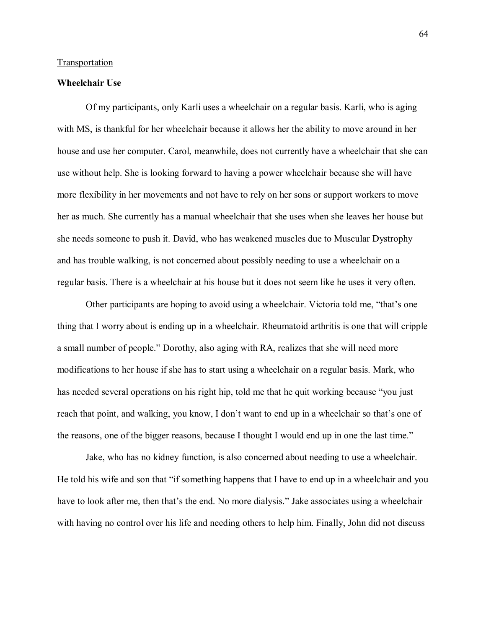### Transportation

### **Wheelchair Use**

Of my participants, only Karli uses a wheelchair on a regular basis. Karli, who is aging with MS, is thankful for her wheelchair because it allows her the ability to move around in her house and use her computer. Carol, meanwhile, does not currently have a wheelchair that she can use without help. She is looking forward to having a power wheelchair because she will have more flexibility in her movements and not have to rely on her sons or support workers to move her as much. She currently has a manual wheelchair that she uses when she leaves her house but she needs someone to push it. David, who has weakened muscles due to Muscular Dystrophy and has trouble walking, is not concerned about possibly needing to use a wheelchair on a regular basis. There is a wheelchair at his house but it does not seem like he uses it very often.

Other participants are hoping to avoid using a wheelchair. Victoria told me, "that's one thing that I worry about is ending up in a wheelchair. Rheumatoid arthritis is one that will cripple a small number of people." Dorothy, also aging with RA, realizes that she will need more modifications to her house if she has to start using a wheelchair on a regular basis. Mark, who has needed several operations on his right hip, told me that he quit working because "you just reach that point, and walking, you know, I don't want to end up in a wheelchair so that's one of the reasons, one of the bigger reasons, because I thought I would end up in one the last time.

Jake, who has no kidney function, is also concerned about needing to use a wheelchair. He told his wife and son that "if something happens that I have to end up in a wheelchair and you have to look after me, then that's the end. No more dialysis." Jake associates using a wheelchair with having no control over his life and needing others to help him. Finally, John did not discuss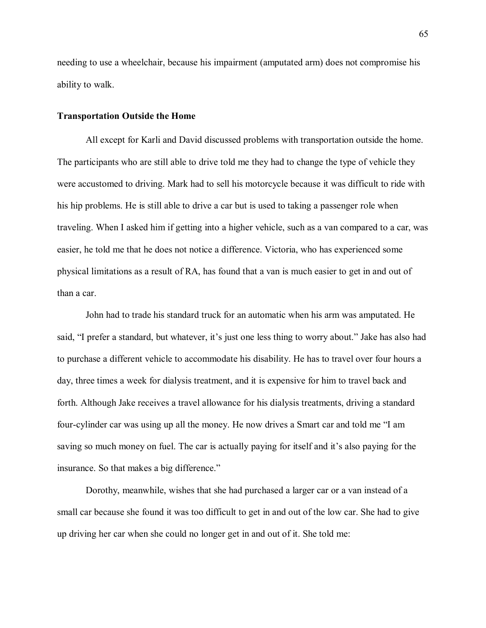needing to use a wheelchair, because his impairment (amputated arm) does not compromise his ability to walk.

### **Transportation Outside the Home**

All except for Karli and David discussed problems with transportation outside the home. The participants who are still able to drive told me they had to change the type of vehicle they were accustomed to driving. Mark had to sell his motorcycle because it was difficult to ride with his hip problems. He is still able to drive a car but is used to taking a passenger role when traveling. When I asked him if getting into a higher vehicle, such as a van compared to a car, was easier, he told me that he does not notice a difference. Victoria, who has experienced some physical limitations as a result of RA, has found that a van is much easier to get in and out of than a car.

John had to trade his standard truck for an automatic when his arm was amputated. He said, "I prefer a standard, but whatever, it's just one less thing to worry about." Jake has also had to purchase a different vehicle to accommodate his disability. He has to travel over four hours a day, three times a week for dialysis treatment, and it is expensive for him to travel back and forth. Although Jake receives a travel allowance for his dialysis treatments, driving a standard four-cylinder car was using up all the money. He now drives a Smart car and told me "I am saying so much money on fuel. The car is actually paying for itself and it's also paying for the insurance. So that makes a big difference.

Dorothy, meanwhile, wishes that she had purchased a larger car or a van instead of a small car because she found it was too difficult to get in and out of the low car. She had to give up driving her car when she could no longer get in and out of it. She told me: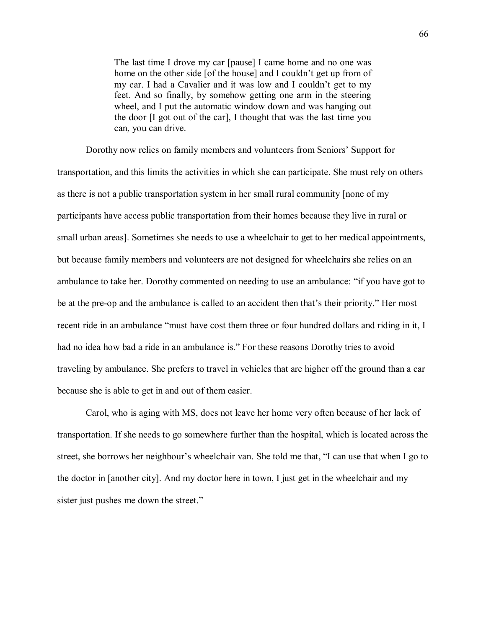The last time I drove my car [pause] I came home and no one was home on the other side [of the house] and I couldn't get up from of my car. I had a Cavalier and it was low and I couldn't get to my feet. And so finally, by somehow getting one arm in the steering wheel, and I put the automatic window down and was hanging out the door [I got out of the car], I thought that was the last time you can, you can drive.

Dorothy now relies on family members and volunteers from Seniors' Support for transportation, and this limits the activities in which she can participate. She must rely on others as there is not a public transportation system in her small rural community [none of my participants have access public transportation from their homes because they live in rural or small urban areas]. Sometimes she needs to use a wheelchair to get to her medical appointments, but because family members and volunteers are not designed for wheelchairs she relies on an ambulance to take her. Dorothy commented on needing to use an ambulance: "if you have got to be at the pre-op and the ambulance is called to an accident then that's their priority." Her most recent ride in an ambulance "must have cost them three or four hundred dollars and riding in it, I had no idea how bad a ride in an ambulance is." For these reasons Dorothy tries to avoid traveling by ambulance. She prefers to travel in vehicles that are higher off the ground than a car because she is able to get in and out of them easier.

Carol, who is aging with MS, does not leave her home very often because of her lack of transportation. If she needs to go somewhere further than the hospital, which is located across the street, she borrows her neighbour's wheelchair van. She told me that, "I can use that when I go to the doctor in [another city]. And my doctor here in town, I just get in the wheelchair and my sister just pushes me down the street."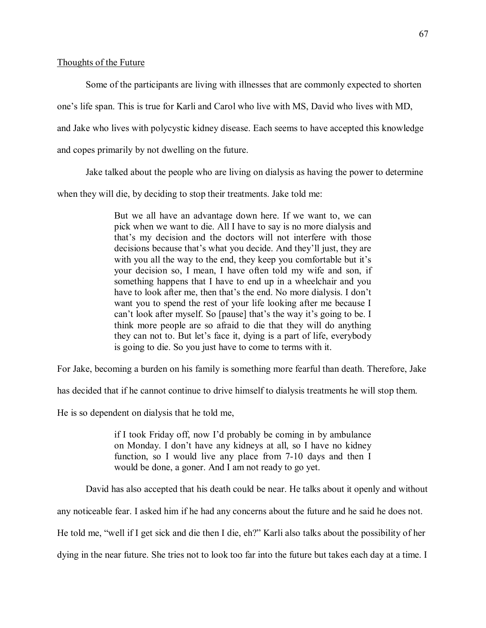### Thoughts of the Future

Some of the participants are living with illnesses that are commonly expected to shorten

one's life span. This is true for Karli and Carol who live with MS, David who lives with MD,

and Jake who lives with polycystic kidney disease. Each seems to have accepted this knowledge

and copes primarily by not dwelling on the future.

Jake talked about the people who are living on dialysis as having the power to determine

when they will die, by deciding to stop their treatments. Jake told me:

But we all have an advantage down here. If we want to, we can pick when we want to die. All I have to say is no more dialysis and that's my decision and the doctors will not interfere with those decisions because that's what you decide. And they'll just, they are with you all the way to the end, they keep you comfortable but it's your decision so, I mean, I have often told my wife and son, if something happens that I have to end up in a wheelchair and you have to look after me, then that's the end. No more dialysis. I don't want you to spend the rest of your life looking after me because I can't look after myself. So [pause] that's the way it's going to be. I think more people are so afraid to die that they will do anything they can not to. But let's face it, dying is a part of life, everybody is going to die. So you just have to come to terms with it.

For Jake, becoming a burden on his family is something more fearful than death. Therefore, Jake

has decided that if he cannot continue to drive himself to dialysis treatments he will stop them.

He is so dependent on dialysis that he told me,

if I took Friday off, now I'd probably be coming in by ambulance on Monday. I don't have any kidneys at all, so I have no kidney function, so I would live any place from 7-10 days and then I would be done, a goner. And I am not ready to go yet.

David has also accepted that his death could be near. He talks about it openly and without

any noticeable fear. I asked him if he had any concerns about the future and he said he does not.

He told me, "well if I get sick and die then I die, eh?" Karli also talks about the possibility of her

dying in the near future. She tries not to look too far into the future but takes each day at a time. I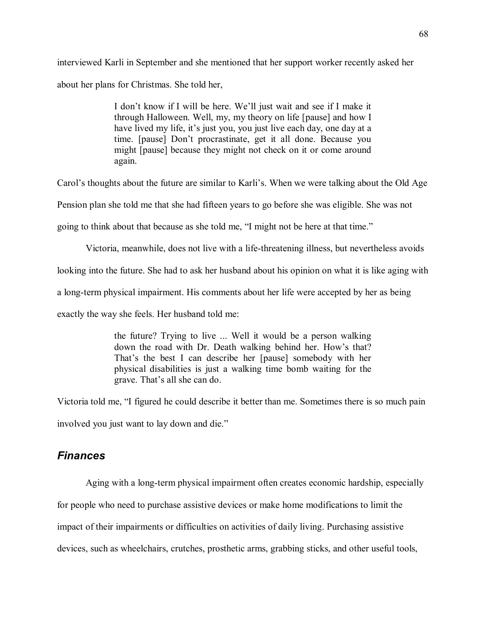interviewed Karli in September and she mentioned that her support worker recently asked her about her plans for Christmas. She told her,

> I don't know if I will be here. We'll just wait and see if I make it through Halloween. Well, my, my theory on life [pause] and how I have lived my life, it's just you, you just live each day, one day at a time. [pause] Don't procrastinate, get it all done. Because you might [pause] because they might not check on it or come around again.

Carol's thoughts about the future are similar to Karli's. When we were talking about the Old Age

Pension plan she told me that she had fifteen years to go before she was eligible. She was not

going to think about that because as she told me, "I might not be here at that time."

Victoria, meanwhile, does not live with a life-threatening illness, but nevertheless avoids

looking into the future. She had to ask her husband about his opinion on what it is like aging with

a long-term physical impairment. His comments about her life were accepted by her as being

exactly the way she feels. Her husband told me:

the future? Trying to live ... Well it would be a person walking down the road with Dr. Death walking behind her. How's that? That's the best I can describe her [pause] somebody with her physical disabilities is just a walking time bomb waiting for the grave. That's all she can do.

Victoria told me, "I figured he could describe it better than me. Sometimes there is so much pain involved you just want to lay down and die.

## *Finances*

Aging with a long-term physical impairment often creates economic hardship, especially

for people who need to purchase assistive devices or make home modifications to limit the

impact of their impairments or difficulties on activities of daily living. Purchasing assistive

devices, such as wheelchairs, crutches, prosthetic arms, grabbing sticks, and other useful tools,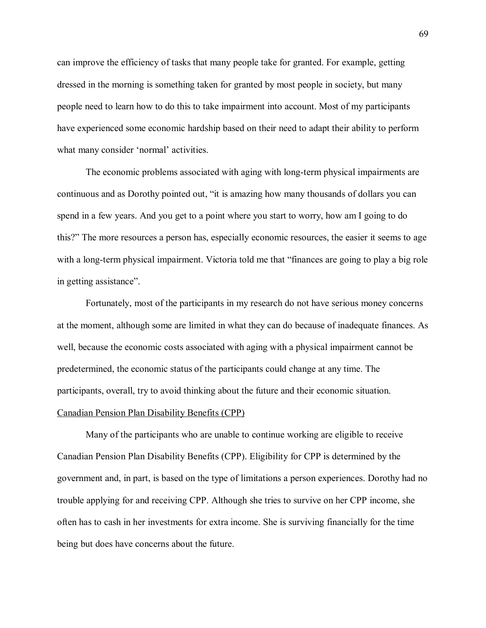can improve the efficiency of tasks that many people take for granted. For example, getting dressed in the morning is something taken for granted by most people in society, but many people need to learn how to do this to take impairment into account. Most of my participants have experienced some economic hardship based on their need to adapt their ability to perform what many consider 'normal' activities.

The economic problems associated with aging with long-term physical impairments are continuous and as Dorothy pointed out, "it is amazing how many thousands of dollars you can spend in a few years. And you get to a point where you start to worry, how am I going to do this?" The more resources a person has, especially economic resources, the easier it seems to age with a long-term physical impairment. Victoria told me that "finances are going to play a big role in getting assistance".

Fortunately, most of the participants in my research do not have serious money concerns at the moment, although some are limited in what they can do because of inadequate finances. As well, because the economic costs associated with aging with a physical impairment cannot be predetermined, the economic status of the participants could change at any time. The participants, overall, try to avoid thinking about the future and their economic situation. Canadian Pension Plan Disability Benefits (CPP)

Many of the participants who are unable to continue working are eligible to receive Canadian Pension Plan Disability Benefits (CPP). Eligibility for CPP is determined by the government and, in part, is based on the type of limitations a person experiences. Dorothy had no trouble applying for and receiving CPP. Although she tries to survive on her CPP income, she often has to cash in her investments for extra income. She is surviving financially for the time being but does have concerns about the future.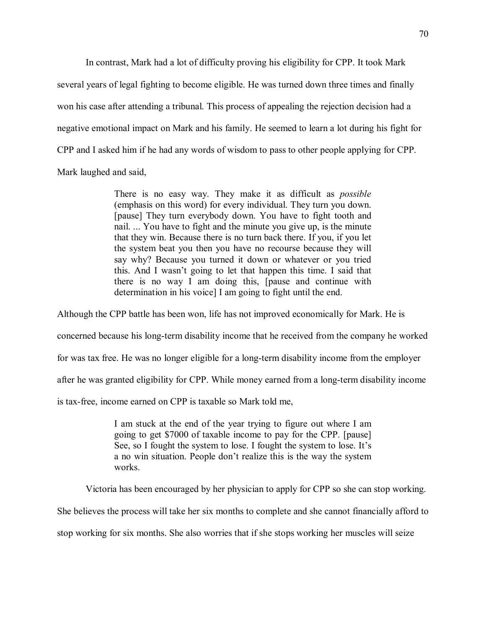In contrast, Mark had a lot of difficulty proving his eligibility for CPP. It took Mark several years of legal fighting to become eligible. He was turned down three times and finally won his case after attending a tribunal. This process of appealing the rejection decision had a negative emotional impact on Mark and his family. He seemed to learn a lot during his fight for CPP and I asked him if he had any words of wisdom to pass to other people applying for CPP. Mark laughed and said,

> There is no easy way. They make it as difficult as *possible*  (emphasis on this word) for every individual. They turn you down. [pause] They turn everybody down. You have to fight tooth and nail. ... You have to fight and the minute you give up, is the minute that they win. Because there is no turn back there. If you, if you let the system beat you then you have no recourse because they will say why? Because you turned it down or whatever or you tried this. And I wasn't going to let that happen this time. I said that there is no way I am doing this, [pause and continue with determination in his voice] I am going to fight until the end.

Although the CPP battle has been won, life has not improved economically for Mark. He is

concerned because his long-term disability income that he received from the company he worked

for was tax free. He was no longer eligible for a long-term disability income from the employer

after he was granted eligibility for CPP. While money earned from a long-term disability income

is tax-free, income earned on CPP is taxable so Mark told me,

I am stuck at the end of the year trying to figure out where I am going to get \$7000 of taxable income to pay for the CPP. [pause] See, so I fought the system to lose. I fought the system to lose. It's a no win situation. People don't realize this is the way the system works.

Victoria has been encouraged by her physician to apply for CPP so she can stop working.

She believes the process will take her six months to complete and she cannot financially afford to

stop working for six months. She also worries that if she stops working her muscles will seize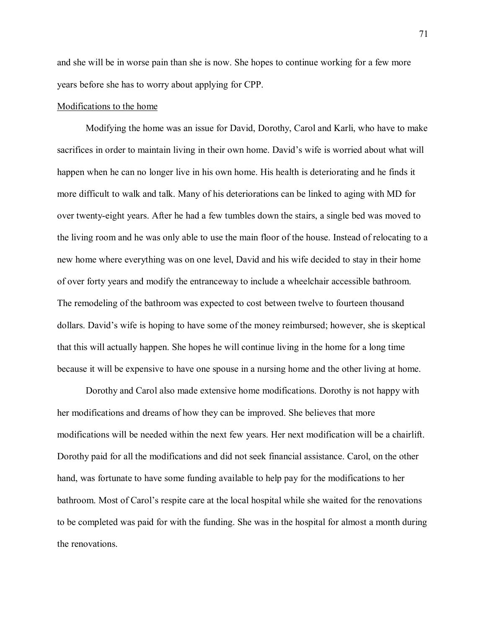and she will be in worse pain than she is now. She hopes to continue working for a few more years before she has to worry about applying for CPP.

### Modifications to the home

Modifying the home was an issue for David, Dorothy, Carol and Karli, who have to make sacrifices in order to maintain living in their own home. David's wife is worried about what will happen when he can no longer live in his own home. His health is deteriorating and he finds it more difficult to walk and talk. Many of his deteriorations can be linked to aging with MD for over twenty-eight years. After he had a few tumbles down the stairs, a single bed was moved to the living room and he was only able to use the main floor of the house. Instead of relocating to a new home where everything was on one level, David and his wife decided to stay in their home of over forty years and modify the entranceway to include a wheelchair accessible bathroom. The remodeling of the bathroom was expected to cost between twelve to fourteen thousand dollars. David's wife is hoping to have some of the money reimbursed; however, she is skeptical that this will actually happen. She hopes he will continue living in the home for a long time because it will be expensive to have one spouse in a nursing home and the other living at home.

Dorothy and Carol also made extensive home modifications. Dorothy is not happy with her modifications and dreams of how they can be improved. She believes that more modifications will be needed within the next few years. Her next modification will be a chairlift. Dorothy paid for all the modifications and did not seek financial assistance. Carol, on the other hand, was fortunate to have some funding available to help pay for the modifications to her bathroom. Most of Carol's respite care at the local hospital while she waited for the renovations to be completed was paid for with the funding. She was in the hospital for almost a month during the renovations.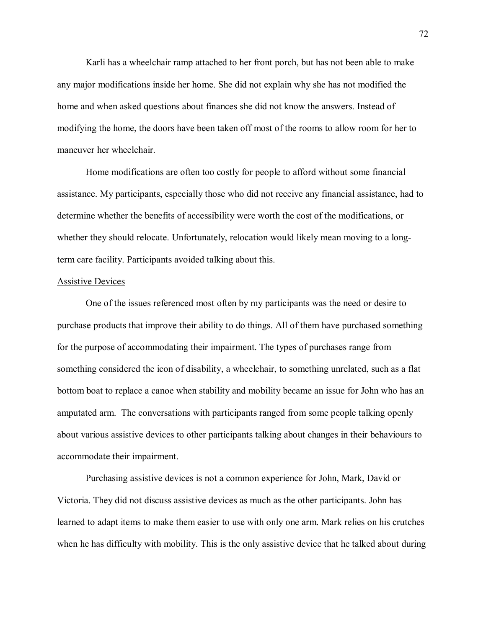Karli has a wheelchair ramp attached to her front porch, but has not been able to make any major modifications inside her home. She did not explain why she has not modified the home and when asked questions about finances she did not know the answers. Instead of modifying the home, the doors have been taken off most of the rooms to allow room for her to maneuver her wheelchair.

Home modifications are often too costly for people to afford without some financial assistance. My participants, especially those who did not receive any financial assistance, had to determine whether the benefits of accessibility were worth the cost of the modifications, or whether they should relocate. Unfortunately, relocation would likely mean moving to a longterm care facility. Participants avoided talking about this.

#### Assistive Devices

 One of the issues referenced most often by my participants was the need or desire to purchase products that improve their ability to do things. All of them have purchased something for the purpose of accommodating their impairment. The types of purchases range from something considered the icon of disability, a wheelchair, to something unrelated, such as a flat bottom boat to replace a canoe when stability and mobility became an issue for John who has an amputated arm. The conversations with participants ranged from some people talking openly about various assistive devices to other participants talking about changes in their behaviours to accommodate their impairment.

Purchasing assistive devices is not a common experience for John, Mark, David or Victoria. They did not discuss assistive devices as much as the other participants. John has learned to adapt items to make them easier to use with only one arm. Mark relies on his crutches when he has difficulty with mobility. This is the only assistive device that he talked about during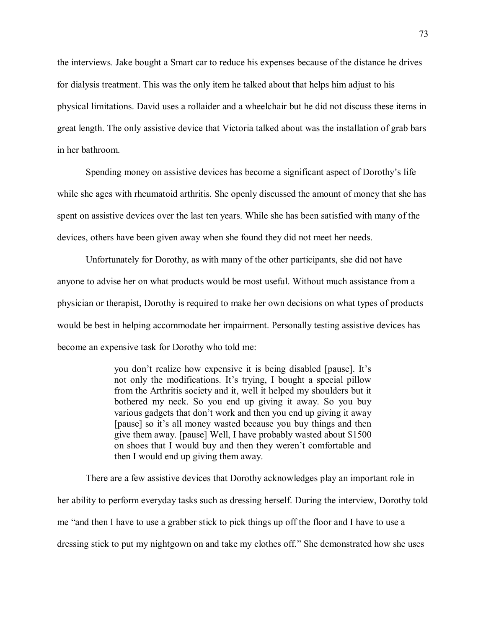the interviews. Jake bought a Smart car to reduce his expenses because of the distance he drives for dialysis treatment. This was the only item he talked about that helps him adjust to his physical limitations. David uses a rollaider and a wheelchair but he did not discuss these items in great length. The only assistive device that Victoria talked about was the installation of grab bars in her bathroom.

Spending money on assistive devices has become a significant aspect of Dorothy's life while she ages with rheumatoid arthritis. She openly discussed the amount of money that she has spent on assistive devices over the last ten years. While she has been satisfied with many of the devices, others have been given away when she found they did not meet her needs.

Unfortunately for Dorothy, as with many of the other participants, she did not have anyone to advise her on what products would be most useful. Without much assistance from a physician or therapist, Dorothy is required to make her own decisions on what types of products would be best in helping accommodate her impairment. Personally testing assistive devices has become an expensive task for Dorothy who told me:

> you don't realize how expensive it is being disabled [pause]. It's not only the modifications. It's trying, I bought a special pillow from the Arthritis society and it, well it helped my shoulders but it bothered my neck. So you end up giving it away. So you buy various gadgets that don't work and then you end up giving it away [pause] so it's all money wasted because you buy things and then give them away. [pause] Well, I have probably wasted about \$1500 on shoes that I would buy and then they weren't comfortable and then I would end up giving them away.

There are a few assistive devices that Dorothy acknowledges play an important role in her ability to perform everyday tasks such as dressing herself. During the interview, Dorothy told me "and then I have to use a grabber stick to pick things up off the floor and I have to use a dressing stick to put my nightgown on and take my clothes off." She demonstrated how she uses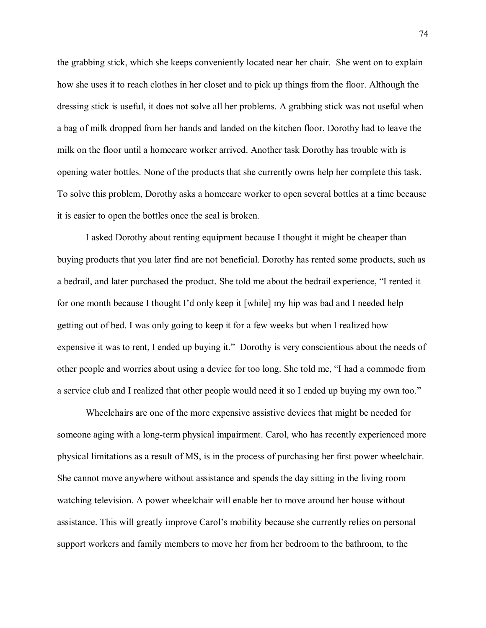the grabbing stick, which she keeps conveniently located near her chair. She went on to explain how she uses it to reach clothes in her closet and to pick up things from the floor. Although the dressing stick is useful, it does not solve all her problems. A grabbing stick was not useful when a bag of milk dropped from her hands and landed on the kitchen floor. Dorothy had to leave the milk on the floor until a homecare worker arrived. Another task Dorothy has trouble with is opening water bottles. None of the products that she currently owns help her complete this task. To solve this problem, Dorothy asks a homecare worker to open several bottles at a time because it is easier to open the bottles once the seal is broken.

I asked Dorothy about renting equipment because I thought it might be cheaper than buying products that you later find are not beneficial. Dorothy has rented some products, such as a bedrail, and later purchased the product. She told me about the bedrail experience, "I rented it for one month because I thought I'd only keep it [while] my hip was bad and I needed help getting out of bed. I was only going to keep it for a few weeks but when I realized how expensive it was to rent, I ended up buying it." Dorothy is very conscientious about the needs of other people and worries about using a device for too long. She told me, I had a commode from a service club and I realized that other people would need it so I ended up buying my own too.

Wheelchairs are one of the more expensive assistive devices that might be needed for someone aging with a long-term physical impairment. Carol, who has recently experienced more physical limitations as a result of MS, is in the process of purchasing her first power wheelchair. She cannot move anywhere without assistance and spends the day sitting in the living room watching television. A power wheelchair will enable her to move around her house without assistance. This will greatly improve Carol's mobility because she currently relies on personal support workers and family members to move her from her bedroom to the bathroom, to the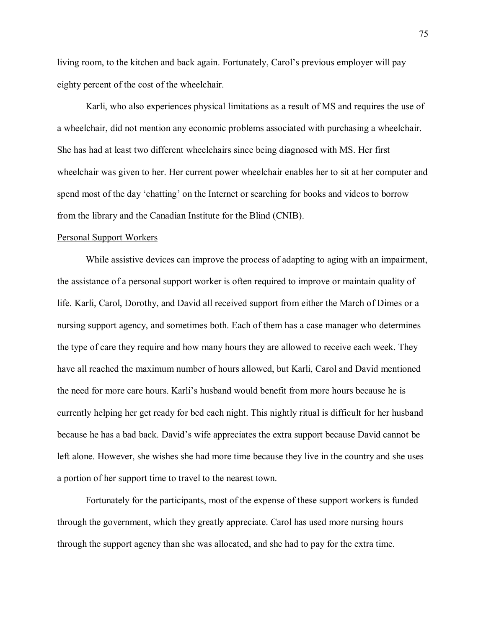living room, to the kitchen and back again. Fortunately, Carol's previous employer will pay eighty percent of the cost of the wheelchair.

Karli, who also experiences physical limitations as a result of MS and requires the use of a wheelchair, did not mention any economic problems associated with purchasing a wheelchair. She has had at least two different wheelchairs since being diagnosed with MS. Her first wheelchair was given to her. Her current power wheelchair enables her to sit at her computer and spend most of the day 'chatting' on the Internet or searching for books and videos to borrow from the library and the Canadian Institute for the Blind (CNIB).

#### Personal Support Workers

While assistive devices can improve the process of adapting to aging with an impairment, the assistance of a personal support worker is often required to improve or maintain quality of life. Karli, Carol, Dorothy, and David all received support from either the March of Dimes or a nursing support agency, and sometimes both. Each of them has a case manager who determines the type of care they require and how many hours they are allowed to receive each week. They have all reached the maximum number of hours allowed, but Karli, Carol and David mentioned the need for more care hours. Karli's husband would benefit from more hours because he is currently helping her get ready for bed each night. This nightly ritual is difficult for her husband because he has a bad back. David's wife appreciates the extra support because David cannot be left alone. However, she wishes she had more time because they live in the country and she uses a portion of her support time to travel to the nearest town.

Fortunately for the participants, most of the expense of these support workers is funded through the government, which they greatly appreciate. Carol has used more nursing hours through the support agency than she was allocated, and she had to pay for the extra time.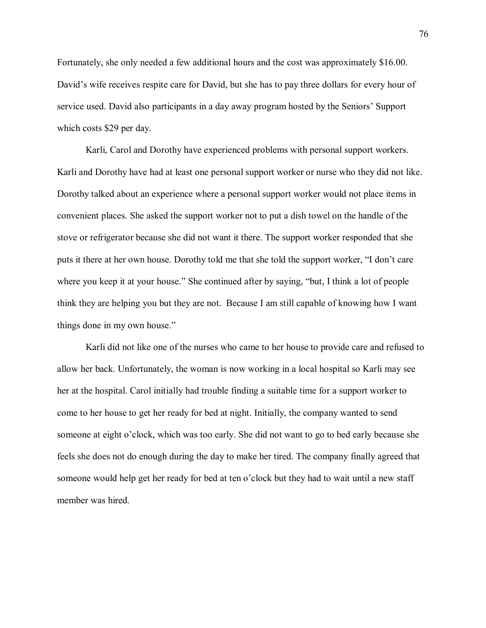Fortunately, she only needed a few additional hours and the cost was approximately \$16.00. David's wife receives respite care for David, but she has to pay three dollars for every hour of service used. David also participants in a day away program hosted by the Seniors' Support which costs \$29 per day.

Karli, Carol and Dorothy have experienced problems with personal support workers. Karli and Dorothy have had at least one personal support worker or nurse who they did not like. Dorothy talked about an experience where a personal support worker would not place items in convenient places. She asked the support worker not to put a dish towel on the handle of the stove or refrigerator because she did not want it there. The support worker responded that she puts it there at her own house. Dorothy told me that she told the support worker, "I don't care where you keep it at your house." She continued after by saying, "but, I think a lot of people think they are helping you but they are not. Because I am still capable of knowing how I want things done in my own house.

Karli did not like one of the nurses who came to her house to provide care and refused to allow her back. Unfortunately, the woman is now working in a local hospital so Karli may see her at the hospital. Carol initially had trouble finding a suitable time for a support worker to come to her house to get her ready for bed at night. Initially, the company wanted to send someone at eight o'clock, which was too early. She did not want to go to bed early because she feels she does not do enough during the day to make her tired. The company finally agreed that someone would help get her ready for bed at ten o'clock but they had to wait until a new staff member was hired.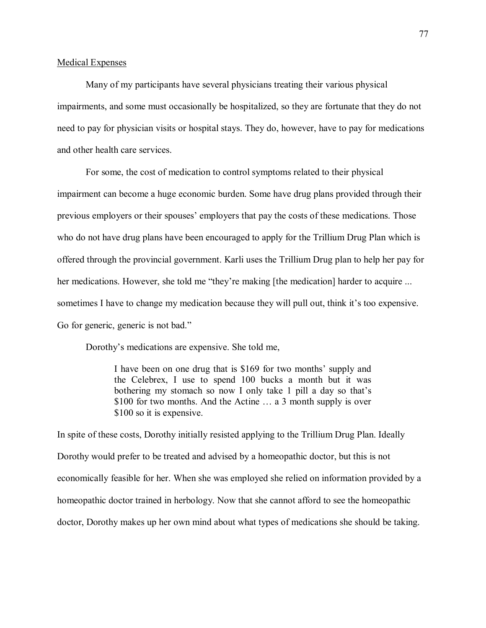### Medical Expenses

Many of my participants have several physicians treating their various physical impairments, and some must occasionally be hospitalized, so they are fortunate that they do not need to pay for physician visits or hospital stays. They do, however, have to pay for medications and other health care services.

For some, the cost of medication to control symptoms related to their physical impairment can become a huge economic burden. Some have drug plans provided through their previous employers or their spouses' employers that pay the costs of these medications. Those who do not have drug plans have been encouraged to apply for the Trillium Drug Plan which is offered through the provincial government. Karli uses the Trillium Drug plan to help her pay for her medications. However, she told me "they're making [the medication] harder to acquire ... sometimes I have to change my medication because they will pull out, think it's too expensive. Go for generic, generic is not bad."

Dorothy's medications are expensive. She told me,

I have been on one drug that is \$169 for two months' supply and the Celebrex, I use to spend 100 bucks a month but it was bothering my stomach so now I only take 1 pill a day so that's \$100 for two months. And the Actine  $\dots$  a 3 month supply is over \$100 so it is expensive.

In spite of these costs, Dorothy initially resisted applying to the Trillium Drug Plan. Ideally Dorothy would prefer to be treated and advised by a homeopathic doctor, but this is not economically feasible for her. When she was employed she relied on information provided by a homeopathic doctor trained in herbology. Now that she cannot afford to see the homeopathic doctor, Dorothy makes up her own mind about what types of medications she should be taking.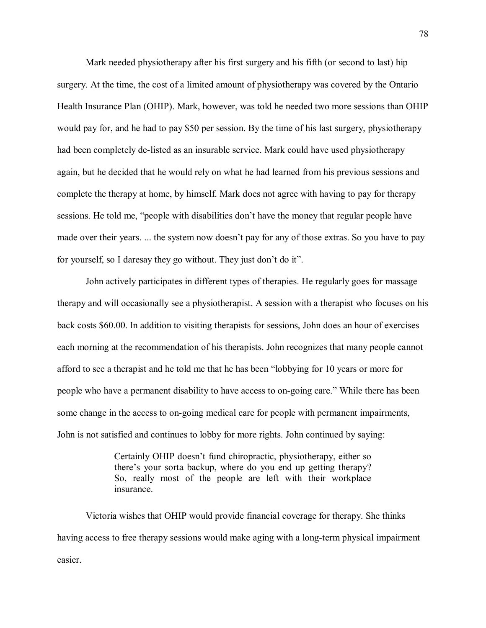Mark needed physiotherapy after his first surgery and his fifth (or second to last) hip surgery. At the time, the cost of a limited amount of physiotherapy was covered by the Ontario Health Insurance Plan (OHIP). Mark, however, was told he needed two more sessions than OHIP would pay for, and he had to pay \$50 per session. By the time of his last surgery, physiotherapy had been completely de-listed as an insurable service. Mark could have used physiotherapy again, but he decided that he would rely on what he had learned from his previous sessions and complete the therapy at home, by himself. Mark does not agree with having to pay for therapy sessions. He told me, "people with disabilities don't have the money that regular people have made over their years. ... the system now doesn't pay for any of those extras. So you have to pay for yourself, so I daresay they go without. They just don't do it".

 John actively participates in different types of therapies. He regularly goes for massage therapy and will occasionally see a physiotherapist. A session with a therapist who focuses on his back costs \$60.00. In addition to visiting therapists for sessions, John does an hour of exercises each morning at the recommendation of his therapists. John recognizes that many people cannot afford to see a therapist and he told me that he has been "lobbying for 10 years or more for people who have a permanent disability to have access to on-going care." While there has been some change in the access to on-going medical care for people with permanent impairments, John is not satisfied and continues to lobby for more rights. John continued by saying:

> Certainly OHIP doesn't fund chiropractic, physiotherapy, either so there's your sorta backup, where do you end up getting therapy? So, really most of the people are left with their workplace insurance.

Victoria wishes that OHIP would provide financial coverage for therapy. She thinks having access to free therapy sessions would make aging with a long-term physical impairment easier.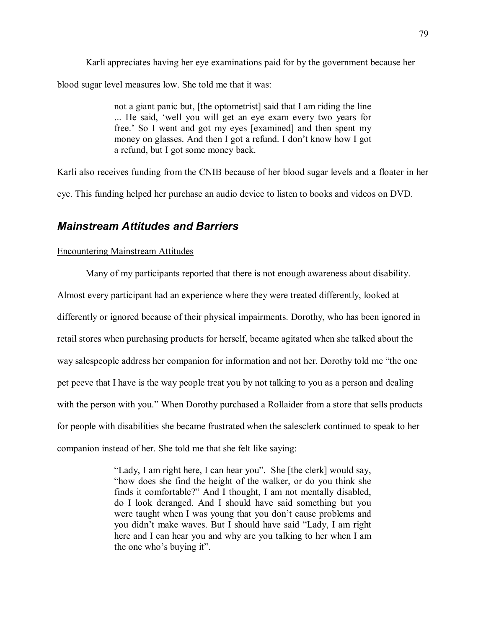Karli appreciates having her eye examinations paid for by the government because her blood sugar level measures low. She told me that it was:

> not a giant panic but, [the optometrist] said that I am riding the line ... He said, 'well you will get an eye exam every two years for free.' So I went and got my eyes [examined] and then spent my money on glasses. And then I got a refund. I don't know how I got a refund, but I got some money back.

Karli also receives funding from the CNIB because of her blood sugar levels and a floater in her eye. This funding helped her purchase an audio device to listen to books and videos on DVD.

# *Mainstream Attitudes and Barriers*

# Encountering Mainstream Attitudes

Many of my participants reported that there is not enough awareness about disability. Almost every participant had an experience where they were treated differently, looked at differently or ignored because of their physical impairments. Dorothy, who has been ignored in retail stores when purchasing products for herself, became agitated when she talked about the way salespeople address her companion for information and not her. Dorothy told me "the one" pet peeve that I have is the way people treat you by not talking to you as a person and dealing with the person with you." When Dorothy purchased a Rollaider from a store that sells products for people with disabilities she became frustrated when the salesclerk continued to speak to her companion instead of her. She told me that she felt like saying:

> "Lady, I am right here, I can hear you". She [the clerk] would say, how does she find the height of the walker, or do you think she finds it comfortable?" And I thought, I am not mentally disabled, do I look deranged. And I should have said something but you were taught when I was young that you don't cause problems and you didn't make waves. But I should have said "Lady, I am right here and I can hear you and why are you talking to her when I am the one who's buying it".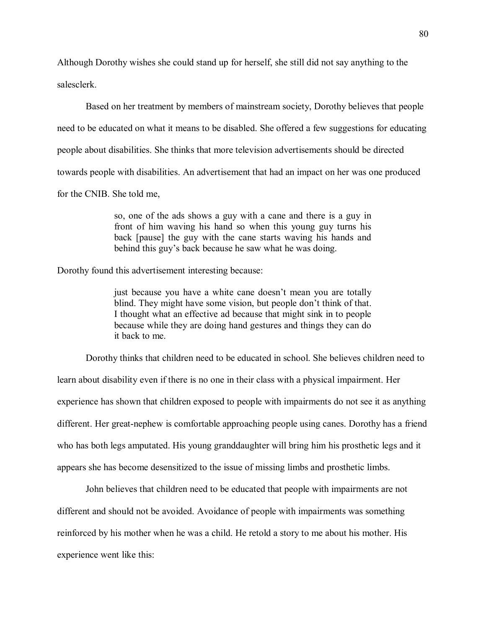Although Dorothy wishes she could stand up for herself, she still did not say anything to the salesclerk.

Based on her treatment by members of mainstream society, Dorothy believes that people need to be educated on what it means to be disabled. She offered a few suggestions for educating people about disabilities. She thinks that more television advertisements should be directed towards people with disabilities. An advertisement that had an impact on her was one produced for the CNIB. She told me,

> so, one of the ads shows a guy with a cane and there is a guy in front of him waving his hand so when this young guy turns his back [pause] the guy with the cane starts waving his hands and behind this guy's back because he saw what he was doing.

Dorothy found this advertisement interesting because:

just because you have a white cane doesn't mean you are totally blind. They might have some vision, but people don't think of that. I thought what an effective ad because that might sink in to people because while they are doing hand gestures and things they can do it back to me.

Dorothy thinks that children need to be educated in school. She believes children need to

learn about disability even if there is no one in their class with a physical impairment. Her experience has shown that children exposed to people with impairments do not see it as anything different. Her great-nephew is comfortable approaching people using canes. Dorothy has a friend who has both legs amputated. His young granddaughter will bring him his prosthetic legs and it appears she has become desensitized to the issue of missing limbs and prosthetic limbs.

John believes that children need to be educated that people with impairments are not different and should not be avoided. Avoidance of people with impairments was something reinforced by his mother when he was a child. He retold a story to me about his mother. His experience went like this: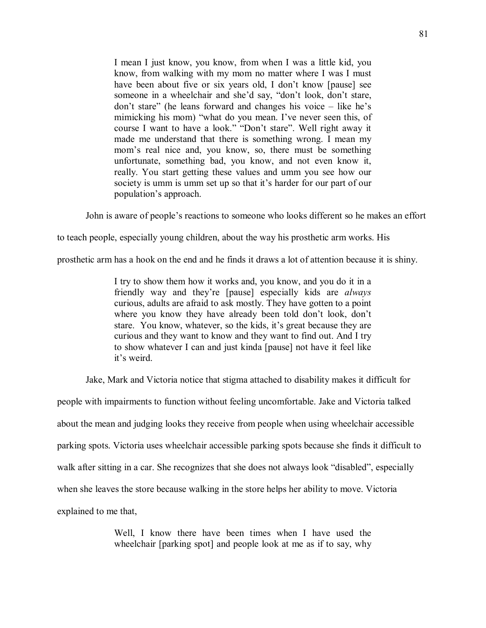I mean I just know, you know, from when I was a little kid, you know, from walking with my mom no matter where I was I must have been about five or six years old, I don't know [pause] see someone in a wheelchair and she'd say, "don't look, don't stare, don't stare" (he leans forward and changes his voice  $-$  like he's mimicking his mom) "what do you mean. I've never seen this, of course I want to have a look." "Don't stare". Well right away it made me understand that there is something wrong. I mean my mom's real nice and, you know, so, there must be something unfortunate, something bad, you know, and not even know it, really. You start getting these values and umm you see how our society is umm is umm set up so that it's harder for our part of our population's approach.

John is aware of people's reactions to someone who looks different so he makes an effort

to teach people, especially young children, about the way his prosthetic arm works. His

prosthetic arm has a hook on the end and he finds it draws a lot of attention because it is shiny.

I try to show them how it works and, you know, and you do it in a friendly way and they're [pause] especially kids are *always* curious, adults are afraid to ask mostly. They have gotten to a point where you know they have already been told don't look, don't stare. You know, whatever, so the kids, it's great because they are curious and they want to know and they want to find out. And I try to show whatever I can and just kinda [pause] not have it feel like it's weird.

Jake, Mark and Victoria notice that stigma attached to disability makes it difficult for

people with impairments to function without feeling uncomfortable. Jake and Victoria talked about the mean and judging looks they receive from people when using wheelchair accessible parking spots. Victoria uses wheelchair accessible parking spots because she finds it difficult to walk after sitting in a car. She recognizes that she does not always look "disabled", especially when she leaves the store because walking in the store helps her ability to move. Victoria explained to me that,

> Well, I know there have been times when I have used the wheelchair [parking spot] and people look at me as if to say, why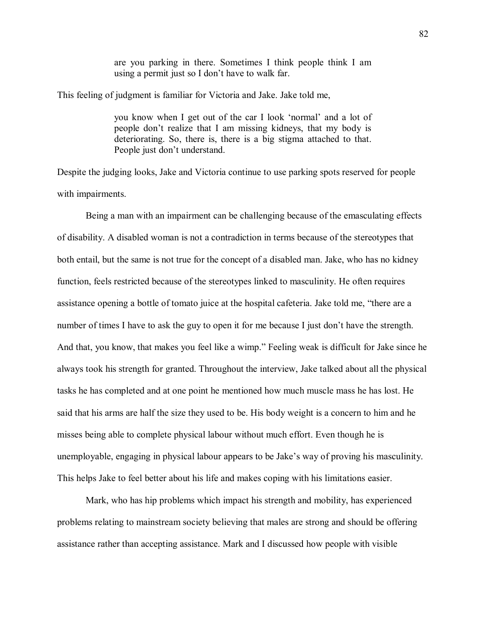are you parking in there. Sometimes I think people think I am using a permit just so I don't have to walk far.

This feeling of judgment is familiar for Victoria and Jake. Jake told me,

you know when I get out of the car I look 'normal' and a lot of people don't realize that I am missing kidneys, that my body is deteriorating. So, there is, there is a big stigma attached to that. People just don't understand.

Despite the judging looks, Jake and Victoria continue to use parking spots reserved for people with impairments.

Being a man with an impairment can be challenging because of the emasculating effects of disability. A disabled woman is not a contradiction in terms because of the stereotypes that both entail, but the same is not true for the concept of a disabled man. Jake, who has no kidney function, feels restricted because of the stereotypes linked to masculinity. He often requires assistance opening a bottle of tomato juice at the hospital cafeteria. Jake told me, "there are a number of times I have to ask the guy to open it for me because I just don't have the strength. And that, you know, that makes you feel like a wimp." Feeling weak is difficult for Jake since he always took his strength for granted. Throughout the interview, Jake talked about all the physical tasks he has completed and at one point he mentioned how much muscle mass he has lost. He said that his arms are half the size they used to be. His body weight is a concern to him and he misses being able to complete physical labour without much effort. Even though he is unemployable, engaging in physical labour appears to be Jake's way of proving his masculinity. This helps Jake to feel better about his life and makes coping with his limitations easier.

Mark, who has hip problems which impact his strength and mobility, has experienced problems relating to mainstream society believing that males are strong and should be offering assistance rather than accepting assistance. Mark and I discussed how people with visible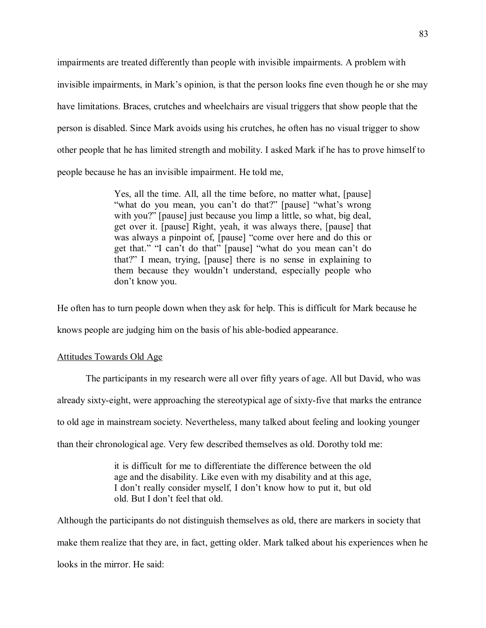impairments are treated differently than people with invisible impairments. A problem with invisible impairments, in Mark's opinion, is that the person looks fine even though he or she may have limitations. Braces, crutches and wheelchairs are visual triggers that show people that the person is disabled. Since Mark avoids using his crutches, he often has no visual trigger to show other people that he has limited strength and mobility. I asked Mark if he has to prove himself to people because he has an invisible impairment. He told me,

> Yes, all the time. All, all the time before, no matter what, [pause] "what do you mean, you can't do that?" [pause] "what's wrong with you?" [pause] just because you limp a little, so what, big deal, get over it. [pause] Right, yeah, it was always there, [pause] that was always a pinpoint of, [pause] "come over here and do this or get that." "I can't do that" [pause] "what do you mean can't do that?" I mean, trying, [pause] there is no sense in explaining to them because they wouldn't understand, especially people who don't know you.

He often has to turn people down when they ask for help. This is difficult for Mark because he

knows people are judging him on the basis of his able-bodied appearance.

# Attitudes Towards Old Age

The participants in my research were all over fifty years of age. All but David, who was already sixty-eight, were approaching the stereotypical age of sixty-five that marks the entrance to old age in mainstream society. Nevertheless, many talked about feeling and looking younger than their chronological age. Very few described themselves as old. Dorothy told me:

> it is difficult for me to differentiate the difference between the old age and the disability. Like even with my disability and at this age, I don't really consider myself, I don't know how to put it, but old old. But I don't feel that old.

Although the participants do not distinguish themselves as old, there are markers in society that make them realize that they are, in fact, getting older. Mark talked about his experiences when he looks in the mirror. He said: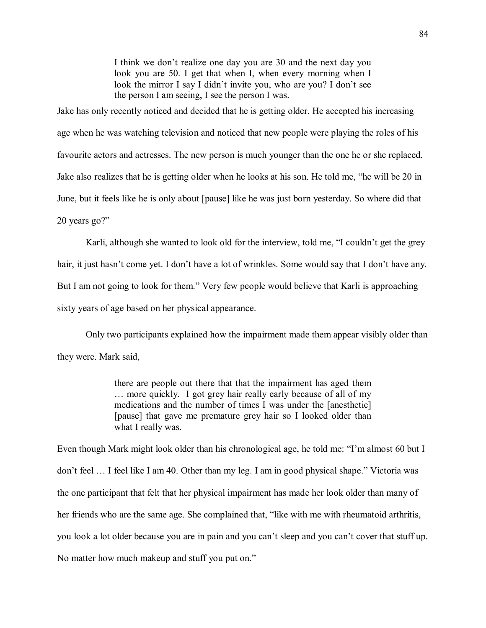I think we don't realize one day you are 30 and the next day you look you are 50. I get that when I, when every morning when I look the mirror I say I didn't invite you, who are you? I don't see the person I am seeing, I see the person I was.

Jake has only recently noticed and decided that he is getting older. He accepted his increasing age when he was watching television and noticed that new people were playing the roles of his favourite actors and actresses. The new person is much younger than the one he or she replaced. Jake also realizes that he is getting older when he looks at his son. He told me, "he will be 20 in June, but it feels like he is only about [pause] like he was just born yesterday. So where did that 20 years go?

Karli, although she wanted to look old for the interview, told me, "I couldn't get the grey hair, it just hasn't come yet. I don't have a lot of wrinkles. Some would say that I don't have any. But I am not going to look for them." Very few people would believe that Karli is approaching sixty years of age based on her physical appearance.

Only two participants explained how the impairment made them appear visibly older than they were. Mark said,

> there are people out there that that the impairment has aged them ... more quickly. I got grey hair really early because of all of my medications and the number of times I was under the [anesthetic] [pause] that gave me premature grey hair so I looked older than what I really was.

Even though Mark might look older than his chronological age, he told me: "I'm almost 60 but I don't feel ... I feel like I am 40. Other than my leg. I am in good physical shape." Victoria was the one participant that felt that her physical impairment has made her look older than many of her friends who are the same age. She complained that, "like with me with rheumatoid arthritis, you look a lot older because you are in pain and you can't sleep and you can't cover that stuff up. No matter how much makeup and stuff you put on.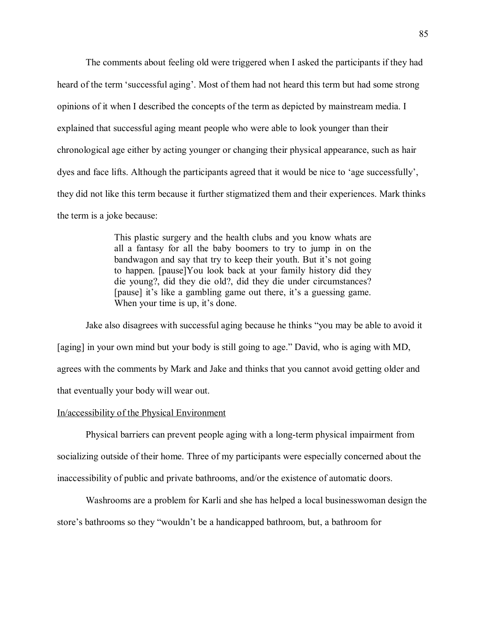The comments about feeling old were triggered when I asked the participants if they had heard of the term 'successful aging'. Most of them had not heard this term but had some strong opinions of it when I described the concepts of the term as depicted by mainstream media. I explained that successful aging meant people who were able to look younger than their chronological age either by acting younger or changing their physical appearance, such as hair dyes and face lifts. Although the participants agreed that it would be nice to 'age successfully', they did not like this term because it further stigmatized them and their experiences. Mark thinks the term is a joke because:

> This plastic surgery and the health clubs and you know whats are all a fantasy for all the baby boomers to try to jump in on the bandwagon and say that try to keep their youth. But it's not going to happen. [pause]You look back at your family history did they die young?, did they die old?, did they die under circumstances? [pause] it's like a gambling game out there, it's a guessing game. When your time is up, it's done.

Jake also disagrees with successful aging because he thinks "you may be able to avoid it [aging] in your own mind but your body is still going to age." David, who is aging with MD, agrees with the comments by Mark and Jake and thinks that you cannot avoid getting older and that eventually your body will wear out.

#### In/accessibility of the Physical Environment

 Physical barriers can prevent people aging with a long-term physical impairment from socializing outside of their home. Three of my participants were especially concerned about the inaccessibility of public and private bathrooms, and/or the existence of automatic doors.

 Washrooms are a problem for Karli and she has helped a local businesswoman design the store's bathrooms so they "wouldn't be a handicapped bathroom, but, a bathroom for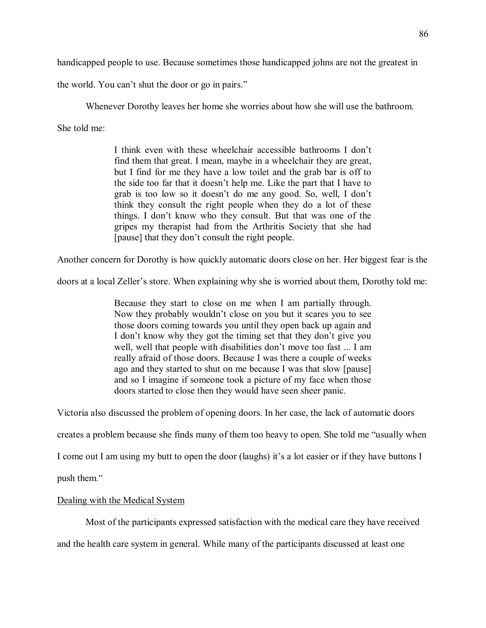handicapped people to use. Because sometimes those handicapped johns are not the greatest in

the world. You can't shut the door or go in pairs."

Whenever Dorothy leaves her home she worries about how she will use the bathroom.

She told me:

I think even with these wheelchair accessible bathrooms I don't find them that great. I mean, maybe in a wheelchair they are great, but I find for me they have a low toilet and the grab bar is off to the side too far that it doesn't help me. Like the part that I have to grab is too low so it doesn't do me any good. So, well, I don't think they consult the right people when they do a lot of these things. I don't know who they consult. But that was one of the gripes my therapist had from the Arthritis Society that she had [pause] that they don't consult the right people.

Another concern for Dorothy is how quickly automatic doors close on her. Her biggest fear is the

doors at a local Zeller's store. When explaining why she is worried about them, Dorothy told me:

Because they start to close on me when I am partially through. Now they probably wouldn't close on you but it scares you to see those doors coming towards you until they open back up again and I don't know why they got the timing set that they don't give you well, well that people with disabilities don't move too fast ... I am really afraid of those doors. Because I was there a couple of weeks ago and they started to shut on me because I was that slow [pause] and so I imagine if someone took a picture of my face when those doors started to close then they would have seen sheer panic.

Victoria also discussed the problem of opening doors. In her case, the lack of automatic doors

creates a problem because she finds many of them too heavy to open. She told me "usually when

I come out I am using my butt to open the door (laughs) it's a lot easier or if they have buttons I

push them.

# Dealing with the Medical System

Most of the participants expressed satisfaction with the medical care they have received

and the health care system in general. While many of the participants discussed at least one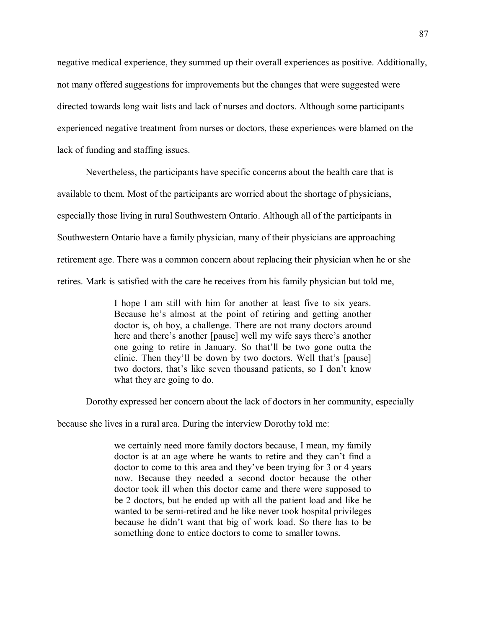negative medical experience, they summed up their overall experiences as positive. Additionally, not many offered suggestions for improvements but the changes that were suggested were directed towards long wait lists and lack of nurses and doctors. Although some participants experienced negative treatment from nurses or doctors, these experiences were blamed on the lack of funding and staffing issues.

Nevertheless, the participants have specific concerns about the health care that is available to them. Most of the participants are worried about the shortage of physicians, especially those living in rural Southwestern Ontario. Although all of the participants in Southwestern Ontario have a family physician, many of their physicians are approaching retirement age. There was a common concern about replacing their physician when he or she retires. Mark is satisfied with the care he receives from his family physician but told me,

> I hope I am still with him for another at least five to six years. Because he's almost at the point of retiring and getting another doctor is, oh boy, a challenge. There are not many doctors around here and there's another [pause] well my wife says there's another one going to retire in January. So that'll be two gone outta the clinic. Then they'll be down by two doctors. Well that's [pause] two doctors, that's like seven thousand patients, so I don't know what they are going to do.

Dorothy expressed her concern about the lack of doctors in her community, especially

because she lives in a rural area. During the interview Dorothy told me:

we certainly need more family doctors because, I mean, my family doctor is at an age where he wants to retire and they can't find a doctor to come to this area and they've been trying for 3 or 4 years now. Because they needed a second doctor because the other doctor took ill when this doctor came and there were supposed to be 2 doctors, but he ended up with all the patient load and like he wanted to be semi-retired and he like never took hospital privileges because he didn't want that big of work load. So there has to be something done to entice doctors to come to smaller towns.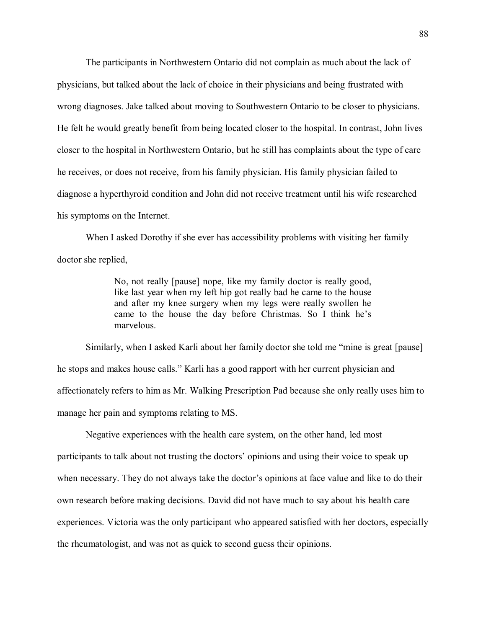The participants in Northwestern Ontario did not complain as much about the lack of physicians, but talked about the lack of choice in their physicians and being frustrated with wrong diagnoses. Jake talked about moving to Southwestern Ontario to be closer to physicians. He felt he would greatly benefit from being located closer to the hospital. In contrast, John lives closer to the hospital in Northwestern Ontario, but he still has complaints about the type of care he receives, or does not receive, from his family physician. His family physician failed to diagnose a hyperthyroid condition and John did not receive treatment until his wife researched his symptoms on the Internet.

When I asked Dorothy if she ever has accessibility problems with visiting her family doctor she replied,

> No, not really [pause] nope, like my family doctor is really good, like last year when my left hip got really bad he came to the house and after my knee surgery when my legs were really swollen he came to the house the day before Christmas. So I think he's marvelous.

Similarly, when I asked Karli about her family doctor she told me "mine is great [pause] he stops and makes house calls." Karli has a good rapport with her current physician and affectionately refers to him as Mr. Walking Prescription Pad because she only really uses him to manage her pain and symptoms relating to MS.

 Negative experiences with the health care system, on the other hand, led most participants to talk about not trusting the doctors' opinions and using their voice to speak up when necessary. They do not always take the doctor's opinions at face value and like to do their own research before making decisions. David did not have much to say about his health care experiences. Victoria was the only participant who appeared satisfied with her doctors, especially the rheumatologist, and was not as quick to second guess their opinions.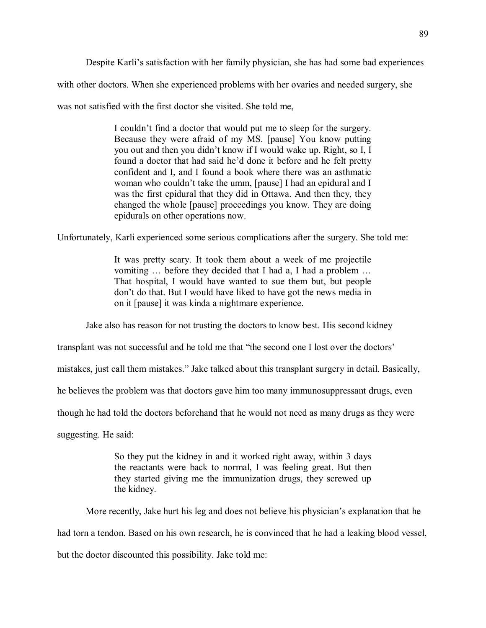Despite Karli's satisfaction with her family physician, she has had some bad experiences

with other doctors. When she experienced problems with her ovaries and needed surgery, she

was not satisfied with the first doctor she visited. She told me,

I couldn't find a doctor that would put me to sleep for the surgery. Because they were afraid of my MS. [pause] You know putting you out and then you didn't know if I would wake up. Right, so I, I found a doctor that had said he'd done it before and he felt pretty confident and I, and I found a book where there was an asthmatic woman who couldn't take the umm, [pause] I had an epidural and I was the first epidural that they did in Ottawa. And then they, they changed the whole [pause] proceedings you know. They are doing epidurals on other operations now.

Unfortunately, Karli experienced some serious complications after the surgery. She told me:

It was pretty scary. It took them about a week of me projectile vomiting ... before they decided that I had a, I had a problem ... That hospital, I would have wanted to sue them but, but people don't do that. But I would have liked to have got the news media in on it [pause] it was kinda a nightmare experience.

Jake also has reason for not trusting the doctors to know best. His second kidney

transplant was not successful and he told me that "the second one I lost over the doctors'

mistakes, just call them mistakes." Jake talked about this transplant surgery in detail. Basically,

he believes the problem was that doctors gave him too many immunosuppressant drugs, even

though he had told the doctors beforehand that he would not need as many drugs as they were

suggesting. He said:

So they put the kidney in and it worked right away, within 3 days the reactants were back to normal, I was feeling great. But then they started giving me the immunization drugs, they screwed up the kidney.

More recently, Jake hurt his leg and does not believe his physician's explanation that he had torn a tendon. Based on his own research, he is convinced that he had a leaking blood vessel, but the doctor discounted this possibility. Jake told me: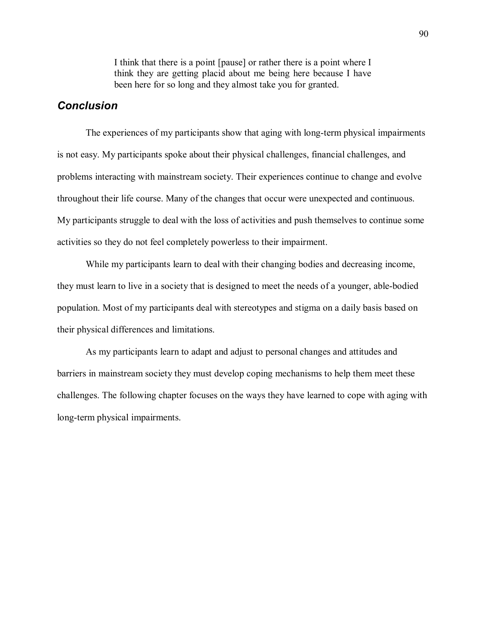I think that there is a point [pause] or rather there is a point where I think they are getting placid about me being here because I have been here for so long and they almost take you for granted.

# *Conclusion*

 The experiences of my participants show that aging with long-term physical impairments is not easy. My participants spoke about their physical challenges, financial challenges, and problems interacting with mainstream society. Their experiences continue to change and evolve throughout their life course. Many of the changes that occur were unexpected and continuous. My participants struggle to deal with the loss of activities and push themselves to continue some activities so they do not feel completely powerless to their impairment.

 While my participants learn to deal with their changing bodies and decreasing income, they must learn to live in a society that is designed to meet the needs of a younger, able-bodied population. Most of my participants deal with stereotypes and stigma on a daily basis based on their physical differences and limitations.

As my participants learn to adapt and adjust to personal changes and attitudes and barriers in mainstream society they must develop coping mechanisms to help them meet these challenges. The following chapter focuses on the ways they have learned to cope with aging with long-term physical impairments.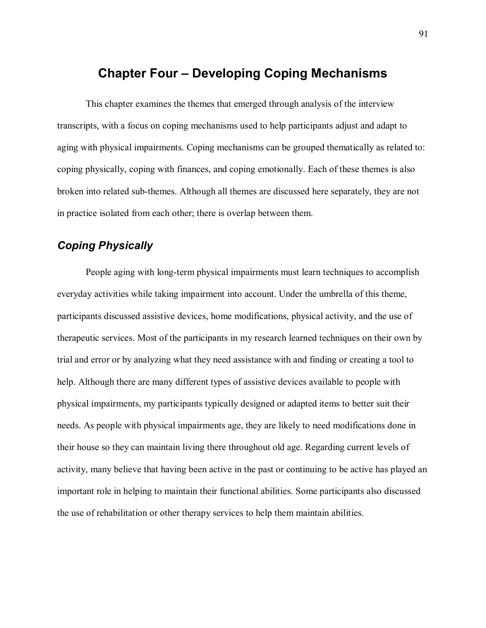# **Chapter Four Developing Coping Mechanisms**

 This chapter examines the themes that emerged through analysis of the interview transcripts, with a focus on coping mechanisms used to help participants adjust and adapt to aging with physical impairments. Coping mechanisms can be grouped thematically as related to: coping physically, coping with finances, and coping emotionally. Each of these themes is also broken into related sub-themes. Although all themes are discussed here separately, they are not in practice isolated from each other; there is overlap between them.

# *Coping Physically*

People aging with long-term physical impairments must learn techniques to accomplish everyday activities while taking impairment into account. Under the umbrella of this theme, participants discussed assistive devices, home modifications, physical activity, and the use of therapeutic services. Most of the participants in my research learned techniques on their own by trial and error or by analyzing what they need assistance with and finding or creating a tool to help. Although there are many different types of assistive devices available to people with physical impairments, my participants typically designed or adapted items to better suit their needs. As people with physical impairments age, they are likely to need modifications done in their house so they can maintain living there throughout old age. Regarding current levels of activity, many believe that having been active in the past or continuing to be active has played an important role in helping to maintain their functional abilities. Some participants also discussed the use of rehabilitation or other therapy services to help them maintain abilities.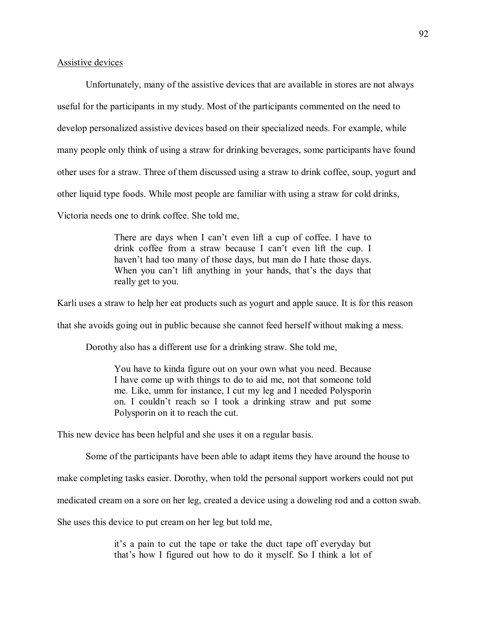### Assistive devices

Unfortunately, many of the assistive devices that are available in stores are not always useful for the participants in my study. Most of the participants commented on the need to develop personalized assistive devices based on their specialized needs. For example, while many people only think of using a straw for drinking beverages, some participants have found other uses for a straw. Three of them discussed using a straw to drink coffee, soup, yogurt and other liquid type foods. While most people are familiar with using a straw for cold drinks, Victoria needs one to drink coffee. She told me,

> There are days when I can't even lift a cup of coffee. I have to drink coffee from a straw because I can't even lift the cup. I haven't had too many of those days, but man do I hate those days. When you can't lift anything in your hands, that's the days that really get to you.

Karli uses a straw to help her eat products such as yogurt and apple sauce. It is for this reason

that she avoids going out in public because she cannot feed herself without making a mess.

Dorothy also has a different use for a drinking straw. She told me,

You have to kinda figure out on your own what you need. Because I have come up with things to do to aid me, not that someone told me. Like, umm for instance, I cut my leg and I needed Polysporin on. I couldn't reach so I took a drinking straw and put some Polysporin on it to reach the cut.

This new device has been helpful and she uses it on a regular basis.

Some of the participants have been able to adapt items they have around the house to

make completing tasks easier. Dorothy, when told the personal support workers could not put

medicated cream on a sore on her leg, created a device using a doweling rod and a cotton swab.

She uses this device to put cream on her leg but told me,

it's a pain to cut the tape or take the duct tape off everyday but that's how I figured out how to do it myself. So I think a lot of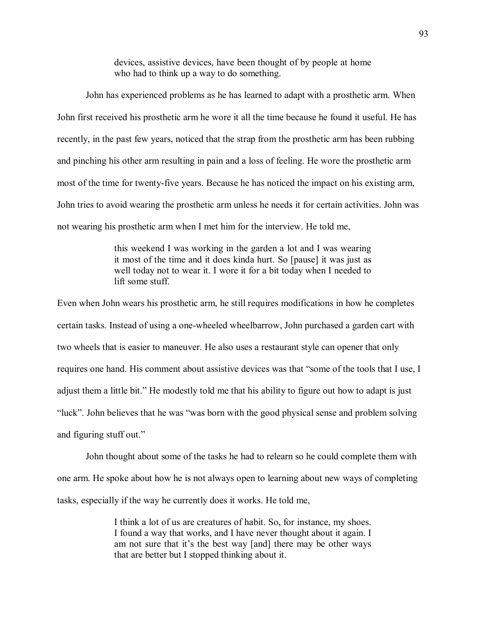devices, assistive devices, have been thought of by people at home who had to think up a way to do something.

John has experienced problems as he has learned to adapt with a prosthetic arm. When John first received his prosthetic arm he wore it all the time because he found it useful. He has recently, in the past few years, noticed that the strap from the prosthetic arm has been rubbing and pinching his other arm resulting in pain and a loss of feeling. He wore the prosthetic arm most of the time for twenty-five years. Because he has noticed the impact on his existing arm, John tries to avoid wearing the prosthetic arm unless he needs it for certain activities. John was not wearing his prosthetic arm when I met him for the interview. He told me,

> this weekend I was working in the garden a lot and I was wearing it most of the time and it does kinda hurt. So [pause] it was just as well today not to wear it. I wore it for a bit today when I needed to lift some stuff.

Even when John wears his prosthetic arm, he still requires modifications in how he completes certain tasks. Instead of using a one-wheeled wheelbarrow, John purchased a garden cart with two wheels that is easier to maneuver. He also uses a restaurant style can opener that only requires one hand. His comment about assistive devices was that "some of the tools that I use, I adjust them a little bit." He modestly told me that his ability to figure out how to adapt is just "luck". John believes that he was "was born with the good physical sense and problem solving and figuring stuff out.

John thought about some of the tasks he had to relearn so he could complete them with one arm. He spoke about how he is not always open to learning about new ways of completing tasks, especially if the way he currently does it works. He told me,

> I think a lot of us are creatures of habit. So, for instance, my shoes. I found a way that works, and I have never thought about it again. I am not sure that it's the best way [and] there may be other ways that are better but I stopped thinking about it.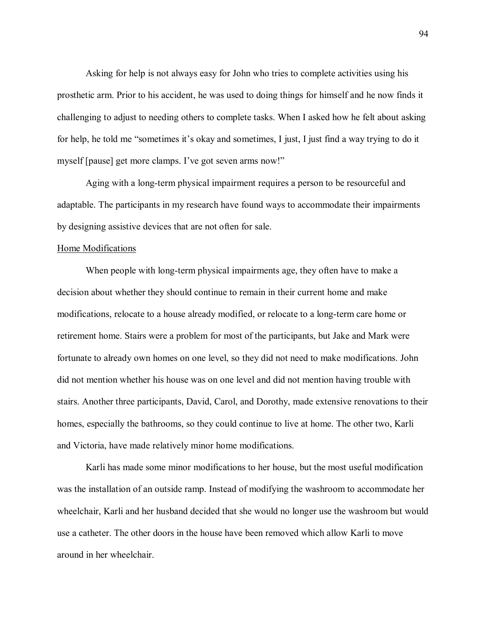Asking for help is not always easy for John who tries to complete activities using his prosthetic arm. Prior to his accident, he was used to doing things for himself and he now finds it challenging to adjust to needing others to complete tasks. When I asked how he felt about asking for help, he told me "sometimes it's okay and sometimes, I just, I just find a way trying to do it myself [pause] get more clamps. I've got seven arms now!"

Aging with a long-term physical impairment requires a person to be resourceful and adaptable. The participants in my research have found ways to accommodate their impairments by designing assistive devices that are not often for sale.

## Home Modifications

 When people with long-term physical impairments age, they often have to make a decision about whether they should continue to remain in their current home and make modifications, relocate to a house already modified, or relocate to a long-term care home or retirement home. Stairs were a problem for most of the participants, but Jake and Mark were fortunate to already own homes on one level, so they did not need to make modifications. John did not mention whether his house was on one level and did not mention having trouble with stairs. Another three participants, David, Carol, and Dorothy, made extensive renovations to their homes, especially the bathrooms, so they could continue to live at home. The other two, Karli and Victoria, have made relatively minor home modifications.

Karli has made some minor modifications to her house, but the most useful modification was the installation of an outside ramp. Instead of modifying the washroom to accommodate her wheelchair, Karli and her husband decided that she would no longer use the washroom but would use a catheter. The other doors in the house have been removed which allow Karli to move around in her wheelchair.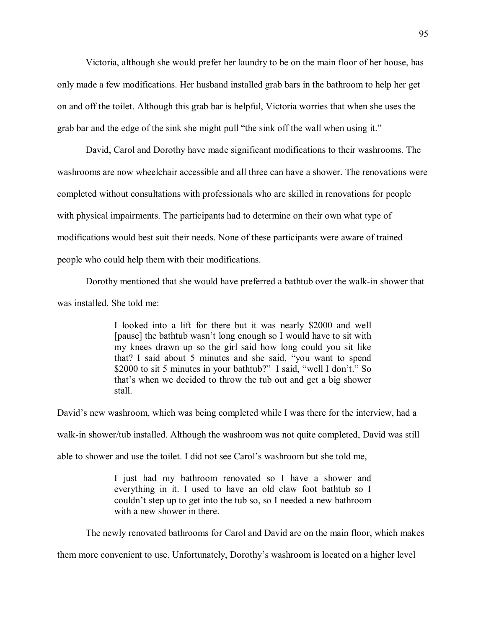Victoria, although she would prefer her laundry to be on the main floor of her house, has only made a few modifications. Her husband installed grab bars in the bathroom to help her get on and off the toilet. Although this grab bar is helpful, Victoria worries that when she uses the grab bar and the edge of the sink she might pull "the sink off the wall when using it."

David, Carol and Dorothy have made significant modifications to their washrooms. The washrooms are now wheelchair accessible and all three can have a shower. The renovations were completed without consultations with professionals who are skilled in renovations for people with physical impairments. The participants had to determine on their own what type of modifications would best suit their needs. None of these participants were aware of trained people who could help them with their modifications.

Dorothy mentioned that she would have preferred a bathtub over the walk-in shower that was installed. She told me:

> I looked into a lift for there but it was nearly \$2000 and well [pause] the bathtub wasn't long enough so I would have to sit with my knees drawn up so the girl said how long could you sit like that? I said about 5 minutes and she said, "you want to spend \$2000 to sit 5 minutes in your bathtub?" I said, "well I don't." So that's when we decided to throw the tub out and get a big shower stall.

David's new washroom, which was being completed while I was there for the interview, had a walk-in shower/tub installed. Although the washroom was not quite completed, David was still

able to shower and use the toilet. I did not see Carol's washroom but she told me,

I just had my bathroom renovated so I have a shower and everything in it. I used to have an old claw foot bathtub so I couldn't step up to get into the tub so, so I needed a new bathroom with a new shower in there.

The newly renovated bathrooms for Carol and David are on the main floor, which makes

them more convenient to use. Unfortunately, Dorothy's washroom is located on a higher level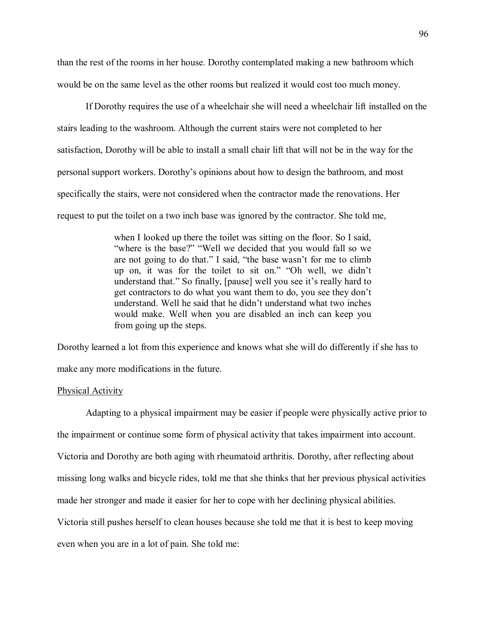than the rest of the rooms in her house. Dorothy contemplated making a new bathroom which would be on the same level as the other rooms but realized it would cost too much money.

If Dorothy requires the use of a wheelchair she will need a wheelchair lift installed on the stairs leading to the washroom. Although the current stairs were not completed to her satisfaction, Dorothy will be able to install a small chair lift that will not be in the way for the personal support workers. Dorothy's opinions about how to design the bathroom, and most specifically the stairs, were not considered when the contractor made the renovations. Her request to put the toilet on a two inch base was ignored by the contractor. She told me,

> when I looked up there the toilet was sitting on the floor. So I said, "where is the base?" "Well we decided that you would fall so we are not going to do that." I said, "the base wasn't for me to climb up on, it was for the toilet to sit on." "Oh well, we didn't understand that." So finally, [pause] well you see it's really hard to get contractors to do what you want them to do, you see they don't understand. Well he said that he didn't understand what two inches would make. Well when you are disabled an inch can keep you from going up the steps.

Dorothy learned a lot from this experience and knows what she will do differently if she has to make any more modifications in the future.

#### Physical Activity

Adapting to a physical impairment may be easier if people were physically active prior to the impairment or continue some form of physical activity that takes impairment into account. Victoria and Dorothy are both aging with rheumatoid arthritis. Dorothy, after reflecting about missing long walks and bicycle rides, told me that she thinks that her previous physical activities made her stronger and made it easier for her to cope with her declining physical abilities. Victoria still pushes herself to clean houses because she told me that it is best to keep moving even when you are in a lot of pain. She told me: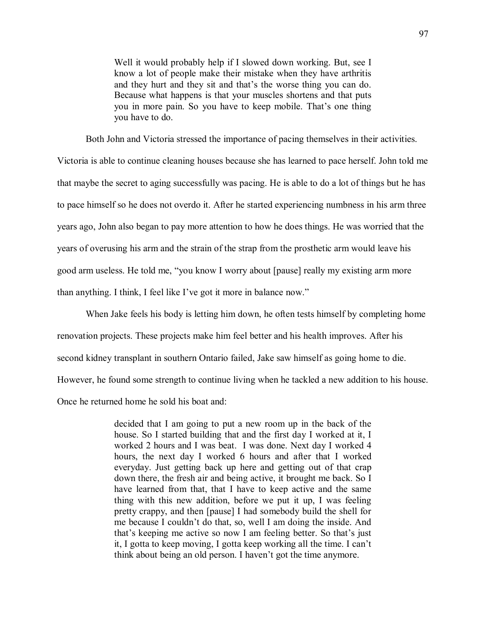Well it would probably help if I slowed down working. But, see I know a lot of people make their mistake when they have arthritis and they hurt and they sit and that's the worse thing you can do. Because what happens is that your muscles shortens and that puts you in more pain. So you have to keep mobile. That's one thing you have to do.

Both John and Victoria stressed the importance of pacing themselves in their activities.

Victoria is able to continue cleaning houses because she has learned to pace herself. John told me that maybe the secret to aging successfully was pacing. He is able to do a lot of things but he has to pace himself so he does not overdo it. After he started experiencing numbness in his arm three years ago, John also began to pay more attention to how he does things. He was worried that the years of overusing his arm and the strain of the strap from the prosthetic arm would leave his good arm useless. He told me, "you know I worry about [pause] really my existing arm more than anything. I think, I feel like I've got it more in balance now."

When Jake feels his body is letting him down, he often tests himself by completing home renovation projects. These projects make him feel better and his health improves. After his second kidney transplant in southern Ontario failed, Jake saw himself as going home to die. However, he found some strength to continue living when he tackled a new addition to his house. Once he returned home he sold his boat and:

> decided that I am going to put a new room up in the back of the house. So I started building that and the first day I worked at it, I worked 2 hours and I was beat. I was done. Next day I worked 4 hours, the next day I worked 6 hours and after that I worked everyday. Just getting back up here and getting out of that crap down there, the fresh air and being active, it brought me back. So I have learned from that, that I have to keep active and the same thing with this new addition, before we put it up, I was feeling pretty crappy, and then [pause] I had somebody build the shell for me because I couldn't do that, so, well I am doing the inside. And that's keeping me active so now I am feeling better. So that's just it, I gotta to keep moving, I gotta keep working all the time. I can't think about being an old person. I haven't got the time anymore.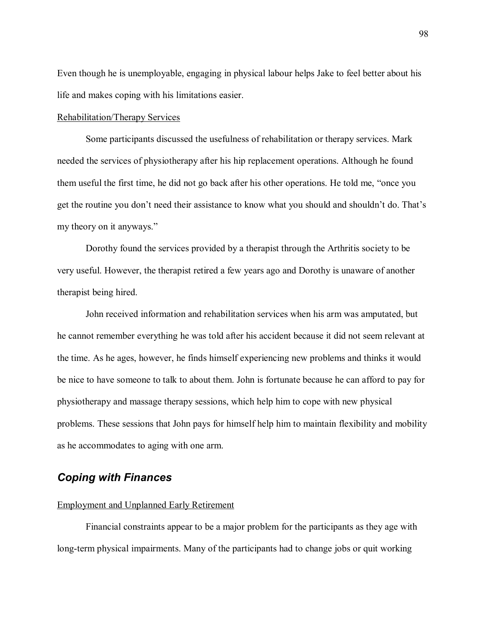Even though he is unemployable, engaging in physical labour helps Jake to feel better about his life and makes coping with his limitations easier.

#### Rehabilitation/Therapy Services

 Some participants discussed the usefulness of rehabilitation or therapy services. Mark needed the services of physiotherapy after his hip replacement operations. Although he found them useful the first time, he did not go back after his other operations. He told me, "once you get the routine you don't need their assistance to know what you should and shouldn't do. That's my theory on it anyways.

 Dorothy found the services provided by a therapist through the Arthritis society to be very useful. However, the therapist retired a few years ago and Dorothy is unaware of another therapist being hired.

 John received information and rehabilitation services when his arm was amputated, but he cannot remember everything he was told after his accident because it did not seem relevant at the time. As he ages, however, he finds himself experiencing new problems and thinks it would be nice to have someone to talk to about them. John is fortunate because he can afford to pay for physiotherapy and massage therapy sessions, which help him to cope with new physical problems. These sessions that John pays for himself help him to maintain flexibility and mobility as he accommodates to aging with one arm.

# *Coping with Finances*

#### Employment and Unplanned Early Retirement

 Financial constraints appear to be a major problem for the participants as they age with long-term physical impairments. Many of the participants had to change jobs or quit working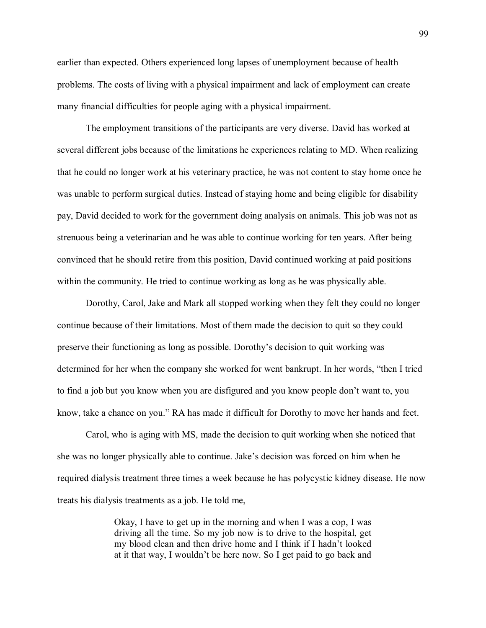earlier than expected. Others experienced long lapses of unemployment because of health problems. The costs of living with a physical impairment and lack of employment can create many financial difficulties for people aging with a physical impairment.

The employment transitions of the participants are very diverse. David has worked at several different jobs because of the limitations he experiences relating to MD. When realizing that he could no longer work at his veterinary practice, he was not content to stay home once he was unable to perform surgical duties. Instead of staying home and being eligible for disability pay, David decided to work for the government doing analysis on animals. This job was not as strenuous being a veterinarian and he was able to continue working for ten years. After being convinced that he should retire from this position, David continued working at paid positions within the community. He tried to continue working as long as he was physically able.

Dorothy, Carol, Jake and Mark all stopped working when they felt they could no longer continue because of their limitations. Most of them made the decision to quit so they could preserve their functioning as long as possible. Dorothys decision to quit working was determined for her when the company she worked for went bankrupt. In her words, "then I tried to find a job but you know when you are disfigured and you know people don't want to, you know, take a chance on you." RA has made it difficult for Dorothy to move her hands and feet.

Carol, who is aging with MS, made the decision to quit working when she noticed that she was no longer physically able to continue. Jake's decision was forced on him when he required dialysis treatment three times a week because he has polycystic kidney disease. He now treats his dialysis treatments as a job. He told me,

> Okay, I have to get up in the morning and when I was a cop, I was driving all the time. So my job now is to drive to the hospital, get my blood clean and then drive home and I think if I hadn't looked at it that way, I wouldn't be here now. So I get paid to go back and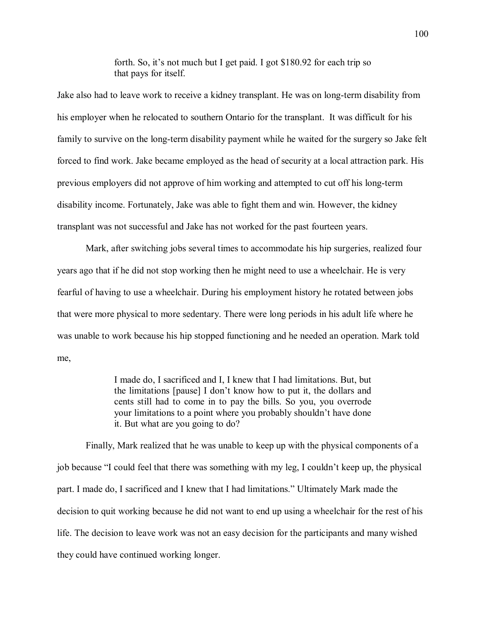forth. So, it's not much but I get paid. I got  $$180.92$  for each trip so that pays for itself.

Jake also had to leave work to receive a kidney transplant. He was on long-term disability from his employer when he relocated to southern Ontario for the transplant. It was difficult for his family to survive on the long-term disability payment while he waited for the surgery so Jake felt forced to find work. Jake became employed as the head of security at a local attraction park. His previous employers did not approve of him working and attempted to cut off his long-term disability income. Fortunately, Jake was able to fight them and win. However, the kidney transplant was not successful and Jake has not worked for the past fourteen years.

Mark, after switching jobs several times to accommodate his hip surgeries, realized four years ago that if he did not stop working then he might need to use a wheelchair. He is very fearful of having to use a wheelchair. During his employment history he rotated between jobs that were more physical to more sedentary. There were long periods in his adult life where he was unable to work because his hip stopped functioning and he needed an operation. Mark told me,

> I made do, I sacrificed and I, I knew that I had limitations. But, but the limitations [pause] I don't know how to put it, the dollars and cents still had to come in to pay the bills. So you, you overrode your limitations to a point where you probably shouldn't have done it. But what are you going to do?

Finally, Mark realized that he was unable to keep up with the physical components of a job because "I could feel that there was something with my leg, I couldn't keep up, the physical part. I made do, I sacrificed and I knew that I had limitations." Ultimately Mark made the decision to quit working because he did not want to end up using a wheelchair for the rest of his life. The decision to leave work was not an easy decision for the participants and many wished they could have continued working longer.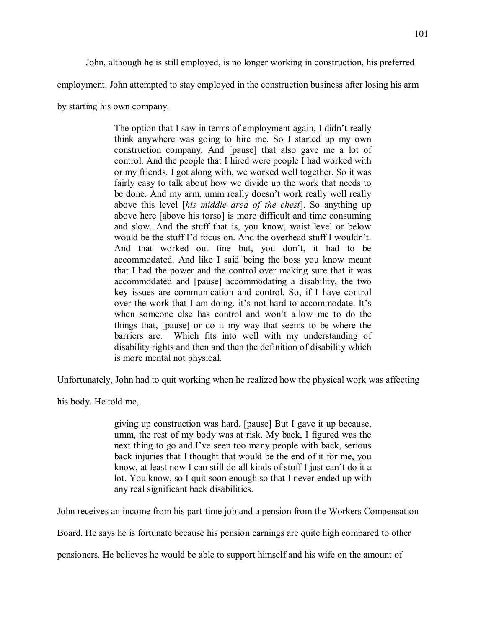John, although he is still employed, is no longer working in construction, his preferred

employment. John attempted to stay employed in the construction business after losing his arm

by starting his own company.

The option that I saw in terms of employment again, I didn't really think anywhere was going to hire me. So I started up my own construction company. And [pause] that also gave me a lot of control. And the people that I hired were people I had worked with or my friends. I got along with, we worked well together. So it was fairly easy to talk about how we divide up the work that needs to be done. And my arm, umm really doesn't work really well really above this level [*his middle area of the chest*]. So anything up above here [above his torso] is more difficult and time consuming and slow. And the stuff that is, you know, waist level or below would be the stuff I'd focus on. And the overhead stuff I wouldn't. And that worked out fine but, you don't, it had to be accommodated. And like I said being the boss you know meant that I had the power and the control over making sure that it was accommodated and [pause] accommodating a disability, the two key issues are communication and control. So, if I have control over the work that I am doing, it's not hard to accommodate. It's when someone else has control and won't allow me to do the things that, [pause] or do it my way that seems to be where the barriers are. Which fits into well with my understanding of disability rights and then and then the definition of disability which is more mental not physical.

Unfortunately, John had to quit working when he realized how the physical work was affecting

his body. He told me,

giving up construction was hard. [pause] But I gave it up because, umm, the rest of my body was at risk. My back, I figured was the next thing to go and I've seen too many people with back, serious back injuries that I thought that would be the end of it for me, you know, at least now I can still do all kinds of stuff I just can't do it a lot. You know, so I quit soon enough so that I never ended up with any real significant back disabilities.

John receives an income from his part-time job and a pension from the Workers Compensation

Board. He says he is fortunate because his pension earnings are quite high compared to other

pensioners. He believes he would be able to support himself and his wife on the amount of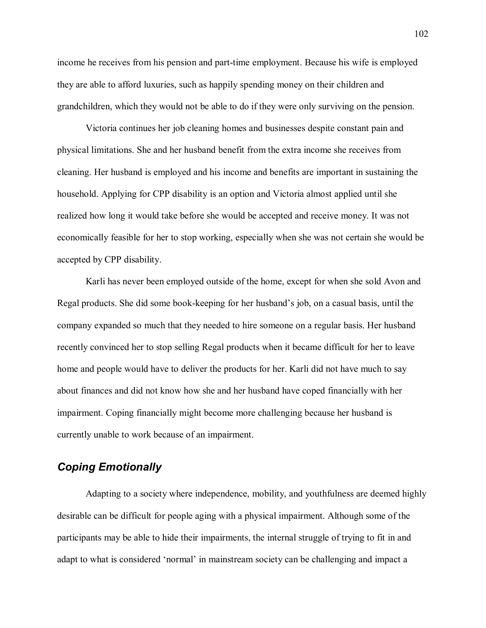income he receives from his pension and part-time employment. Because his wife is employed they are able to afford luxuries, such as happily spending money on their children and grandchildren, which they would not be able to do if they were only surviving on the pension.

 Victoria continues her job cleaning homes and businesses despite constant pain and physical limitations. She and her husband benefit from the extra income she receives from cleaning. Her husband is employed and his income and benefits are important in sustaining the household. Applying for CPP disability is an option and Victoria almost applied until she realized how long it would take before she would be accepted and receive money. It was not economically feasible for her to stop working, especially when she was not certain she would be accepted by CPP disability.

 Karli has never been employed outside of the home, except for when she sold Avon and Regal products. She did some book-keeping for her husband's job, on a casual basis, until the company expanded so much that they needed to hire someone on a regular basis. Her husband recently convinced her to stop selling Regal products when it became difficult for her to leave home and people would have to deliver the products for her. Karli did not have much to say about finances and did not know how she and her husband have coped financially with her impairment. Coping financially might become more challenging because her husband is currently unable to work because of an impairment.

# *Coping Emotionally*

 Adapting to a society where independence, mobility, and youthfulness are deemed highly desirable can be difficult for people aging with a physical impairment. Although some of the participants may be able to hide their impairments, the internal struggle of trying to fit in and adapt to what is considered 'normal' in mainstream society can be challenging and impact a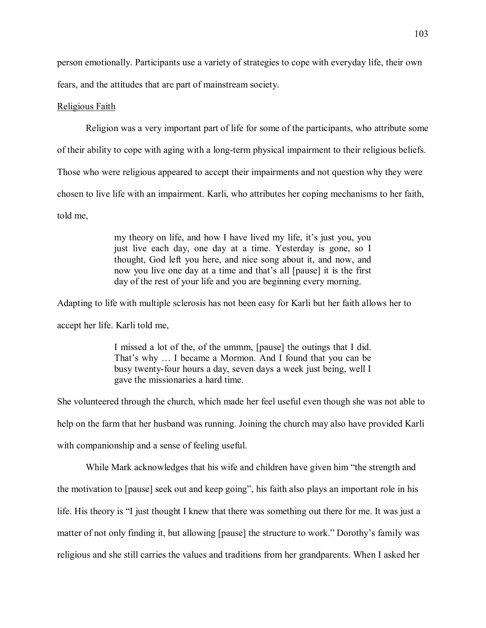person emotionally. Participants use a variety of strategies to cope with everyday life, their own fears, and the attitudes that are part of mainstream society.

## Religious Faith

Religion was a very important part of life for some of the participants, who attribute some

of their ability to cope with aging with a long-term physical impairment to their religious beliefs.

Those who were religious appeared to accept their impairments and not question why they were

chosen to live life with an impairment. Karli, who attributes her coping mechanisms to her faith,

told me,

my theory on life, and how I have lived my life, it's just you, you just live each day, one day at a time. Yesterday is gone, so I thought, God left you here, and nice song about it, and now, and now you live one day at a time and that's all [pause] it is the first day of the rest of your life and you are beginning every morning.

Adapting to life with multiple sclerosis has not been easy for Karli but her faith allows her to accept her life. Karli told me,

> I missed a lot of the, of the ummm, [pause] the outings that I did. That's why ... I became a Mormon. And I found that you can be busy twenty-four hours a day, seven days a week just being, well I gave the missionaries a hard time.

She volunteered through the church, which made her feel useful even though she was not able to help on the farm that her husband was running. Joining the church may also have provided Karli with companionship and a sense of feeling useful.

While Mark acknowledges that his wife and children have given him "the strength and the motivation to [pause] seek out and keep going", his faith also plays an important role in his life. His theory is "I just thought I knew that there was something out there for me. It was just a matter of not only finding it, but allowing [pause] the structure to work." Dorothy's family was religious and she still carries the values and traditions from her grandparents. When I asked her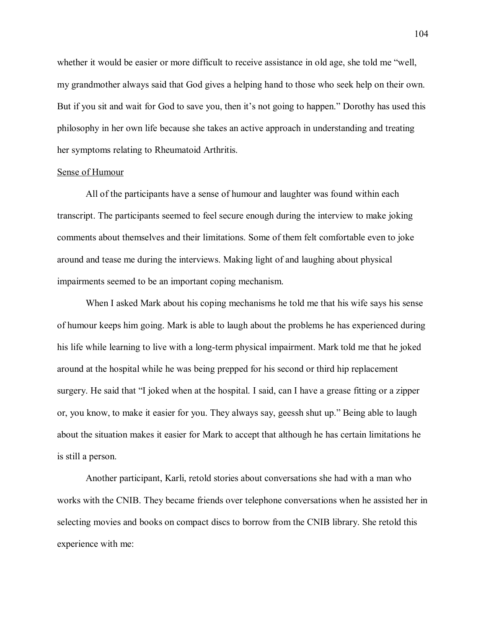whether it would be easier or more difficult to receive assistance in old age, she told me "well, my grandmother always said that God gives a helping hand to those who seek help on their own. But if you sit and wait for God to save you, then it's not going to happen." Dorothy has used this philosophy in her own life because she takes an active approach in understanding and treating her symptoms relating to Rheumatoid Arthritis.

#### Sense of Humour

 All of the participants have a sense of humour and laughter was found within each transcript. The participants seemed to feel secure enough during the interview to make joking comments about themselves and their limitations. Some of them felt comfortable even to joke around and tease me during the interviews. Making light of and laughing about physical impairments seemed to be an important coping mechanism.

When I asked Mark about his coping mechanisms he told me that his wife says his sense of humour keeps him going. Mark is able to laugh about the problems he has experienced during his life while learning to live with a long-term physical impairment. Mark told me that he joked around at the hospital while he was being prepped for his second or third hip replacement surgery. He said that "I joked when at the hospital. I said, can I have a grease fitting or a zipper or, you know, to make it easier for you. They always say, geessh shut up." Being able to laugh about the situation makes it easier for Mark to accept that although he has certain limitations he is still a person.

 Another participant, Karli, retold stories about conversations she had with a man who works with the CNIB. They became friends over telephone conversations when he assisted her in selecting movies and books on compact discs to borrow from the CNIB library. She retold this experience with me: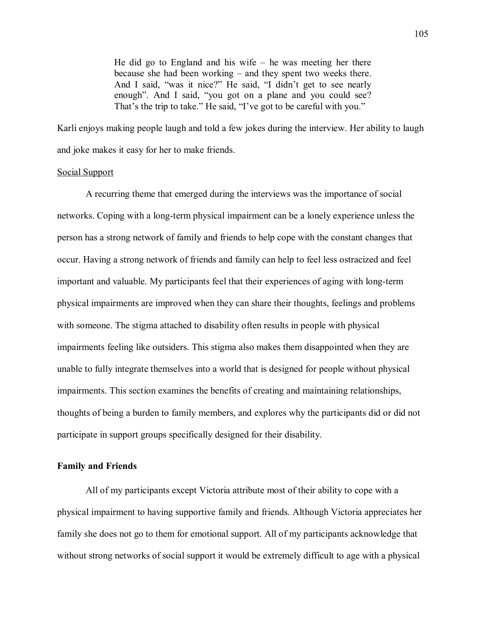He did go to England and his wife  $-$  he was meeting her there because she had been working  $-$  and they spent two weeks there. And I said, "was it nice?" He said, "I didn't get to see nearly enough". And I said, "you got on a plane and you could see? That's the trip to take." He said, "I've got to be careful with you."

Karli enjoys making people laugh and told a few jokes during the interview. Her ability to laugh and joke makes it easy for her to make friends.

#### Social Support

A recurring theme that emerged during the interviews was the importance of social networks. Coping with a long-term physical impairment can be a lonely experience unless the person has a strong network of family and friends to help cope with the constant changes that occur. Having a strong network of friends and family can help to feel less ostracized and feel important and valuable. My participants feel that their experiences of aging with long-term physical impairments are improved when they can share their thoughts, feelings and problems with someone. The stigma attached to disability often results in people with physical impairments feeling like outsiders. This stigma also makes them disappointed when they are unable to fully integrate themselves into a world that is designed for people without physical impairments. This section examines the benefits of creating and maintaining relationships, thoughts of being a burden to family members, and explores why the participants did or did not participate in support groups specifically designed for their disability.

## **Family and Friends**

 All of my participants except Victoria attribute most of their ability to cope with a physical impairment to having supportive family and friends. Although Victoria appreciates her family she does not go to them for emotional support. All of my participants acknowledge that without strong networks of social support it would be extremely difficult to age with a physical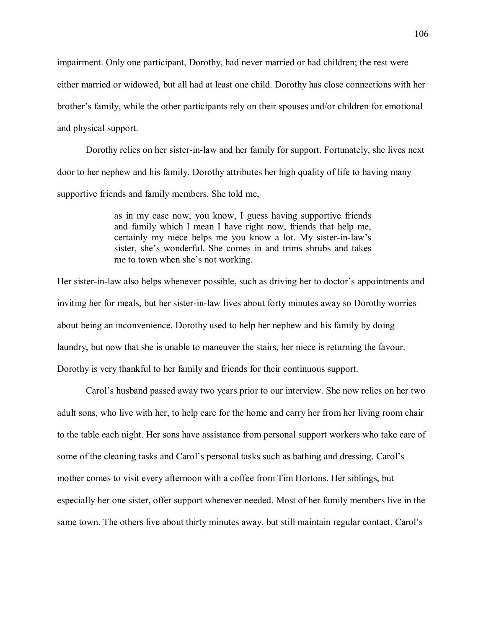impairment. Only one participant, Dorothy, had never married or had children; the rest were either married or widowed, but all had at least one child. Dorothy has close connections with her brother's family, while the other participants rely on their spouses and/or children for emotional and physical support.

 Dorothy relies on her sister-in-law and her family for support. Fortunately, she lives next door to her nephew and his family. Dorothy attributes her high quality of life to having many supportive friends and family members. She told me,

> as in my case now, you know, I guess having supportive friends and family which I mean I have right now, friends that help me, certainly my niece helps me you know a lot. My sister-in-law's sister, she's wonderful. She comes in and trims shrubs and takes me to town when she's not working.

Her sister-in-law also helps whenever possible, such as driving her to doctor's appointments and inviting her for meals, but her sister-in-law lives about forty minutes away so Dorothy worries about being an inconvenience. Dorothy used to help her nephew and his family by doing laundry, but now that she is unable to maneuver the stairs, her niece is returning the favour. Dorothy is very thankful to her family and friends for their continuous support.

Carol's husband passed away two years prior to our interview. She now relies on her two adult sons, who live with her, to help care for the home and carry her from her living room chair to the table each night. Her sons have assistance from personal support workers who take care of some of the cleaning tasks and Carol's personal tasks such as bathing and dressing. Carol's mother comes to visit every afternoon with a coffee from Tim Hortons. Her siblings, but especially her one sister, offer support whenever needed. Most of her family members live in the same town. The others live about thirty minutes away, but still maintain regular contact. Carol's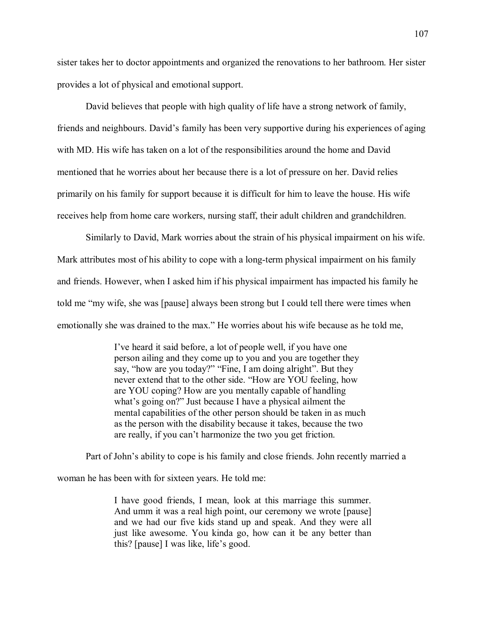sister takes her to doctor appointments and organized the renovations to her bathroom. Her sister provides a lot of physical and emotional support.

 David believes that people with high quality of life have a strong network of family, friends and neighbours. David's family has been very supportive during his experiences of aging with MD. His wife has taken on a lot of the responsibilities around the home and David mentioned that he worries about her because there is a lot of pressure on her. David relies primarily on his family for support because it is difficult for him to leave the house. His wife receives help from home care workers, nursing staff, their adult children and grandchildren.

 Similarly to David, Mark worries about the strain of his physical impairment on his wife. Mark attributes most of his ability to cope with a long-term physical impairment on his family and friends. However, when I asked him if his physical impairment has impacted his family he told me my wife, she was [pause] always been strong but I could tell there were times when emotionally she was drained to the max." He worries about his wife because as he told me,

> Ive heard it said before, a lot of people well, if you have one person ailing and they come up to you and you are together they say, "how are you today?" "Fine, I am doing alright". But they never extend that to the other side. "How are YOU feeling, how are YOU coping? How are you mentally capable of handling what's going on?" Just because I have a physical ailment the mental capabilities of the other person should be taken in as much as the person with the disability because it takes, because the two are really, if you can't harmonize the two you get friction.

Part of John's ability to cope is his family and close friends. John recently married a woman he has been with for sixteen years. He told me:

> I have good friends, I mean, look at this marriage this summer. And umm it was a real high point, our ceremony we wrote [pause] and we had our five kids stand up and speak. And they were all just like awesome. You kinda go, how can it be any better than this? [pause] I was like, life's good.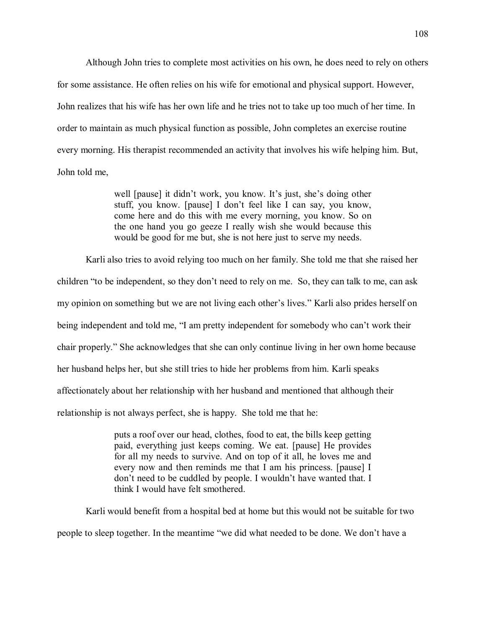Although John tries to complete most activities on his own, he does need to rely on others for some assistance. He often relies on his wife for emotional and physical support. However, John realizes that his wife has her own life and he tries not to take up too much of her time. In order to maintain as much physical function as possible, John completes an exercise routine every morning. His therapist recommended an activity that involves his wife helping him. But, John told me,

> well [pause] it didn't work, you know. It's just, she's doing other stuff, you know. [pause] I don't feel like I can say, you know, come here and do this with me every morning, you know. So on the one hand you go geeze I really wish she would because this would be good for me but, she is not here just to serve my needs.

Karli also tries to avoid relying too much on her family. She told me that she raised her children "to be independent, so they don't need to rely on me. So, they can talk to me, can ask my opinion on something but we are not living each other's lives." Karli also prides herself on being independent and told me, "I am pretty independent for somebody who can't work their chair properly." She acknowledges that she can only continue living in her own home because her husband helps her, but she still tries to hide her problems from him. Karli speaks affectionately about her relationship with her husband and mentioned that although their relationship is not always perfect, she is happy. She told me that he:

> puts a roof over our head, clothes, food to eat, the bills keep getting paid, everything just keeps coming. We eat. [pause] He provides for all my needs to survive. And on top of it all, he loves me and every now and then reminds me that I am his princess. [pause] I don't need to be cuddled by people. I wouldn't have wanted that. I think I would have felt smothered.

Karli would benefit from a hospital bed at home but this would not be suitable for two people to sleep together. In the meantime "we did what needed to be done. We don't have a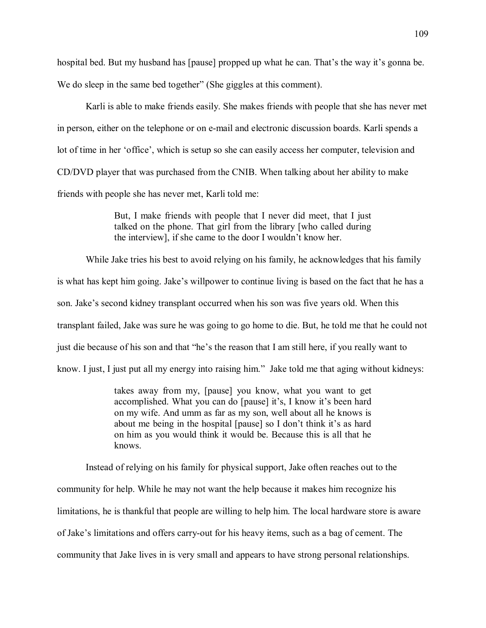hospital bed. But my husband has [pause] propped up what he can. That's the way it's gonna be. We do sleep in the same bed together" (She giggles at this comment).

Karli is able to make friends easily. She makes friends with people that she has never met in person, either on the telephone or on e-mail and electronic discussion boards. Karli spends a lot of time in her 'office', which is setup so she can easily access her computer, television and CD/DVD player that was purchased from the CNIB. When talking about her ability to make friends with people she has never met, Karli told me:

> But, I make friends with people that I never did meet, that I just talked on the phone. That girl from the library [who called during the interview], if she came to the door I wouldn't know her.

While Jake tries his best to avoid relying on his family, he acknowledges that his family is what has kept him going. Jake's willpower to continue living is based on the fact that he has a son. Jake's second kidney transplant occurred when his son was five years old. When this transplant failed, Jake was sure he was going to go home to die. But, he told me that he could not just die because of his son and that "he's the reason that I am still here, if you really want to know. I just, I just put all my energy into raising him." Jake told me that aging without kidneys:

> takes away from my, [pause] you know, what you want to get accomplished. What you can do [pause] it's, I know it's been hard on my wife. And umm as far as my son, well about all he knows is about me being in the hospital [pause] so I don't think it's as hard on him as you would think it would be. Because this is all that he knows.

Instead of relying on his family for physical support, Jake often reaches out to the community for help. While he may not want the help because it makes him recognize his limitations, he is thankful that people are willing to help him. The local hardware store is aware of Jake's limitations and offers carry-out for his heavy items, such as a bag of cement. The community that Jake lives in is very small and appears to have strong personal relationships.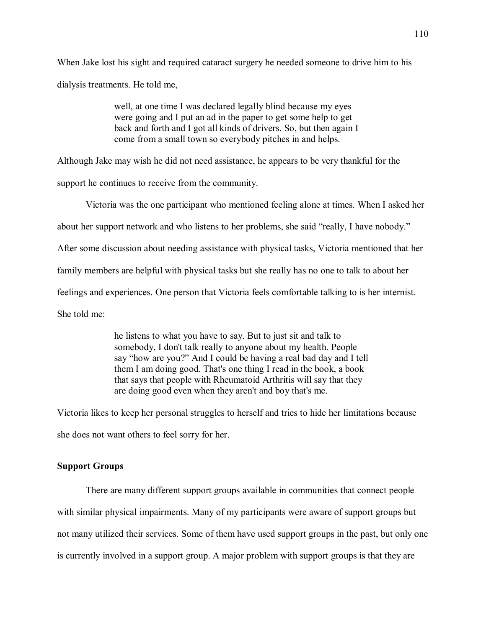When Jake lost his sight and required cataract surgery he needed someone to drive him to his dialysis treatments. He told me,

> well, at one time I was declared legally blind because my eyes were going and I put an ad in the paper to get some help to get back and forth and I got all kinds of drivers. So, but then again I come from a small town so everybody pitches in and helps.

Although Jake may wish he did not need assistance, he appears to be very thankful for the

support he continues to receive from the community.

Victoria was the one participant who mentioned feeling alone at times. When I asked her

about her support network and who listens to her problems, she said "really, I have nobody."

After some discussion about needing assistance with physical tasks, Victoria mentioned that her

family members are helpful with physical tasks but she really has no one to talk to about her

feelings and experiences. One person that Victoria feels comfortable talking to is her internist.

She told me:

he listens to what you have to say. But to just sit and talk to somebody, I don't talk really to anyone about my health. People say "how are you?" And I could be having a real bad day and I tell them I am doing good. That's one thing I read in the book, a book that says that people with Rheumatoid Arthritis will say that they are doing good even when they aren't and boy that's me.

Victoria likes to keep her personal struggles to herself and tries to hide her limitations because she does not want others to feel sorry for her.

### **Support Groups**

 There are many different support groups available in communities that connect people with similar physical impairments. Many of my participants were aware of support groups but not many utilized their services. Some of them have used support groups in the past, but only one is currently involved in a support group. A major problem with support groups is that they are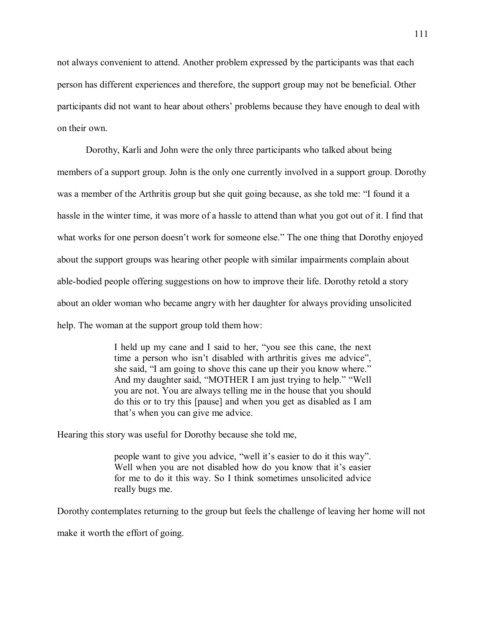not always convenient to attend. Another problem expressed by the participants was that each person has different experiences and therefore, the support group may not be beneficial. Other participants did not want to hear about others' problems because they have enough to deal with on their own.

 Dorothy, Karli and John were the only three participants who talked about being members of a support group. John is the only one currently involved in a support group. Dorothy was a member of the Arthritis group but she quit going because, as she told me: "I found it a hassle in the winter time, it was more of a hassle to attend than what you got out of it. I find that what works for one person doesn't work for someone else." The one thing that Dorothy enjoyed about the support groups was hearing other people with similar impairments complain about able-bodied people offering suggestions on how to improve their life. Dorothy retold a story about an older woman who became angry with her daughter for always providing unsolicited help. The woman at the support group told them how:

> I held up my cane and I said to her, "you see this cane, the next time a person who isn't disabled with arthritis gives me advice", she said, "I am going to shove this cane up their you know where." And my daughter said, "MOTHER I am just trying to help." "Well you are not. You are always telling me in the house that you should do this or to try this [pause] and when you get as disabled as I am that's when you can give me advice.

Hearing this story was useful for Dorothy because she told me,

people want to give you advice, "well it's easier to do it this way". Well when you are not disabled how do you know that it's easier for me to do it this way. So I think sometimes unsolicited advice really bugs me.

Dorothy contemplates returning to the group but feels the challenge of leaving her home will not make it worth the effort of going.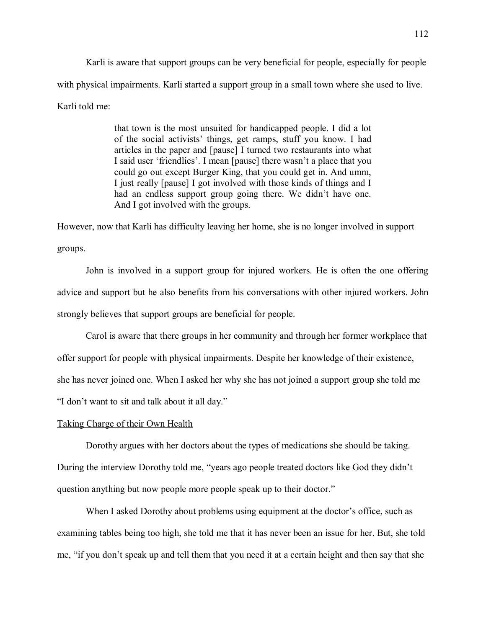Karli is aware that support groups can be very beneficial for people, especially for people with physical impairments. Karli started a support group in a small town where she used to live. Karli told me:

> that town is the most unsuited for handicapped people. I did a lot of the social activists' things, get ramps, stuff you know. I had articles in the paper and [pause] I turned two restaurants into what I said user 'friendlies'. I mean [pause] there wasn't a place that you could go out except Burger King, that you could get in. And umm, I just really [pause] I got involved with those kinds of things and I had an endless support group going there. We didn't have one. And I got involved with the groups.

However, now that Karli has difficulty leaving her home, she is no longer involved in support groups.

John is involved in a support group for injured workers. He is often the one offering advice and support but he also benefits from his conversations with other injured workers. John strongly believes that support groups are beneficial for people.

 Carol is aware that there groups in her community and through her former workplace that offer support for people with physical impairments. Despite her knowledge of their existence, she has never joined one. When I asked her why she has not joined a support group she told me "I don't want to sit and talk about it all day."

### Taking Charge of their Own Health

Dorothy argues with her doctors about the types of medications she should be taking. During the interview Dorothy told me, "years ago people treated doctors like God they didn't question anything but now people more people speak up to their doctor.

When I asked Dorothy about problems using equipment at the doctor's office, such as examining tables being too high, she told me that it has never been an issue for her. But, she told me, "if you don't speak up and tell them that you need it at a certain height and then say that she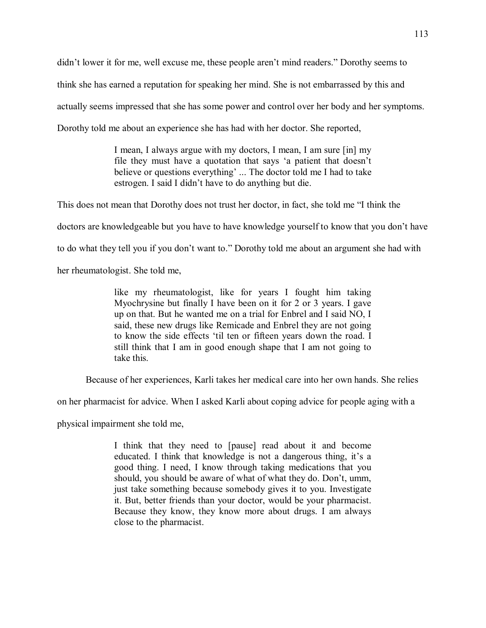didn't lower it for me, well excuse me, these people aren't mind readers." Dorothy seems to

think she has earned a reputation for speaking her mind. She is not embarrassed by this and

actually seems impressed that she has some power and control over her body and her symptoms.

Dorothy told me about an experience she has had with her doctor. She reported,

I mean, I always argue with my doctors, I mean, I am sure [in] my file they must have a quotation that says 'a patient that doesn't believe or questions everything' ... The doctor told me I had to take estrogen. I said I didn't have to do anything but die.

This does not mean that Dorothy does not trust her doctor, in fact, she told me "I think the

doctors are knowledgeable but you have to have knowledge yourself to know that you don't have

to do what they tell you if you don't want to." Dorothy told me about an argument she had with

her rheumatologist. She told me,

like my rheumatologist, like for years I fought him taking Myochrysine but finally I have been on it for 2 or 3 years. I gave up on that. But he wanted me on a trial for Enbrel and I said NO, I said, these new drugs like Remicade and Enbrel they are not going to know the side effects 'til ten or fifteen years down the road. I still think that I am in good enough shape that I am not going to take this.

Because of her experiences, Karli takes her medical care into her own hands. She relies

on her pharmacist for advice. When I asked Karli about coping advice for people aging with a

physical impairment she told me,

I think that they need to [pause] read about it and become educated. I think that knowledge is not a dangerous thing, it's a good thing. I need, I know through taking medications that you should, you should be aware of what of what they do. Don't, umm, just take something because somebody gives it to you. Investigate it. But, better friends than your doctor, would be your pharmacist. Because they know, they know more about drugs. I am always close to the pharmacist.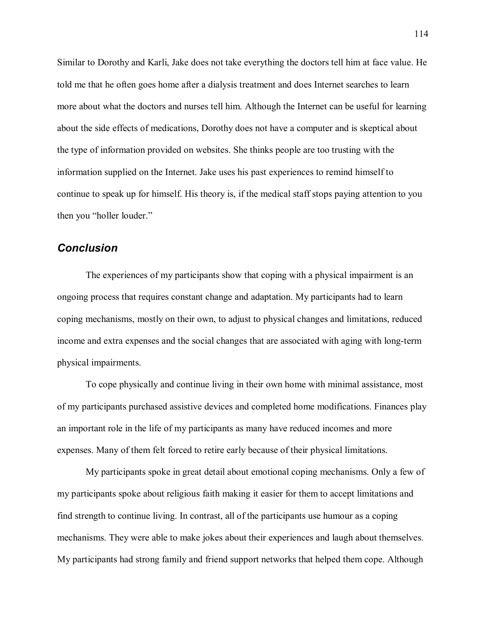Similar to Dorothy and Karli, Jake does not take everything the doctors tell him at face value. He told me that he often goes home after a dialysis treatment and does Internet searches to learn more about what the doctors and nurses tell him. Although the Internet can be useful for learning about the side effects of medications, Dorothy does not have a computer and is skeptical about the type of information provided on websites. She thinks people are too trusting with the information supplied on the Internet. Jake uses his past experiences to remind himself to continue to speak up for himself. His theory is, if the medical staff stops paying attention to you then you "holler louder."

## *Conclusion*

The experiences of my participants show that coping with a physical impairment is an ongoing process that requires constant change and adaptation. My participants had to learn coping mechanisms, mostly on their own, to adjust to physical changes and limitations, reduced income and extra expenses and the social changes that are associated with aging with long-term physical impairments.

To cope physically and continue living in their own home with minimal assistance, most of my participants purchased assistive devices and completed home modifications. Finances play an important role in the life of my participants as many have reduced incomes and more expenses. Many of them felt forced to retire early because of their physical limitations.

My participants spoke in great detail about emotional coping mechanisms. Only a few of my participants spoke about religious faith making it easier for them to accept limitations and find strength to continue living. In contrast, all of the participants use humour as a coping mechanisms. They were able to make jokes about their experiences and laugh about themselves. My participants had strong family and friend support networks that helped them cope. Although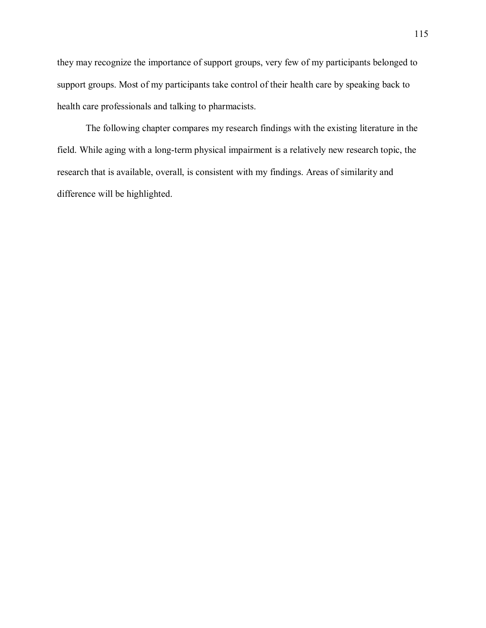they may recognize the importance of support groups, very few of my participants belonged to support groups. Most of my participants take control of their health care by speaking back to health care professionals and talking to pharmacists.

The following chapter compares my research findings with the existing literature in the field. While aging with a long-term physical impairment is a relatively new research topic, the research that is available, overall, is consistent with my findings. Areas of similarity and difference will be highlighted.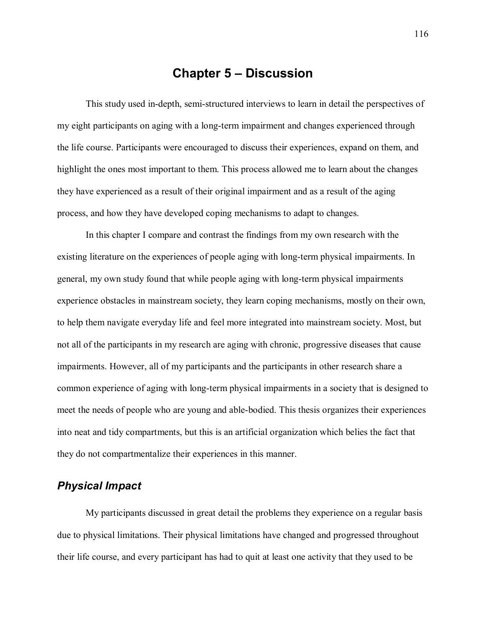## **Chapter 5 – Discussion**

This study used in-depth, semi-structured interviews to learn in detail the perspectives of my eight participants on aging with a long-term impairment and changes experienced through the life course. Participants were encouraged to discuss their experiences, expand on them, and highlight the ones most important to them. This process allowed me to learn about the changes they have experienced as a result of their original impairment and as a result of the aging process, and how they have developed coping mechanisms to adapt to changes.

In this chapter I compare and contrast the findings from my own research with the existing literature on the experiences of people aging with long-term physical impairments. In general, my own study found that while people aging with long-term physical impairments experience obstacles in mainstream society, they learn coping mechanisms, mostly on their own, to help them navigate everyday life and feel more integrated into mainstream society. Most, but not all of the participants in my research are aging with chronic, progressive diseases that cause impairments. However, all of my participants and the participants in other research share a common experience of aging with long-term physical impairments in a society that is designed to meet the needs of people who are young and able-bodied. This thesis organizes their experiences into neat and tidy compartments, but this is an artificial organization which belies the fact that they do not compartmentalize their experiences in this manner.

## *Physical Impact*

My participants discussed in great detail the problems they experience on a regular basis due to physical limitations. Their physical limitations have changed and progressed throughout their life course, and every participant has had to quit at least one activity that they used to be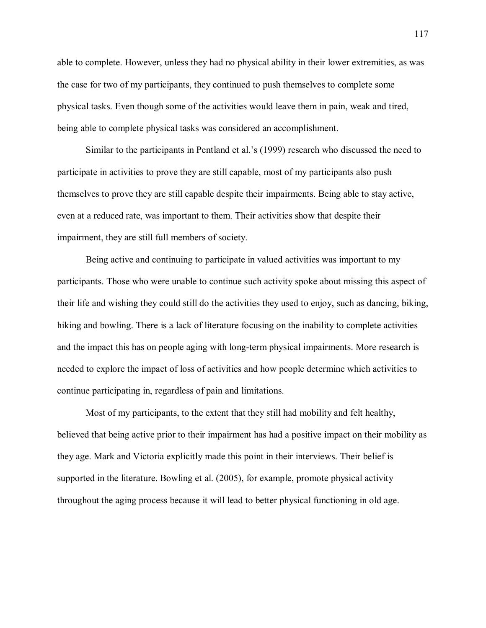able to complete. However, unless they had no physical ability in their lower extremities, as was the case for two of my participants, they continued to push themselves to complete some physical tasks. Even though some of the activities would leave them in pain, weak and tired, being able to complete physical tasks was considered an accomplishment.

Similar to the participants in Pentland et al.'s (1999) research who discussed the need to participate in activities to prove they are still capable, most of my participants also push themselves to prove they are still capable despite their impairments. Being able to stay active, even at a reduced rate, was important to them. Their activities show that despite their impairment, they are still full members of society.

 Being active and continuing to participate in valued activities was important to my participants. Those who were unable to continue such activity spoke about missing this aspect of their life and wishing they could still do the activities they used to enjoy, such as dancing, biking, hiking and bowling. There is a lack of literature focusing on the inability to complete activities and the impact this has on people aging with long-term physical impairments. More research is needed to explore the impact of loss of activities and how people determine which activities to continue participating in, regardless of pain and limitations.

Most of my participants, to the extent that they still had mobility and felt healthy, believed that being active prior to their impairment has had a positive impact on their mobility as they age. Mark and Victoria explicitly made this point in their interviews. Their belief is supported in the literature. Bowling et al. (2005), for example, promote physical activity throughout the aging process because it will lead to better physical functioning in old age.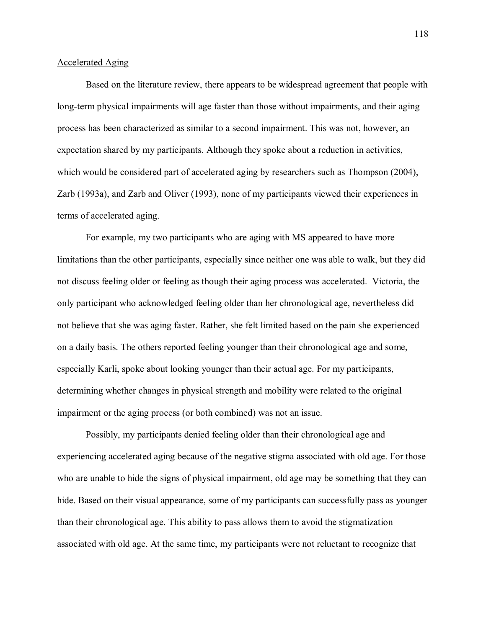### Accelerated Aging

Based on the literature review, there appears to be widespread agreement that people with long-term physical impairments will age faster than those without impairments, and their aging process has been characterized as similar to a second impairment. This was not, however, an expectation shared by my participants. Although they spoke about a reduction in activities, which would be considered part of accelerated aging by researchers such as Thompson (2004), Zarb (1993a), and Zarb and Oliver (1993), none of my participants viewed their experiences in terms of accelerated aging.

For example, my two participants who are aging with MS appeared to have more limitations than the other participants, especially since neither one was able to walk, but they did not discuss feeling older or feeling as though their aging process was accelerated. Victoria, the only participant who acknowledged feeling older than her chronological age, nevertheless did not believe that she was aging faster. Rather, she felt limited based on the pain she experienced on a daily basis. The others reported feeling younger than their chronological age and some, especially Karli, spoke about looking younger than their actual age. For my participants, determining whether changes in physical strength and mobility were related to the original impairment or the aging process (or both combined) was not an issue.

 Possibly, my participants denied feeling older than their chronological age and experiencing accelerated aging because of the negative stigma associated with old age. For those who are unable to hide the signs of physical impairment, old age may be something that they can hide. Based on their visual appearance, some of my participants can successfully pass as younger than their chronological age. This ability to pass allows them to avoid the stigmatization associated with old age. At the same time, my participants were not reluctant to recognize that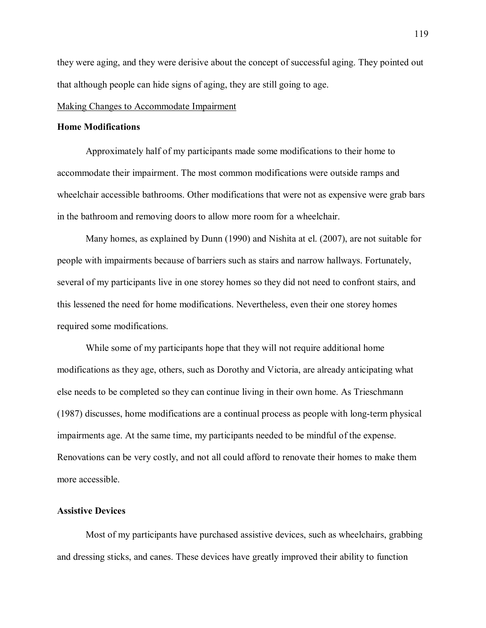they were aging, and they were derisive about the concept of successful aging. They pointed out that although people can hide signs of aging, they are still going to age.

### Making Changes to Accommodate Impairment

### **Home Modifications**

Approximately half of my participants made some modifications to their home to accommodate their impairment. The most common modifications were outside ramps and wheelchair accessible bathrooms. Other modifications that were not as expensive were grab bars in the bathroom and removing doors to allow more room for a wheelchair.

Many homes, as explained by Dunn (1990) and Nishita at el. (2007), are not suitable for people with impairments because of barriers such as stairs and narrow hallways. Fortunately, several of my participants live in one storey homes so they did not need to confront stairs, and this lessened the need for home modifications. Nevertheless, even their one storey homes required some modifications.

While some of my participants hope that they will not require additional home modifications as they age, others, such as Dorothy and Victoria, are already anticipating what else needs to be completed so they can continue living in their own home. As Trieschmann (1987) discusses, home modifications are a continual process as people with long-term physical impairments age. At the same time, my participants needed to be mindful of the expense. Renovations can be very costly, and not all could afford to renovate their homes to make them more accessible.

### **Assistive Devices**

Most of my participants have purchased assistive devices, such as wheelchairs, grabbing and dressing sticks, and canes. These devices have greatly improved their ability to function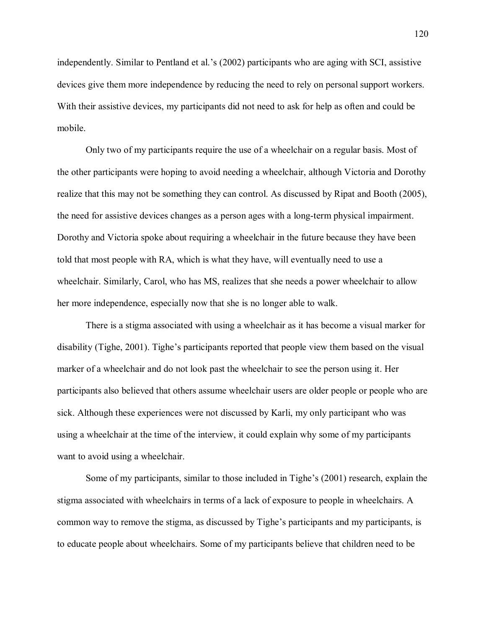independently. Similar to Pentland et al.'s  $(2002)$  participants who are aging with SCI, assistive devices give them more independence by reducing the need to rely on personal support workers. With their assistive devices, my participants did not need to ask for help as often and could be mobile.

 Only two of my participants require the use of a wheelchair on a regular basis. Most of the other participants were hoping to avoid needing a wheelchair, although Victoria and Dorothy realize that this may not be something they can control. As discussed by Ripat and Booth (2005), the need for assistive devices changes as a person ages with a long-term physical impairment. Dorothy and Victoria spoke about requiring a wheelchair in the future because they have been told that most people with RA, which is what they have, will eventually need to use a wheelchair. Similarly, Carol, who has MS, realizes that she needs a power wheelchair to allow her more independence, especially now that she is no longer able to walk.

There is a stigma associated with using a wheelchair as it has become a visual marker for disability (Tighe,  $2001$ ). Tighe's participants reported that people view them based on the visual marker of a wheelchair and do not look past the wheelchair to see the person using it. Her participants also believed that others assume wheelchair users are older people or people who are sick. Although these experiences were not discussed by Karli, my only participant who was using a wheelchair at the time of the interview, it could explain why some of my participants want to avoid using a wheelchair.

Some of my participants, similar to those included in Tighe's  $(2001)$  research, explain the stigma associated with wheelchairs in terms of a lack of exposure to people in wheelchairs. A common way to remove the stigma, as discussed by Tighe's participants and my participants, is to educate people about wheelchairs. Some of my participants believe that children need to be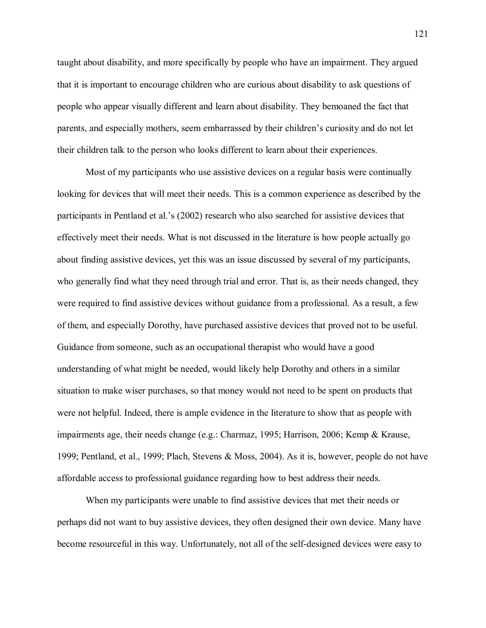taught about disability, and more specifically by people who have an impairment. They argued that it is important to encourage children who are curious about disability to ask questions of people who appear visually different and learn about disability. They bemoaned the fact that parents, and especially mothers, seem embarrassed by their children's curiosity and do not let their children talk to the person who looks different to learn about their experiences.

Most of my participants who use assistive devices on a regular basis were continually looking for devices that will meet their needs. This is a common experience as described by the participants in Pentland et al.'s  $(2002)$  research who also searched for assistive devices that effectively meet their needs. What is not discussed in the literature is how people actually go about finding assistive devices, yet this was an issue discussed by several of my participants, who generally find what they need through trial and error. That is, as their needs changed, they were required to find assistive devices without guidance from a professional. As a result, a few of them, and especially Dorothy, have purchased assistive devices that proved not to be useful. Guidance from someone, such as an occupational therapist who would have a good understanding of what might be needed, would likely help Dorothy and others in a similar situation to make wiser purchases, so that money would not need to be spent on products that were not helpful. Indeed, there is ample evidence in the literature to show that as people with impairments age, their needs change (e.g.: Charmaz, 1995; Harrison, 2006; Kemp & Krause, 1999; Pentland, et al., 1999; Plach, Stevens & Moss, 2004). As it is, however, people do not have affordable access to professional guidance regarding how to best address their needs.

When my participants were unable to find assistive devices that met their needs or perhaps did not want to buy assistive devices, they often designed their own device. Many have become resourceful in this way. Unfortunately, not all of the self-designed devices were easy to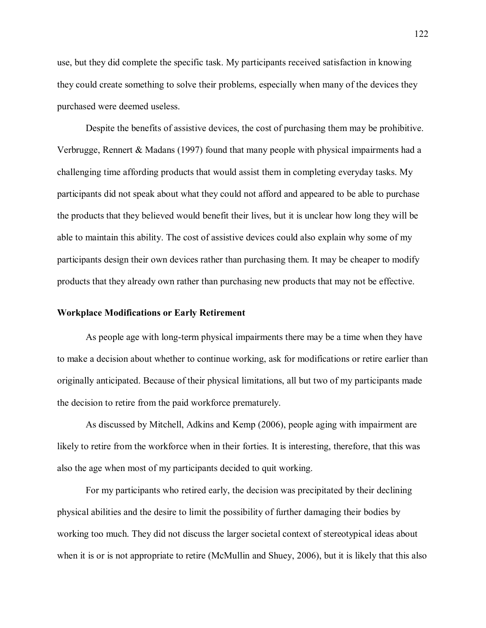use, but they did complete the specific task. My participants received satisfaction in knowing they could create something to solve their problems, especially when many of the devices they purchased were deemed useless.

Despite the benefits of assistive devices, the cost of purchasing them may be prohibitive. Verbrugge, Rennert & Madans (1997) found that many people with physical impairments had a challenging time affording products that would assist them in completing everyday tasks. My participants did not speak about what they could not afford and appeared to be able to purchase the products that they believed would benefit their lives, but it is unclear how long they will be able to maintain this ability. The cost of assistive devices could also explain why some of my participants design their own devices rather than purchasing them. It may be cheaper to modify products that they already own rather than purchasing new products that may not be effective.

### **Workplace Modifications or Early Retirement**

As people age with long-term physical impairments there may be a time when they have to make a decision about whether to continue working, ask for modifications or retire earlier than originally anticipated. Because of their physical limitations, all but two of my participants made the decision to retire from the paid workforce prematurely.

As discussed by Mitchell, Adkins and Kemp (2006), people aging with impairment are likely to retire from the workforce when in their forties. It is interesting, therefore, that this was also the age when most of my participants decided to quit working.

For my participants who retired early, the decision was precipitated by their declining physical abilities and the desire to limit the possibility of further damaging their bodies by working too much. They did not discuss the larger societal context of stereotypical ideas about when it is or is not appropriate to retire (McMullin and Shuey, 2006), but it is likely that this also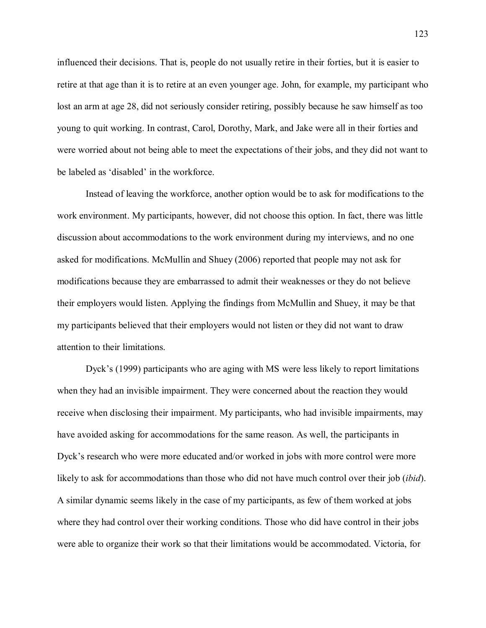influenced their decisions. That is, people do not usually retire in their forties, but it is easier to retire at that age than it is to retire at an even younger age. John, for example, my participant who lost an arm at age 28, did not seriously consider retiring, possibly because he saw himself as too young to quit working. In contrast, Carol, Dorothy, Mark, and Jake were all in their forties and were worried about not being able to meet the expectations of their jobs, and they did not want to be labeled as 'disabled' in the workforce.

Instead of leaving the workforce, another option would be to ask for modifications to the work environment. My participants, however, did not choose this option. In fact, there was little discussion about accommodations to the work environment during my interviews, and no one asked for modifications. McMullin and Shuey (2006) reported that people may not ask for modifications because they are embarrassed to admit their weaknesses or they do not believe their employers would listen. Applying the findings from McMullin and Shuey, it may be that my participants believed that their employers would not listen or they did not want to draw attention to their limitations.

Dyck's (1999) participants who are aging with MS were less likely to report limitations when they had an invisible impairment. They were concerned about the reaction they would receive when disclosing their impairment. My participants, who had invisible impairments, may have avoided asking for accommodations for the same reason. As well, the participants in Dyck's research who were more educated and/or worked in jobs with more control were more likely to ask for accommodations than those who did not have much control over their job (*ibid*). A similar dynamic seems likely in the case of my participants, as few of them worked at jobs where they had control over their working conditions. Those who did have control in their jobs were able to organize their work so that their limitations would be accommodated. Victoria, for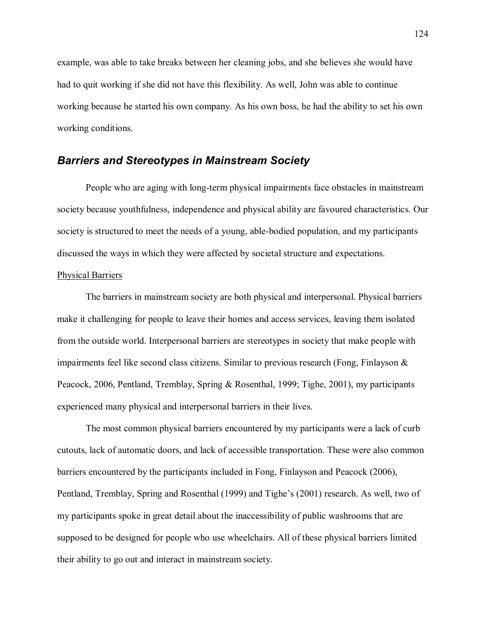example, was able to take breaks between her cleaning jobs, and she believes she would have had to quit working if she did not have this flexibility. As well, John was able to continue working because he started his own company. As his own boss, he had the ability to set his own working conditions.

## *Barriers and Stereotypes in Mainstream Society*

People who are aging with long-term physical impairments face obstacles in mainstream society because youthfulness, independence and physical ability are favoured characteristics. Our society is structured to meet the needs of a young, able-bodied population, and my participants discussed the ways in which they were affected by societal structure and expectations.

### Physical Barriers

The barriers in mainstream society are both physical and interpersonal. Physical barriers make it challenging for people to leave their homes and access services, leaving them isolated from the outside world. Interpersonal barriers are stereotypes in society that make people with impairments feel like second class citizens. Similar to previous research (Fong, Finlayson  $\&$ Peacock, 2006, Pentland, Tremblay, Spring & Rosenthal, 1999; Tighe, 2001), my participants experienced many physical and interpersonal barriers in their lives.

The most common physical barriers encountered by my participants were a lack of curb cutouts, lack of automatic doors, and lack of accessible transportation. These were also common barriers encountered by the participants included in Fong, Finlayson and Peacock (2006), Pentland, Tremblay, Spring and Rosenthal (1999) and Tighe's (2001) research. As well, two of my participants spoke in great detail about the inaccessibility of public washrooms that are supposed to be designed for people who use wheelchairs. All of these physical barriers limited their ability to go out and interact in mainstream society.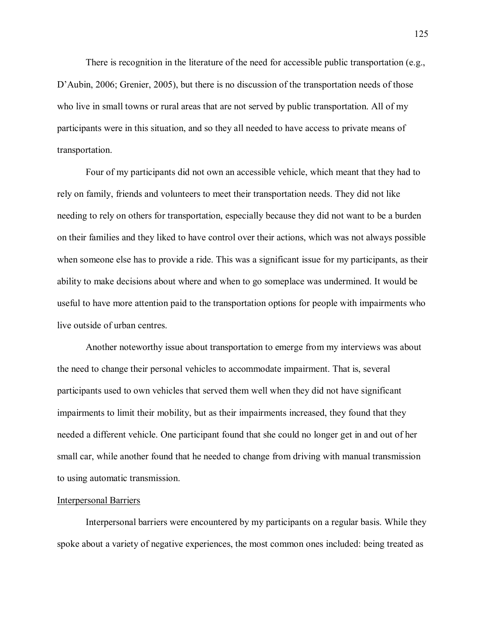There is recognition in the literature of the need for accessible public transportation (e.g.,  $D'$ Aubin, 2006; Grenier, 2005), but there is no discussion of the transportation needs of those who live in small towns or rural areas that are not served by public transportation. All of my participants were in this situation, and so they all needed to have access to private means of transportation.

Four of my participants did not own an accessible vehicle, which meant that they had to rely on family, friends and volunteers to meet their transportation needs. They did not like needing to rely on others for transportation, especially because they did not want to be a burden on their families and they liked to have control over their actions, which was not always possible when someone else has to provide a ride. This was a significant issue for my participants, as their ability to make decisions about where and when to go someplace was undermined. It would be useful to have more attention paid to the transportation options for people with impairments who live outside of urban centres.

Another noteworthy issue about transportation to emerge from my interviews was about the need to change their personal vehicles to accommodate impairment. That is, several participants used to own vehicles that served them well when they did not have significant impairments to limit their mobility, but as their impairments increased, they found that they needed a different vehicle. One participant found that she could no longer get in and out of her small car, while another found that he needed to change from driving with manual transmission to using automatic transmission.

#### Interpersonal Barriers

Interpersonal barriers were encountered by my participants on a regular basis. While they spoke about a variety of negative experiences, the most common ones included: being treated as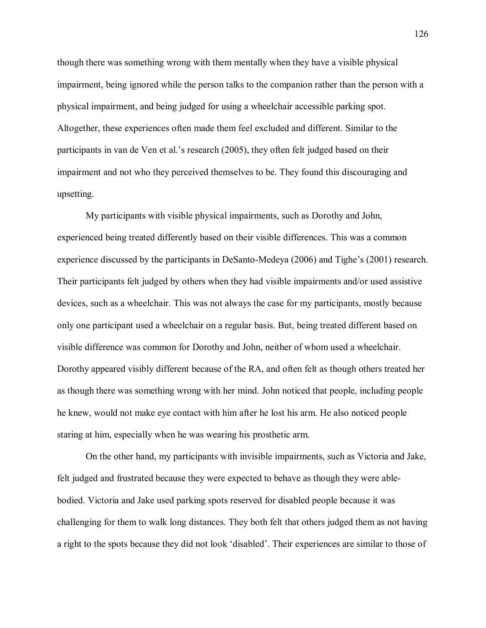though there was something wrong with them mentally when they have a visible physical impairment, being ignored while the person talks to the companion rather than the person with a physical impairment, and being judged for using a wheelchair accessible parking spot. Altogether, these experiences often made them feel excluded and different. Similar to the participants in van de Ven et al.'s research  $(2005)$ , they often felt judged based on their impairment and not who they perceived themselves to be. They found this discouraging and upsetting.

My participants with visible physical impairments, such as Dorothy and John, experienced being treated differently based on their visible differences. This was a common experience discussed by the participants in DeSanto-Medeya  $(2006)$  and Tighe's  $(2001)$  research. Their participants felt judged by others when they had visible impairments and/or used assistive devices, such as a wheelchair. This was not always the case for my participants, mostly because only one participant used a wheelchair on a regular basis. But, being treated different based on visible difference was common for Dorothy and John, neither of whom used a wheelchair. Dorothy appeared visibly different because of the RA, and often felt as though others treated her as though there was something wrong with her mind. John noticed that people, including people he knew, would not make eye contact with him after he lost his arm. He also noticed people staring at him, especially when he was wearing his prosthetic arm.

On the other hand, my participants with invisible impairments, such as Victoria and Jake, felt judged and frustrated because they were expected to behave as though they were ablebodied. Victoria and Jake used parking spots reserved for disabled people because it was challenging for them to walk long distances. They both felt that others judged them as not having a right to the spots because they did not look 'disabled'. Their experiences are similar to those of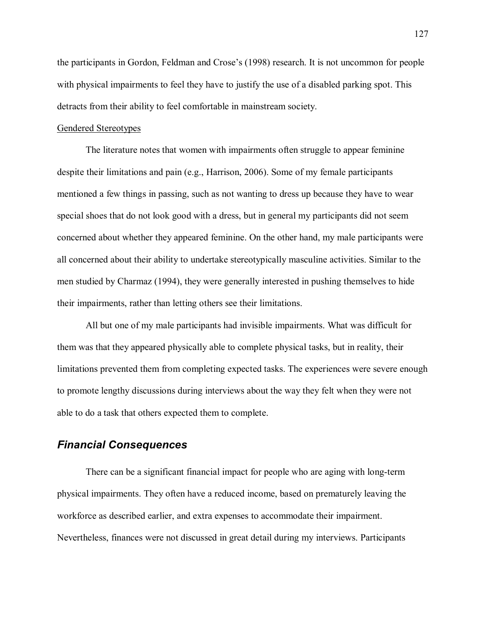the participants in Gordon, Feldman and Crose's (1998) research. It is not uncommon for people with physical impairments to feel they have to justify the use of a disabled parking spot. This detracts from their ability to feel comfortable in mainstream society.

### Gendered Stereotypes

The literature notes that women with impairments often struggle to appear feminine despite their limitations and pain (e.g., Harrison, 2006). Some of my female participants mentioned a few things in passing, such as not wanting to dress up because they have to wear special shoes that do not look good with a dress, but in general my participants did not seem concerned about whether they appeared feminine. On the other hand, my male participants were all concerned about their ability to undertake stereotypically masculine activities. Similar to the men studied by Charmaz (1994), they were generally interested in pushing themselves to hide their impairments, rather than letting others see their limitations.

All but one of my male participants had invisible impairments. What was difficult for them was that they appeared physically able to complete physical tasks, but in reality, their limitations prevented them from completing expected tasks. The experiences were severe enough to promote lengthy discussions during interviews about the way they felt when they were not able to do a task that others expected them to complete.

## *Financial Consequences*

There can be a significant financial impact for people who are aging with long-term physical impairments. They often have a reduced income, based on prematurely leaving the workforce as described earlier, and extra expenses to accommodate their impairment. Nevertheless, finances were not discussed in great detail during my interviews. Participants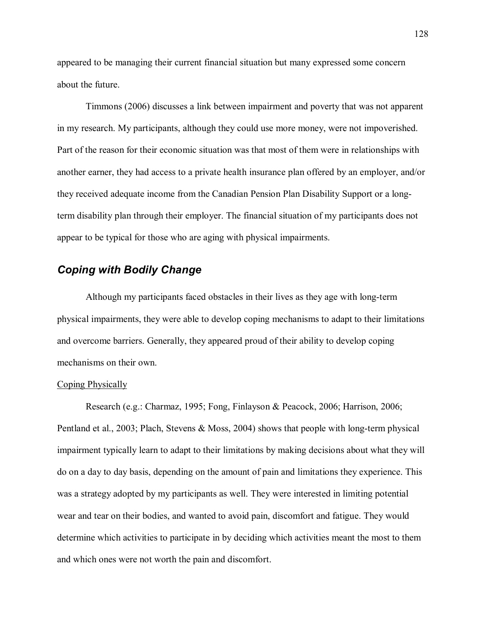appeared to be managing their current financial situation but many expressed some concern about the future.

Timmons (2006) discusses a link between impairment and poverty that was not apparent in my research. My participants, although they could use more money, were not impoverished. Part of the reason for their economic situation was that most of them were in relationships with another earner, they had access to a private health insurance plan offered by an employer, and/or they received adequate income from the Canadian Pension Plan Disability Support or a longterm disability plan through their employer. The financial situation of my participants does not appear to be typical for those who are aging with physical impairments.

## *Coping with Bodily Change*

Although my participants faced obstacles in their lives as they age with long-term physical impairments, they were able to develop coping mechanisms to adapt to their limitations and overcome barriers. Generally, they appeared proud of their ability to develop coping mechanisms on their own.

### Coping Physically

Research (e.g.: Charmaz, 1995; Fong, Finlayson & Peacock, 2006; Harrison, 2006; Pentland et al., 2003; Plach, Stevens & Moss, 2004) shows that people with long-term physical impairment typically learn to adapt to their limitations by making decisions about what they will do on a day to day basis, depending on the amount of pain and limitations they experience. This was a strategy adopted by my participants as well. They were interested in limiting potential wear and tear on their bodies, and wanted to avoid pain, discomfort and fatigue. They would determine which activities to participate in by deciding which activities meant the most to them and which ones were not worth the pain and discomfort.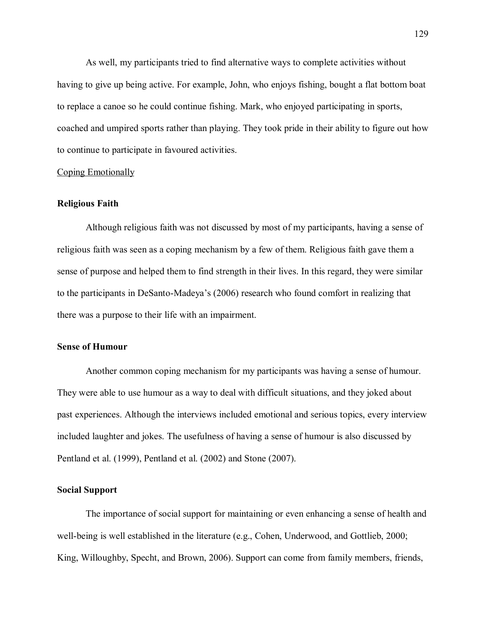As well, my participants tried to find alternative ways to complete activities without having to give up being active. For example, John, who enjoys fishing, bought a flat bottom boat to replace a canoe so he could continue fishing. Mark, who enjoyed participating in sports, coached and umpired sports rather than playing. They took pride in their ability to figure out how to continue to participate in favoured activities.

### Coping Emotionally

### **Religious Faith**

Although religious faith was not discussed by most of my participants, having a sense of religious faith was seen as a coping mechanism by a few of them. Religious faith gave them a sense of purpose and helped them to find strength in their lives. In this regard, they were similar to the participants in DeSanto-Madeya's (2006) research who found comfort in realizing that there was a purpose to their life with an impairment.

### **Sense of Humour**

Another common coping mechanism for my participants was having a sense of humour. They were able to use humour as a way to deal with difficult situations, and they joked about past experiences. Although the interviews included emotional and serious topics, every interview included laughter and jokes. The usefulness of having a sense of humour is also discussed by Pentland et al. (1999), Pentland et al. (2002) and Stone (2007).

### **Social Support**

 The importance of social support for maintaining or even enhancing a sense of health and well-being is well established in the literature (e.g., Cohen, Underwood, and Gottlieb, 2000; King, Willoughby, Specht, and Brown, 2006). Support can come from family members, friends,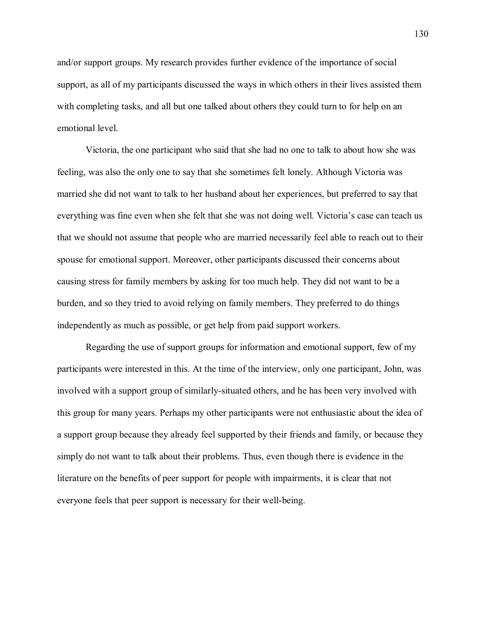and/or support groups. My research provides further evidence of the importance of social support, as all of my participants discussed the ways in which others in their lives assisted them with completing tasks, and all but one talked about others they could turn to for help on an emotional level.

Victoria, the one participant who said that she had no one to talk to about how she was feeling, was also the only one to say that she sometimes felt lonely. Although Victoria was married she did not want to talk to her husband about her experiences, but preferred to say that everything was fine even when she felt that she was not doing well. Victoria's case can teach us that we should not assume that people who are married necessarily feel able to reach out to their spouse for emotional support. Moreover, other participants discussed their concerns about causing stress for family members by asking for too much help. They did not want to be a burden, and so they tried to avoid relying on family members. They preferred to do things independently as much as possible, or get help from paid support workers.

Regarding the use of support groups for information and emotional support, few of my participants were interested in this. At the time of the interview, only one participant, John, was involved with a support group of similarly-situated others, and he has been very involved with this group for many years. Perhaps my other participants were not enthusiastic about the idea of a support group because they already feel supported by their friends and family, or because they simply do not want to talk about their problems. Thus, even though there is evidence in the literature on the benefits of peer support for people with impairments, it is clear that not everyone feels that peer support is necessary for their well-being.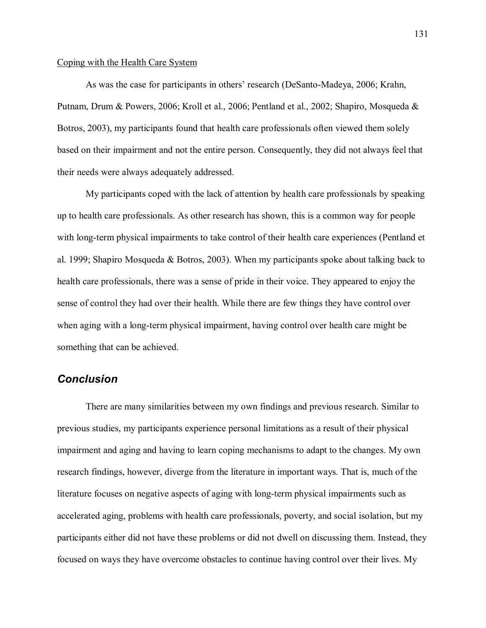### Coping with the Health Care System

As was the case for participants in others' research (DeSanto-Madeya, 2006; Krahn, Putnam, Drum & Powers, 2006; Kroll et al., 2006; Pentland et al., 2002; Shapiro, Mosqueda & Botros, 2003), my participants found that health care professionals often viewed them solely based on their impairment and not the entire person. Consequently, they did not always feel that their needs were always adequately addressed.

 My participants coped with the lack of attention by health care professionals by speaking up to health care professionals. As other research has shown, this is a common way for people with long-term physical impairments to take control of their health care experiences (Pentland et al. 1999; Shapiro Mosqueda & Botros, 2003). When my participants spoke about talking back to health care professionals, there was a sense of pride in their voice. They appeared to enjoy the sense of control they had over their health. While there are few things they have control over when aging with a long-term physical impairment, having control over health care might be something that can be achieved.

## *Conclusion*

There are many similarities between my own findings and previous research. Similar to previous studies, my participants experience personal limitations as a result of their physical impairment and aging and having to learn coping mechanisms to adapt to the changes. My own research findings, however, diverge from the literature in important ways. That is, much of the literature focuses on negative aspects of aging with long-term physical impairments such as accelerated aging, problems with health care professionals, poverty, and social isolation, but my participants either did not have these problems or did not dwell on discussing them. Instead, they focused on ways they have overcome obstacles to continue having control over their lives. My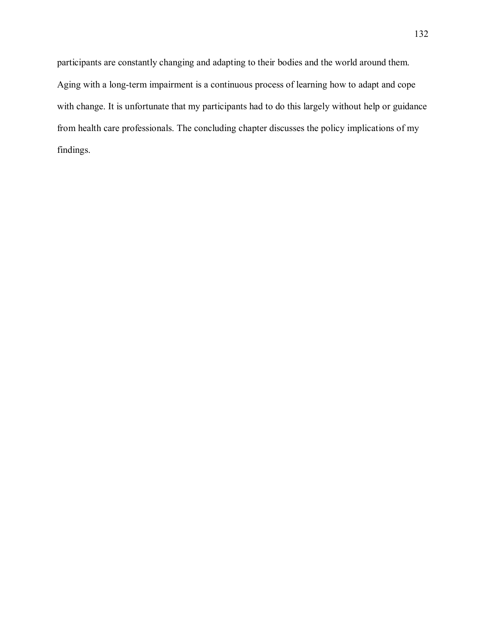participants are constantly changing and adapting to their bodies and the world around them. Aging with a long-term impairment is a continuous process of learning how to adapt and cope with change. It is unfortunate that my participants had to do this largely without help or guidance from health care professionals. The concluding chapter discusses the policy implications of my findings.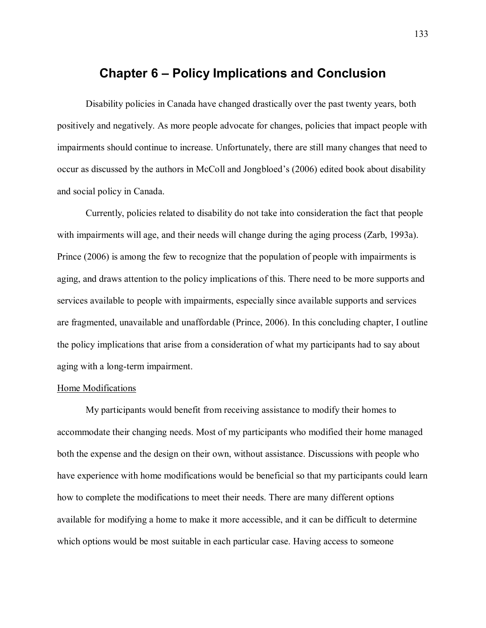## **Chapter 6 Policy Implications and Conclusion**

Disability policies in Canada have changed drastically over the past twenty years, both positively and negatively. As more people advocate for changes, policies that impact people with impairments should continue to increase. Unfortunately, there are still many changes that need to occur as discussed by the authors in McColl and Jongbloed's (2006) edited book about disability and social policy in Canada.

Currently, policies related to disability do not take into consideration the fact that people with impairments will age, and their needs will change during the aging process (Zarb, 1993a). Prince (2006) is among the few to recognize that the population of people with impairments is aging, and draws attention to the policy implications of this. There need to be more supports and services available to people with impairments, especially since available supports and services are fragmented, unavailable and unaffordable (Prince, 2006). In this concluding chapter, I outline the policy implications that arise from a consideration of what my participants had to say about aging with a long-term impairment.

### Home Modifications

My participants would benefit from receiving assistance to modify their homes to accommodate their changing needs. Most of my participants who modified their home managed both the expense and the design on their own, without assistance. Discussions with people who have experience with home modifications would be beneficial so that my participants could learn how to complete the modifications to meet their needs. There are many different options available for modifying a home to make it more accessible, and it can be difficult to determine which options would be most suitable in each particular case. Having access to someone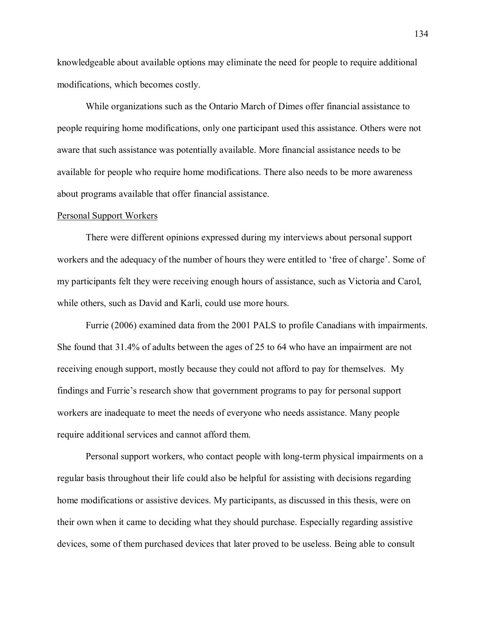knowledgeable about available options may eliminate the need for people to require additional modifications, which becomes costly.

While organizations such as the Ontario March of Dimes offer financial assistance to people requiring home modifications, only one participant used this assistance. Others were not aware that such assistance was potentially available. More financial assistance needs to be available for people who require home modifications. There also needs to be more awareness about programs available that offer financial assistance.

#### Personal Support Workers

There were different opinions expressed during my interviews about personal support workers and the adequacy of the number of hours they were entitled to 'free of charge'. Some of my participants felt they were receiving enough hours of assistance, such as Victoria and Carol, while others, such as David and Karli, could use more hours.

Furrie (2006) examined data from the 2001 PALS to profile Canadians with impairments. She found that 31.4% of adults between the ages of 25 to 64 who have an impairment are not receiving enough support, mostly because they could not afford to pay for themselves. My findings and Furrie's research show that government programs to pay for personal support workers are inadequate to meet the needs of everyone who needs assistance. Many people require additional services and cannot afford them.

Personal support workers, who contact people with long-term physical impairments on a regular basis throughout their life could also be helpful for assisting with decisions regarding home modifications or assistive devices. My participants, as discussed in this thesis, were on their own when it came to deciding what they should purchase. Especially regarding assistive devices, some of them purchased devices that later proved to be useless. Being able to consult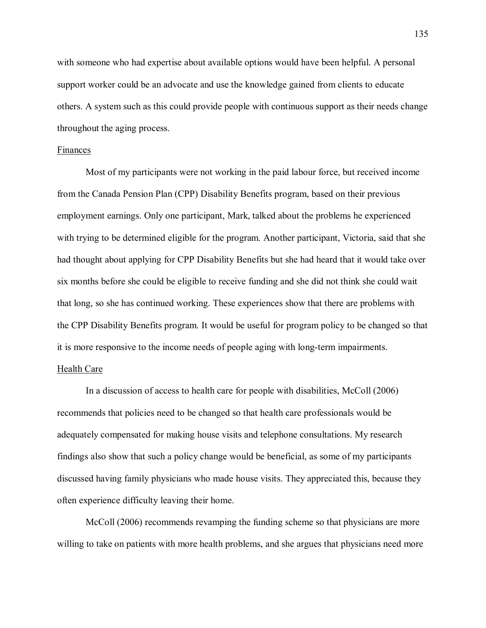with someone who had expertise about available options would have been helpful. A personal support worker could be an advocate and use the knowledge gained from clients to educate others. A system such as this could provide people with continuous support as their needs change throughout the aging process.

### Finances

Most of my participants were not working in the paid labour force, but received income from the Canada Pension Plan (CPP) Disability Benefits program, based on their previous employment earnings. Only one participant, Mark, talked about the problems he experienced with trying to be determined eligible for the program. Another participant, Victoria, said that she had thought about applying for CPP Disability Benefits but she had heard that it would take over six months before she could be eligible to receive funding and she did not think she could wait that long, so she has continued working. These experiences show that there are problems with the CPP Disability Benefits program. It would be useful for program policy to be changed so that it is more responsive to the income needs of people aging with long-term impairments.

### Health Care

In a discussion of access to health care for people with disabilities, McColl (2006) recommends that policies need to be changed so that health care professionals would be adequately compensated for making house visits and telephone consultations. My research findings also show that such a policy change would be beneficial, as some of my participants discussed having family physicians who made house visits. They appreciated this, because they often experience difficulty leaving their home.

McColl (2006) recommends revamping the funding scheme so that physicians are more willing to take on patients with more health problems, and she argues that physicians need more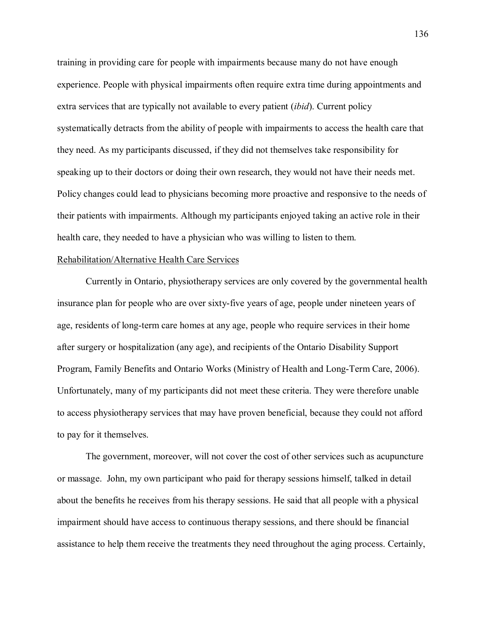training in providing care for people with impairments because many do not have enough experience. People with physical impairments often require extra time during appointments and extra services that are typically not available to every patient (*ibid*). Current policy systematically detracts from the ability of people with impairments to access the health care that they need. As my participants discussed, if they did not themselves take responsibility for speaking up to their doctors or doing their own research, they would not have their needs met. Policy changes could lead to physicians becoming more proactive and responsive to the needs of their patients with impairments. Although my participants enjoyed taking an active role in their health care, they needed to have a physician who was willing to listen to them.

### Rehabilitation/Alternative Health Care Services

Currently in Ontario, physiotherapy services are only covered by the governmental health insurance plan for people who are over sixty-five years of age, people under nineteen years of age, residents of long-term care homes at any age, people who require services in their home after surgery or hospitalization (any age), and recipients of the Ontario Disability Support Program, Family Benefits and Ontario Works (Ministry of Health and Long-Term Care, 2006). Unfortunately, many of my participants did not meet these criteria. They were therefore unable to access physiotherapy services that may have proven beneficial, because they could not afford to pay for it themselves.

The government, moreover, will not cover the cost of other services such as acupuncture or massage. John, my own participant who paid for therapy sessions himself, talked in detail about the benefits he receives from his therapy sessions. He said that all people with a physical impairment should have access to continuous therapy sessions, and there should be financial assistance to help them receive the treatments they need throughout the aging process. Certainly,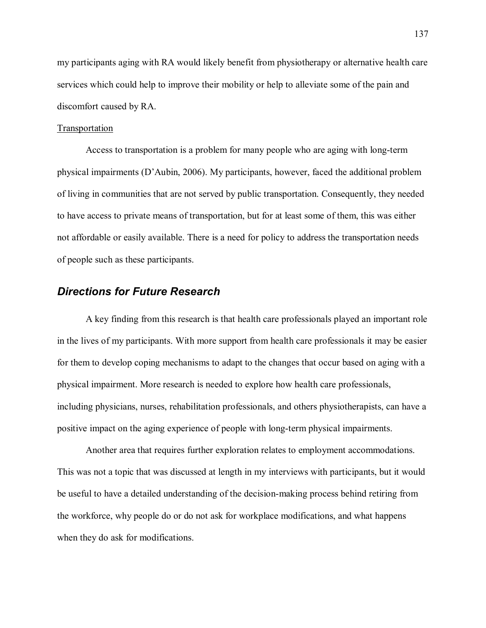my participants aging with RA would likely benefit from physiotherapy or alternative health care services which could help to improve their mobility or help to alleviate some of the pain and discomfort caused by RA.

### Transportation

 Access to transportation is a problem for many people who are aging with long-term physical impairments  $(D'Aubin, 2006)$ . My participants, however, faced the additional problem of living in communities that are not served by public transportation. Consequently, they needed to have access to private means of transportation, but for at least some of them, this was either not affordable or easily available. There is a need for policy to address the transportation needs of people such as these participants.

### *Directions for Future Research*

 A key finding from this research is that health care professionals played an important role in the lives of my participants. With more support from health care professionals it may be easier for them to develop coping mechanisms to adapt to the changes that occur based on aging with a physical impairment. More research is needed to explore how health care professionals, including physicians, nurses, rehabilitation professionals, and others physiotherapists, can have a positive impact on the aging experience of people with long-term physical impairments.

 Another area that requires further exploration relates to employment accommodations. This was not a topic that was discussed at length in my interviews with participants, but it would be useful to have a detailed understanding of the decision-making process behind retiring from the workforce, why people do or do not ask for workplace modifications, and what happens when they do ask for modifications.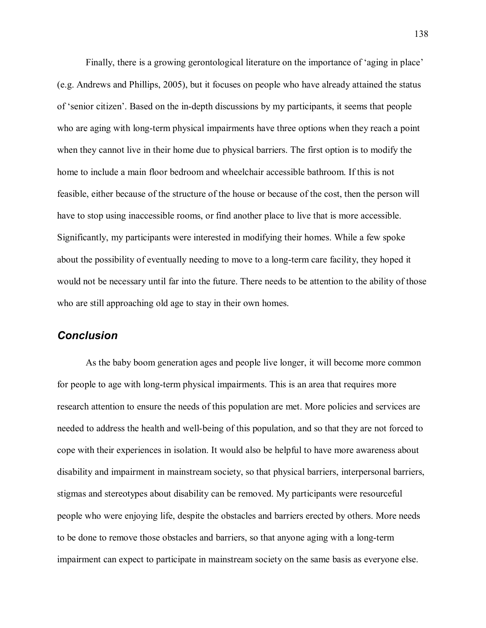Finally, there is a growing gerontological literature on the importance of 'aging in place' (e.g. Andrews and Phillips, 2005), but it focuses on people who have already attained the status of 'senior citizen'. Based on the in-depth discussions by my participants, it seems that people who are aging with long-term physical impairments have three options when they reach a point when they cannot live in their home due to physical barriers. The first option is to modify the home to include a main floor bedroom and wheelchair accessible bathroom. If this is not feasible, either because of the structure of the house or because of the cost, then the person will have to stop using inaccessible rooms, or find another place to live that is more accessible. Significantly, my participants were interested in modifying their homes. While a few spoke about the possibility of eventually needing to move to a long-term care facility, they hoped it would not be necessary until far into the future. There needs to be attention to the ability of those who are still approaching old age to stay in their own homes.

## *Conclusion*

As the baby boom generation ages and people live longer, it will become more common for people to age with long-term physical impairments. This is an area that requires more research attention to ensure the needs of this population are met. More policies and services are needed to address the health and well-being of this population, and so that they are not forced to cope with their experiences in isolation. It would also be helpful to have more awareness about disability and impairment in mainstream society, so that physical barriers, interpersonal barriers, stigmas and stereotypes about disability can be removed. My participants were resourceful people who were enjoying life, despite the obstacles and barriers erected by others. More needs to be done to remove those obstacles and barriers, so that anyone aging with a long-term impairment can expect to participate in mainstream society on the same basis as everyone else.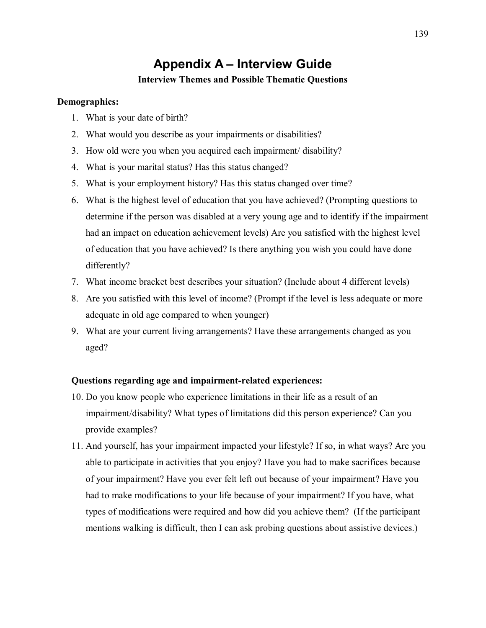# **Appendix A - Interview Guide**

### **Interview Themes and Possible Thematic Questions**

### **Demographics:**

- 1. What is your date of birth?
- 2. What would you describe as your impairments or disabilities?
- 3. How old were you when you acquired each impairment/ disability?
- 4. What is your marital status? Has this status changed?
- 5. What is your employment history? Has this status changed over time?
- 6. What is the highest level of education that you have achieved? (Prompting questions to determine if the person was disabled at a very young age and to identify if the impairment had an impact on education achievement levels) Are you satisfied with the highest level of education that you have achieved? Is there anything you wish you could have done differently?
- 7. What income bracket best describes your situation? (Include about 4 different levels)
- 8. Are you satisfied with this level of income? (Prompt if the level is less adequate or more adequate in old age compared to when younger)
- 9. What are your current living arrangements? Have these arrangements changed as you aged?

### **Questions regarding age and impairment-related experiences:**

- 10. Do you know people who experience limitations in their life as a result of an impairment/disability? What types of limitations did this person experience? Can you provide examples?
- 11. And yourself, has your impairment impacted your lifestyle? If so, in what ways? Are you able to participate in activities that you enjoy? Have you had to make sacrifices because of your impairment? Have you ever felt left out because of your impairment? Have you had to make modifications to your life because of your impairment? If you have, what types of modifications were required and how did you achieve them? (If the participant mentions walking is difficult, then I can ask probing questions about assistive devices.)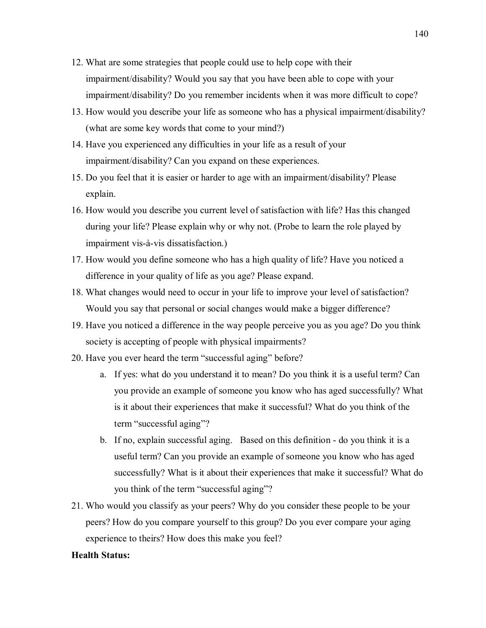- 12. What are some strategies that people could use to help cope with their impairment/disability? Would you say that you have been able to cope with your impairment/disability? Do you remember incidents when it was more difficult to cope?
- 13. How would you describe your life as someone who has a physical impairment/disability? (what are some key words that come to your mind?)
- 14. Have you experienced any difficulties in your life as a result of your impairment/disability? Can you expand on these experiences.
- 15. Do you feel that it is easier or harder to age with an impairment/disability? Please explain.
- 16. How would you describe you current level of satisfaction with life? Has this changed during your life? Please explain why or why not. (Probe to learn the role played by impairment vis-à-vis dissatisfaction.)
- 17. How would you define someone who has a high quality of life? Have you noticed a difference in your quality of life as you age? Please expand.
- 18. What changes would need to occur in your life to improve your level of satisfaction? Would you say that personal or social changes would make a bigger difference?
- 19. Have you noticed a difference in the way people perceive you as you age? Do you think society is accepting of people with physical impairments?
- 20. Have you ever heard the term "successful aging" before?
	- a. If yes: what do you understand it to mean? Do you think it is a useful term? Can you provide an example of someone you know who has aged successfully? What is it about their experiences that make it successful? What do you think of the term "successful aging"?
	- b. If no, explain successful aging. Based on this definition do you think it is a useful term? Can you provide an example of someone you know who has aged successfully? What is it about their experiences that make it successful? What do you think of the term "successful aging"?
- 21. Who would you classify as your peers? Why do you consider these people to be your peers? How do you compare yourself to this group? Do you ever compare your aging experience to theirs? How does this make you feel?

### **Health Status:**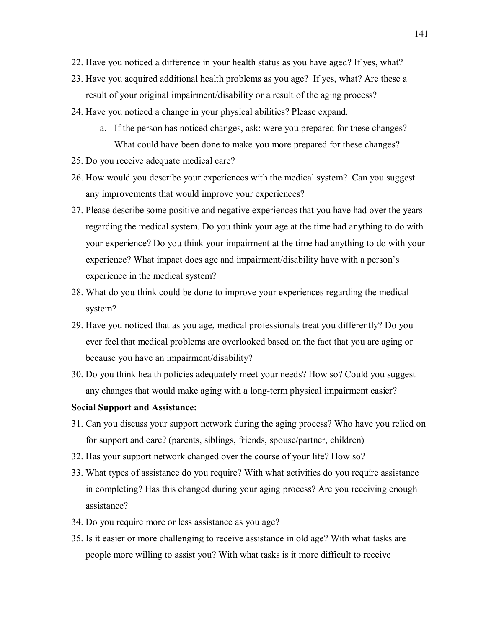- 22. Have you noticed a difference in your health status as you have aged? If yes, what?
- 23. Have you acquired additional health problems as you age? If yes, what? Are these a result of your original impairment/disability or a result of the aging process?
- 24. Have you noticed a change in your physical abilities? Please expand.
	- a. If the person has noticed changes, ask: were you prepared for these changes? What could have been done to make you more prepared for these changes?
- 25. Do you receive adequate medical care?
- 26. How would you describe your experiences with the medical system? Can you suggest any improvements that would improve your experiences?
- 27. Please describe some positive and negative experiences that you have had over the years regarding the medical system. Do you think your age at the time had anything to do with your experience? Do you think your impairment at the time had anything to do with your experience? What impact does age and impairment/disability have with a person's experience in the medical system?
- 28. What do you think could be done to improve your experiences regarding the medical system?
- 29. Have you noticed that as you age, medical professionals treat you differently? Do you ever feel that medical problems are overlooked based on the fact that you are aging or because you have an impairment/disability?
- 30. Do you think health policies adequately meet your needs? How so? Could you suggest any changes that would make aging with a long-term physical impairment easier?

### **Social Support and Assistance:**

- 31. Can you discuss your support network during the aging process? Who have you relied on for support and care? (parents, siblings, friends, spouse/partner, children)
- 32. Has your support network changed over the course of your life? How so?
- 33. What types of assistance do you require? With what activities do you require assistance in completing? Has this changed during your aging process? Are you receiving enough assistance?
- 34. Do you require more or less assistance as you age?
- 35. Is it easier or more challenging to receive assistance in old age? With what tasks are people more willing to assist you? With what tasks is it more difficult to receive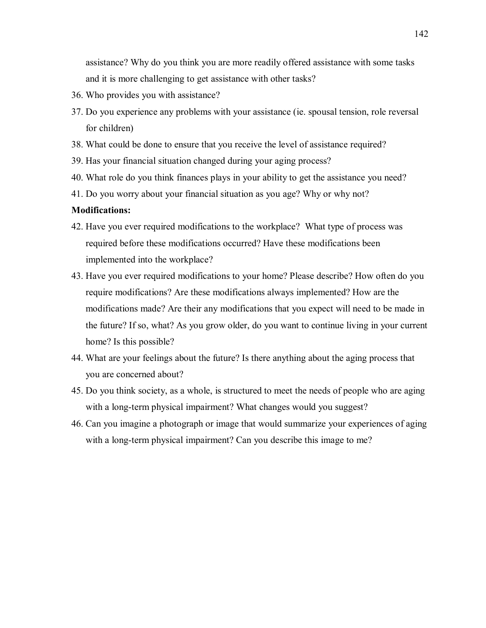assistance? Why do you think you are more readily offered assistance with some tasks and it is more challenging to get assistance with other tasks?

- 36. Who provides you with assistance?
- 37. Do you experience any problems with your assistance (ie. spousal tension, role reversal for children)
- 38. What could be done to ensure that you receive the level of assistance required?
- 39. Has your financial situation changed during your aging process?
- 40. What role do you think finances plays in your ability to get the assistance you need?
- 41. Do you worry about your financial situation as you age? Why or why not?

### **Modifications:**

- 42. Have you ever required modifications to the workplace? What type of process was required before these modifications occurred? Have these modifications been implemented into the workplace?
- 43. Have you ever required modifications to your home? Please describe? How often do you require modifications? Are these modifications always implemented? How are the modifications made? Are their any modifications that you expect will need to be made in the future? If so, what? As you grow older, do you want to continue living in your current home? Is this possible?
- 44. What are your feelings about the future? Is there anything about the aging process that you are concerned about?
- 45. Do you think society, as a whole, is structured to meet the needs of people who are aging with a long-term physical impairment? What changes would you suggest?
- 46. Can you imagine a photograph or image that would summarize your experiences of aging with a long-term physical impairment? Can you describe this image to me?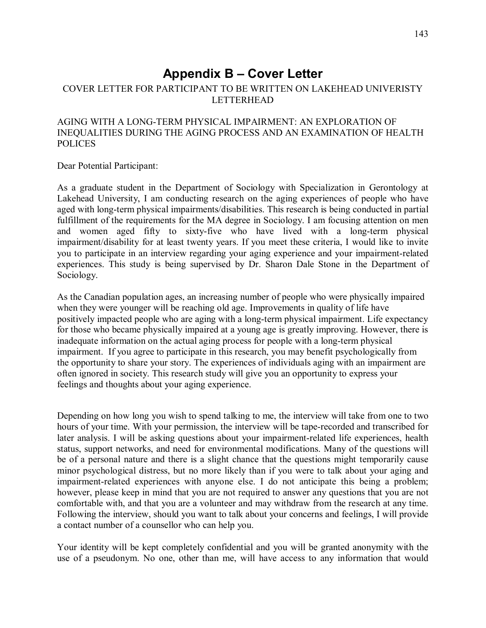# **Appendix B - Cover Letter**

## COVER LETTER FOR PARTICIPANT TO BE WRITTEN ON LAKEHEAD UNIVERISTY LETTERHEAD

### AGING WITH A LONG-TERM PHYSICAL IMPAIRMENT: AN EXPLORATION OF INEQUALITIES DURING THE AGING PROCESS AND AN EXAMINATION OF HEALTH POLICES

Dear Potential Participant:

As a graduate student in the Department of Sociology with Specialization in Gerontology at Lakehead University, I am conducting research on the aging experiences of people who have aged with long-term physical impairments/disabilities. This research is being conducted in partial fulfillment of the requirements for the MA degree in Sociology. I am focusing attention on men and women aged fifty to sixty-five who have lived with a long-term physical impairment/disability for at least twenty years. If you meet these criteria, I would like to invite you to participate in an interview regarding your aging experience and your impairment-related experiences. This study is being supervised by Dr. Sharon Dale Stone in the Department of Sociology.

As the Canadian population ages, an increasing number of people who were physically impaired when they were younger will be reaching old age. Improvements in quality of life have positively impacted people who are aging with a long-term physical impairment. Life expectancy for those who became physically impaired at a young age is greatly improving. However, there is inadequate information on the actual aging process for people with a long-term physical impairment. If you agree to participate in this research, you may benefit psychologically from the opportunity to share your story. The experiences of individuals aging with an impairment are often ignored in society. This research study will give you an opportunity to express your feelings and thoughts about your aging experience.

Depending on how long you wish to spend talking to me, the interview will take from one to two hours of your time. With your permission, the interview will be tape-recorded and transcribed for later analysis. I will be asking questions about your impairment-related life experiences, health status, support networks, and need for environmental modifications. Many of the questions will be of a personal nature and there is a slight chance that the questions might temporarily cause minor psychological distress, but no more likely than if you were to talk about your aging and impairment-related experiences with anyone else. I do not anticipate this being a problem; however, please keep in mind that you are not required to answer any questions that you are not comfortable with, and that you are a volunteer and may withdraw from the research at any time. Following the interview, should you want to talk about your concerns and feelings, I will provide a contact number of a counsellor who can help you.

Your identity will be kept completely confidential and you will be granted anonymity with the use of a pseudonym. No one, other than me, will have access to any information that would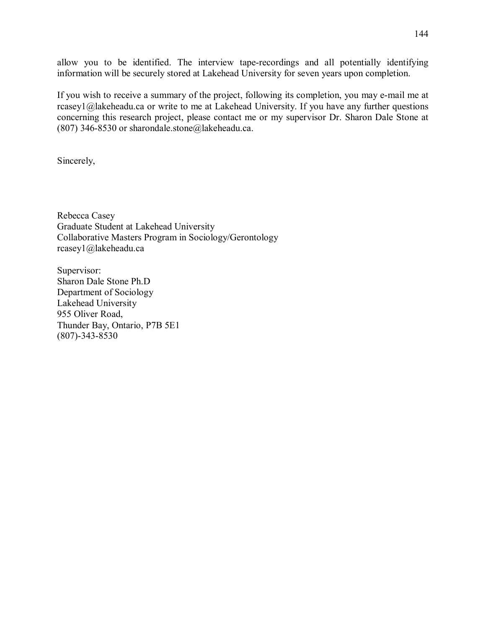allow you to be identified. The interview tape-recordings and all potentially identifying information will be securely stored at Lakehead University for seven years upon completion.

If you wish to receive a summary of the project, following its completion, you may e-mail me at rcasey1@lakeheadu.ca or write to me at Lakehead University. If you have any further questions concerning this research project, please contact me or my supervisor Dr. Sharon Dale Stone at (807) 346-8530 or sharondale.stone@lakeheadu.ca.

Sincerely,

Rebecca Casey Graduate Student at Lakehead University Collaborative Masters Program in Sociology/Gerontology rcasey1@lakeheadu.ca

Supervisor: Sharon Dale Stone Ph.D Department of Sociology Lakehead University 955 Oliver Road, Thunder Bay, Ontario, P7B 5E1 (807)-343-8530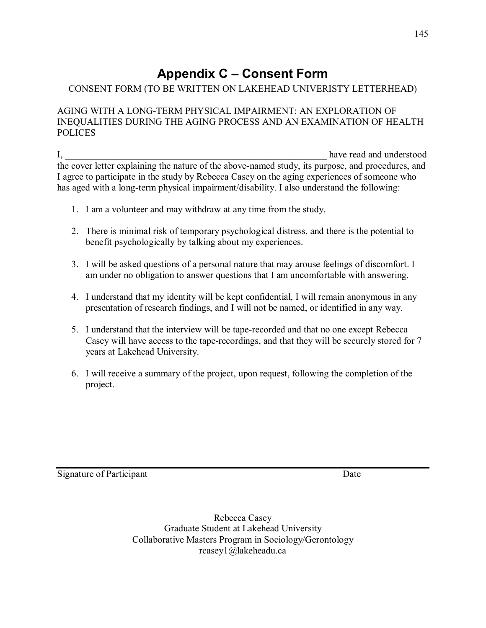# **Appendix C - Consent Form**

## CONSENT FORM (TO BE WRITTEN ON LAKEHEAD UNIVERISTY LETTERHEAD)

## AGING WITH A LONG-TERM PHYSICAL IMPAIRMENT: AN EXPLORATION OF INEQUALITIES DURING THE AGING PROCESS AND AN EXAMINATION OF HEALTH POLICES

I, the contract of the contract of the contract of the contract of the contract of the contract of the contract of the contract of the contract of the contract of the contract of the contract of the contract of the contrac the cover letter explaining the nature of the above-named study, its purpose, and procedures, and I agree to participate in the study by Rebecca Casey on the aging experiences of someone who has aged with a long-term physical impairment/disability. I also understand the following:

- 1. I am a volunteer and may withdraw at any time from the study.
- 2. There is minimal risk of temporary psychological distress, and there is the potential to benefit psychologically by talking about my experiences.
- 3. I will be asked questions of a personal nature that may arouse feelings of discomfort. I am under no obligation to answer questions that I am uncomfortable with answering.
- 4. I understand that my identity will be kept confidential, I will remain anonymous in any presentation of research findings, and I will not be named, or identified in any way.
- 5. I understand that the interview will be tape-recorded and that no one except Rebecca Casey will have access to the tape-recordings, and that they will be securely stored for 7 years at Lakehead University.
- 6. I will receive a summary of the project, upon request, following the completion of the project.

Signature of Participant Date

Rebecca Casey Graduate Student at Lakehead University Collaborative Masters Program in Sociology/Gerontology rcasey1@lakeheadu.ca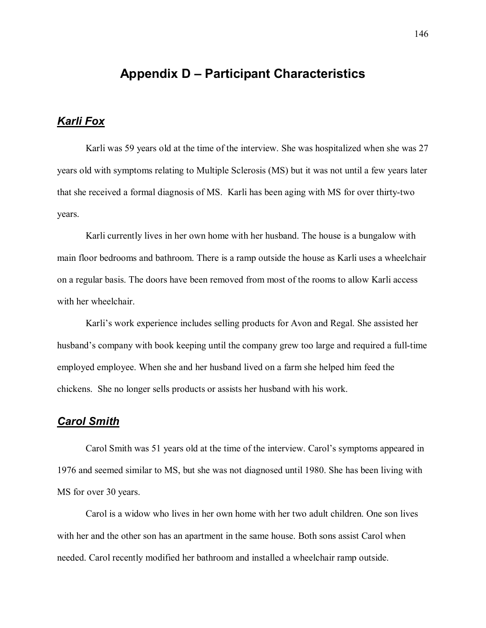## **Appendix D Participant Characteristics**

## *Karli Fox*

 Karli was 59 years old at the time of the interview. She was hospitalized when she was 27 years old with symptoms relating to Multiple Sclerosis (MS) but it was not until a few years later that she received a formal diagnosis of MS. Karli has been aging with MS for over thirty-two years.

Karli currently lives in her own home with her husband. The house is a bungalow with main floor bedrooms and bathroom. There is a ramp outside the house as Karli uses a wheelchair on a regular basis. The doors have been removed from most of the rooms to allow Karli access with her wheelchair.

Karli's work experience includes selling products for Avon and Regal. She assisted her husband's company with book keeping until the company grew too large and required a full-time employed employee. When she and her husband lived on a farm she helped him feed the chickens. She no longer sells products or assists her husband with his work.

### *Carol Smith*

Carol Smith was 51 years old at the time of the interview. Carol's symptoms appeared in 1976 and seemed similar to MS, but she was not diagnosed until 1980. She has been living with MS for over 30 years.

Carol is a widow who lives in her own home with her two adult children. One son lives with her and the other son has an apartment in the same house. Both sons assist Carol when needed. Carol recently modified her bathroom and installed a wheelchair ramp outside.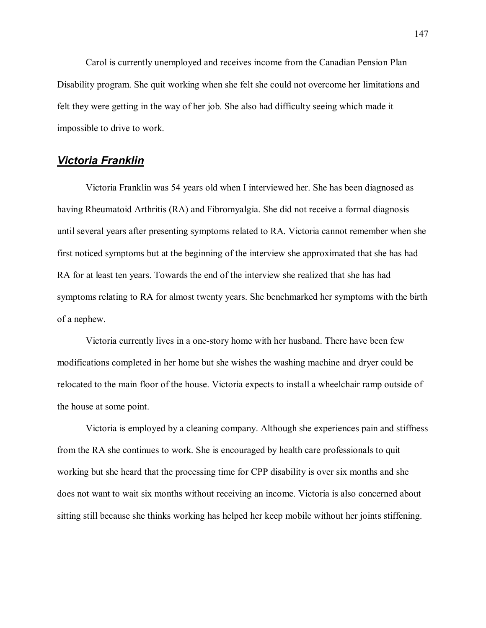Carol is currently unemployed and receives income from the Canadian Pension Plan Disability program. She quit working when she felt she could not overcome her limitations and felt they were getting in the way of her job. She also had difficulty seeing which made it impossible to drive to work.

#### *Victoria Franklin*

Victoria Franklin was 54 years old when I interviewed her. She has been diagnosed as having Rheumatoid Arthritis (RA) and Fibromyalgia. She did not receive a formal diagnosis until several years after presenting symptoms related to RA. Victoria cannot remember when she first noticed symptoms but at the beginning of the interview she approximated that she has had RA for at least ten years. Towards the end of the interview she realized that she has had symptoms relating to RA for almost twenty years. She benchmarked her symptoms with the birth of a nephew.

Victoria currently lives in a one-story home with her husband. There have been few modifications completed in her home but she wishes the washing machine and dryer could be relocated to the main floor of the house. Victoria expects to install a wheelchair ramp outside of the house at some point.

Victoria is employed by a cleaning company. Although she experiences pain and stiffness from the RA she continues to work. She is encouraged by health care professionals to quit working but she heard that the processing time for CPP disability is over six months and she does not want to wait six months without receiving an income. Victoria is also concerned about sitting still because she thinks working has helped her keep mobile without her joints stiffening.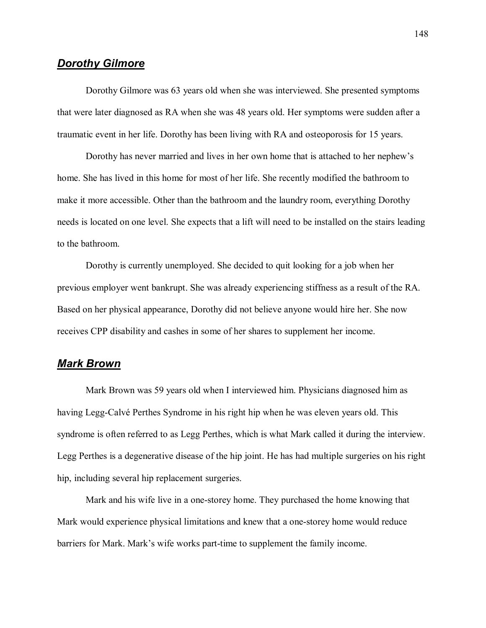## *Dorothy Gilmore*

Dorothy Gilmore was 63 years old when she was interviewed. She presented symptoms that were later diagnosed as RA when she was 48 years old. Her symptoms were sudden after a traumatic event in her life. Dorothy has been living with RA and osteoporosis for 15 years.

Dorothy has never married and lives in her own home that is attached to her nephew's home. She has lived in this home for most of her life. She recently modified the bathroom to make it more accessible. Other than the bathroom and the laundry room, everything Dorothy needs is located on one level. She expects that a lift will need to be installed on the stairs leading to the bathroom.

Dorothy is currently unemployed. She decided to quit looking for a job when her previous employer went bankrupt. She was already experiencing stiffness as a result of the RA. Based on her physical appearance, Dorothy did not believe anyone would hire her. She now receives CPP disability and cashes in some of her shares to supplement her income.

#### *Mark Brown*

Mark Brown was 59 years old when I interviewed him. Physicians diagnosed him as having Legg-Calvé Perthes Syndrome in his right hip when he was eleven years old. This syndrome is often referred to as Legg Perthes, which is what Mark called it during the interview. Legg Perthes is a degenerative disease of the hip joint. He has had multiple surgeries on his right hip, including several hip replacement surgeries.

Mark and his wife live in a one-storey home. They purchased the home knowing that Mark would experience physical limitations and knew that a one-storey home would reduce barriers for Mark. Mark's wife works part-time to supplement the family income.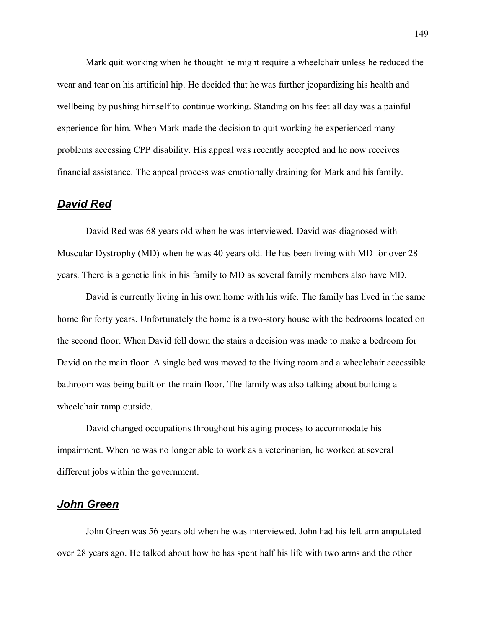Mark quit working when he thought he might require a wheelchair unless he reduced the wear and tear on his artificial hip. He decided that he was further jeopardizing his health and wellbeing by pushing himself to continue working. Standing on his feet all day was a painful experience for him. When Mark made the decision to quit working he experienced many problems accessing CPP disability. His appeal was recently accepted and he now receives financial assistance. The appeal process was emotionally draining for Mark and his family.

#### *David Red*

David Red was 68 years old when he was interviewed. David was diagnosed with Muscular Dystrophy (MD) when he was 40 years old. He has been living with MD for over 28 years. There is a genetic link in his family to MD as several family members also have MD.

David is currently living in his own home with his wife. The family has lived in the same home for forty years. Unfortunately the home is a two-story house with the bedrooms located on the second floor. When David fell down the stairs a decision was made to make a bedroom for David on the main floor. A single bed was moved to the living room and a wheelchair accessible bathroom was being built on the main floor. The family was also talking about building a wheelchair ramp outside.

David changed occupations throughout his aging process to accommodate his impairment. When he was no longer able to work as a veterinarian, he worked at several different jobs within the government.

### *John Green*

John Green was 56 years old when he was interviewed. John had his left arm amputated over 28 years ago. He talked about how he has spent half his life with two arms and the other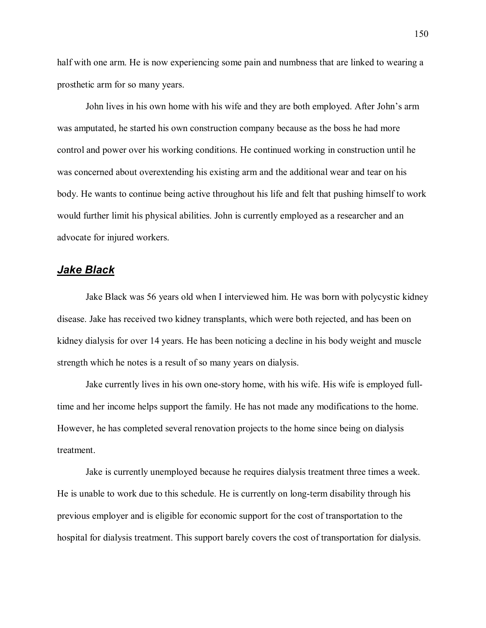half with one arm. He is now experiencing some pain and numbness that are linked to wearing a prosthetic arm for so many years.

John lives in his own home with his wife and they are both employed. After John's arm was amputated, he started his own construction company because as the boss he had more control and power over his working conditions. He continued working in construction until he was concerned about overextending his existing arm and the additional wear and tear on his body. He wants to continue being active throughout his life and felt that pushing himself to work would further limit his physical abilities. John is currently employed as a researcher and an advocate for injured workers.

### *Jake Black*

Jake Black was 56 years old when I interviewed him. He was born with polycystic kidney disease. Jake has received two kidney transplants, which were both rejected, and has been on kidney dialysis for over 14 years. He has been noticing a decline in his body weight and muscle strength which he notes is a result of so many years on dialysis.

Jake currently lives in his own one-story home, with his wife. His wife is employed fulltime and her income helps support the family. He has not made any modifications to the home. However, he has completed several renovation projects to the home since being on dialysis treatment.

Jake is currently unemployed because he requires dialysis treatment three times a week. He is unable to work due to this schedule. He is currently on long-term disability through his previous employer and is eligible for economic support for the cost of transportation to the hospital for dialysis treatment. This support barely covers the cost of transportation for dialysis.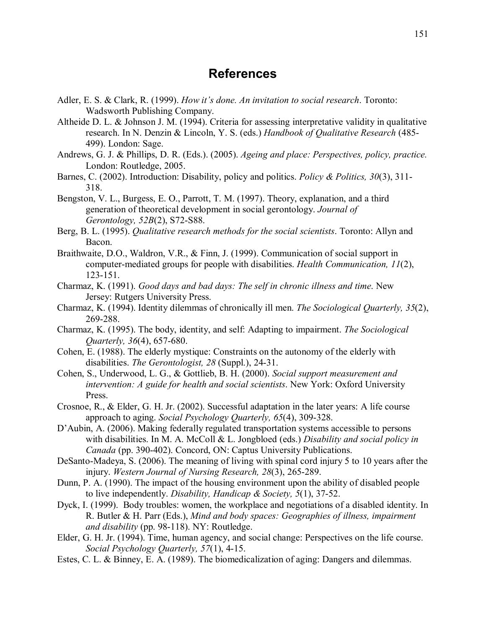## **References**

- Adler, E. S. & Clark, R. (1999). *How it's done. An invitation to social research*. Toronto: Wadsworth Publishing Company.
- Altheide D. L. & Johnson J. M. (1994). Criteria for assessing interpretative validity in qualitative research. In N. Denzin & Lincoln, Y. S. (eds.) *Handbook of Qualitative Research* (485- 499). London: Sage.
- Andrews, G. J. & Phillips, D. R. (Eds.). (2005). *Ageing and place: Perspectives, policy, practice.*  London: Routledge, 2005.
- Barnes, C. (2002). Introduction: Disability, policy and politics. *Policy & Politics, 30*(3), 311- 318.
- Bengston, V. L., Burgess, E. O., Parrott, T. M. (1997). Theory, explanation, and a third generation of theoretical development in social gerontology. *Journal of Gerontology, 52B*(2), S72-S88.
- Berg, B. L. (1995). *Qualitative research methods for the social scientists*. Toronto: Allyn and Bacon.
- Braithwaite, D.O., Waldron, V.R., & Finn, J. (1999). Communication of social support in computer-mediated groups for people with disabilities. *Health Communication, 11*(2), 123-151.
- Charmaz, K. (1991). *Good days and bad days: The self in chronic illness and time*. New Jersey: Rutgers University Press.
- Charmaz, K. (1994). Identity dilemmas of chronically ill men. *The Sociological Quarterly, 35*(2), 269-288.
- Charmaz, K. (1995). The body, identity, and self: Adapting to impairment. *The Sociological Quarterly, 36*(4), 657-680.
- Cohen, E. (1988). The elderly mystique: Constraints on the autonomy of the elderly with disabilities. *The Gerontologist, 28* (Suppl.), 24-31.
- Cohen, S., Underwood, L. G., & Gottlieb, B. H. (2000). *Social support measurement and intervention: A guide for health and social scientists*. New York: Oxford University Press.
- Crosnoe, R., & Elder, G. H. Jr. (2002). Successful adaptation in the later years: A life course approach to aging. *Social Psychology Quarterly, 65*(4), 309-328.
- D'Aubin, A. (2006). Making federally regulated transportation systems accessible to persons with disabilities. In M. A. McColl & L. Jongbloed (eds.) *Disability and social policy in Canada* (pp. 390-402). Concord, ON: Captus University Publications.
- DeSanto-Madeya, S. (2006). The meaning of living with spinal cord injury 5 to 10 years after the injury. *Western Journal of Nursing Research, 28*(3), 265-289.
- Dunn, P. A. (1990). The impact of the housing environment upon the ability of disabled people to live independently. *Disability, Handicap & Society, 5*(1), 37-52.
- Dyck, I. (1999). Body troubles: women, the workplace and negotiations of a disabled identity. In R. Butler & H. Parr (Eds.), *Mind and body spaces: Geographies of illness, impairment and disability* (pp. 98-118). NY: Routledge.
- Elder, G. H. Jr. (1994). Time, human agency, and social change: Perspectives on the life course. *Social Psychology Quarterly, 57*(1), 4-15.
- Estes, C. L. & Binney, E. A. (1989). The biomedicalization of aging: Dangers and dilemmas.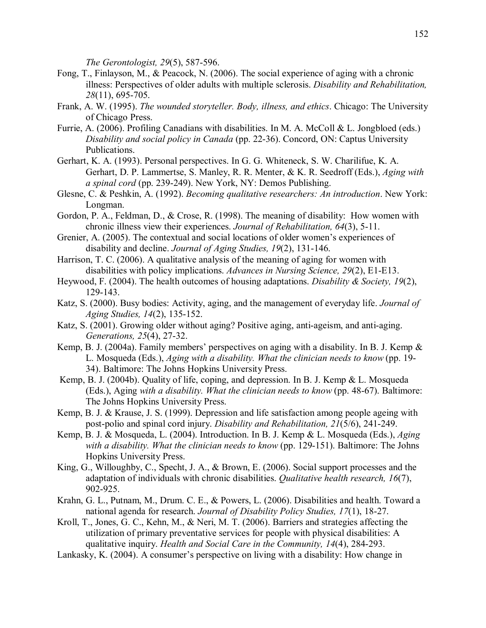*The Gerontologist, 29*(5), 587-596.

- Fong, T., Finlayson, M., & Peacock, N. (2006). The social experience of aging with a chronic illness: Perspectives of older adults with multiple sclerosis. *Disability and Rehabilitation, 28*(11), 695-705.
- Frank, A. W. (1995). *The wounded storyteller. Body, illness, and ethics*. Chicago: The University of Chicago Press.
- Furrie, A. (2006). Profiling Canadians with disabilities. In M. A. McColl & L. Jongbloed (eds.) *Disability and social policy in Canada* (pp. 22-36). Concord, ON: Captus University Publications.
- Gerhart, K. A. (1993). Personal perspectives. In G. G. Whiteneck, S. W. Charilifue, K. A. Gerhart, D. P. Lammertse, S. Manley, R. R. Menter, & K. R. Seedroff (Eds.), *Aging with a spinal cord* (pp. 239-249). New York, NY: Demos Publishing.
- Glesne, C. & Peshkin, A. (1992). *Becoming qualitative researchers: An introduction*. New York: Longman.
- Gordon, P. A., Feldman, D., & Crose, R. (1998). The meaning of disability: How women with chronic illness view their experiences. *Journal of Rehabilitation, 64*(3), 5-11.
- Grenier, A. (2005). The contextual and social locations of older women's experiences of disability and decline. *Journal of Aging Studies, 19*(2), 131-146.
- Harrison, T. C. (2006). A qualitative analysis of the meaning of aging for women with disabilities with policy implications. *Advances in Nursing Science, 29*(2), E1-E13.
- Heywood, F. (2004). The health outcomes of housing adaptations. *Disability & Society, 19*(2), 129-143.
- Katz, S. (2000). Busy bodies: Activity, aging, and the management of everyday life. *Journal of Aging Studies, 14*(2), 135-152.
- Katz, S. (2001). Growing older without aging? Positive aging, anti-ageism, and anti-aging. *Generations, 25*(4), 27-32.
- Kemp, B. J. (2004a). Family members' perspectives on aging with a disability. In B. J. Kemp  $\&$ L. Mosqueda (Eds.), *Aging with a disability. What the clinician needs to know* (pp. 19- 34). Baltimore: The Johns Hopkins University Press.
- Kemp, B. J. (2004b). Quality of life, coping, and depression. In B. J. Kemp & L. Mosqueda (Eds.), Aging *with a disability. What the clinician needs to know* (pp. 48-67). Baltimore: The Johns Hopkins University Press.
- Kemp, B. J. & Krause, J. S. (1999). Depression and life satisfaction among people ageing with post-polio and spinal cord injury. *Disability and Rehabilitation, 21*(5/6), 241-249.
- Kemp, B. J. & Mosqueda, L. (2004). Introduction. In B. J. Kemp & L. Mosqueda (Eds.), *Aging with a disability. What the clinician needs to know* (pp. 129-151). Baltimore: The Johns Hopkins University Press.
- King, G., Willoughby, C., Specht, J. A., & Brown, E. (2006). Social support processes and the adaptation of individuals with chronic disabilities. *Qualitative health research, 16*(7), 902-925.
- Krahn, G. L., Putnam, M., Drum. C. E., & Powers, L. (2006). Disabilities and health. Toward a national agenda for research. *Journal of Disability Policy Studies, 17*(1), 18-27.
- Kroll, T., Jones, G. C., Kehn, M., & Neri, M. T. (2006). Barriers and strategies affecting the utilization of primary preventative services for people with physical disabilities: A qualitative inquiry. *Health and Social Care in the Community, 14*(4), 284-293.
- Lankasky, K. (2004). A consumer's perspective on living with a disability: How change in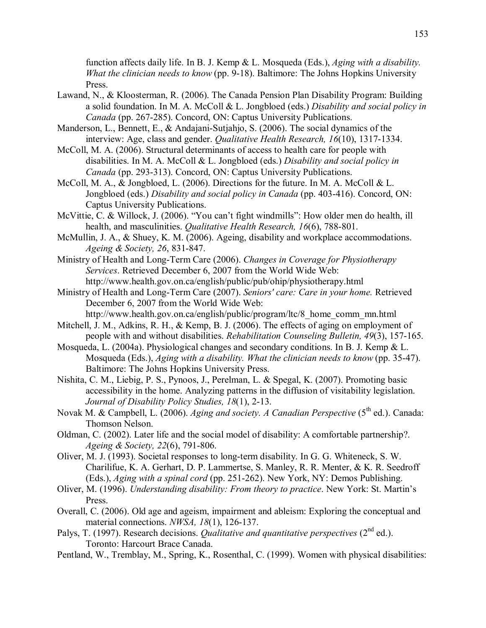function affects daily life. In B. J. Kemp & L. Mosqueda (Eds.), *Aging with a disability. What the clinician needs to know* (pp. 9-18). Baltimore: The Johns Hopkins University Press.

- Lawand, N., & Kloosterman, R. (2006). The Canada Pension Plan Disability Program: Building a solid foundation. In M. A. McColl & L. Jongbloed (eds.) *Disability and social policy in Canada* (pp. 267-285). Concord, ON: Captus University Publications.
- Manderson, L., Bennett, E., & Andajani-Sutjahjo, S. (2006). The social dynamics of the interview: Age, class and gender. *Qualitative Health Research, 16*(10), 1317-1334.
- McColl, M. A. (2006). Structural determinants of access to health care for people with disabilities. In M. A. McColl & L. Jongbloed (eds.) *Disability and social policy in Canada* (pp. 293-313). Concord, ON: Captus University Publications.
- McColl, M. A., & Jongbloed, L. (2006). Directions for the future. In M. A. McColl & L. Jongbloed (eds.) *Disability and social policy in Canada* (pp. 403-416). Concord, ON: Captus University Publications.
- McVittie, C. & Willock, J. (2006). "You can't fight windmills": How older men do health, ill health, and masculinities. *Qualitative Health Research, 16*(6), 788-801.
- McMullin, J. A., & Shuey, K. M. (2006). Ageing, disability and workplace accommodations. *Ageing & Society, 26*, 831-847.
- Ministry of Health and Long-Term Care (2006). *Changes in Coverage for Physiotherapy Services*. Retrieved December 6, 2007 from the World Wide Web: http://www.health.gov.on.ca/english/public/pub/ohip/physiotherapy.html
- Ministry of Health and Long-Term Care (2007). *Seniors' care: Care in your home.* Retrieved December 6, 2007 from the World Wide Web:

http://www.health.gov.on.ca/english/public/program/ltc/8\_home\_comm\_mn.html

- Mitchell, J. M., Adkins, R. H., & Kemp, B. J. (2006). The effects of aging on employment of people with and without disabilities. *Rehabilitation Counseling Bulletin, 49*(3), 157-165.
- Mosqueda, L. (2004a). Physiological changes and secondary conditions. In B. J. Kemp & L. Mosqueda (Eds.), *Aging with a disability. What the clinician needs to know* (pp. 35-47). Baltimore: The Johns Hopkins University Press.
- Nishita, C. M., Liebig, P. S., Pynoos, J., Perelman, L. & Spegal, K. (2007). Promoting basic accessibility in the home. Analyzing patterns in the diffusion of visitability legislation. *Journal of Disability Policy Studies, 18*(1), 2-13.
- Novak M. & Campbell, L. (2006). *Aging and society. A Canadian Perspective* (5<sup>th</sup> ed.). Canada: Thomson Nelson.
- Oldman, C. (2002). Later life and the social model of disability: A comfortable partnership?. *Ageing & Society, 22*(6), 791-806.
- Oliver, M. J. (1993). Societal responses to long-term disability. In G. G. Whiteneck, S. W. Charilifue, K. A. Gerhart, D. P. Lammertse, S. Manley, R. R. Menter, & K. R. Seedroff (Eds.), *Aging with a spinal cord* (pp. 251-262). New York, NY: Demos Publishing.
- Oliver, M. (1996). *Understanding disability: From theory to practice*. New York: St. Martin's Press.
- Overall, C. (2006). Old age and ageism, impairment and ableism: Exploring the conceptual and material connections. *NWSA, 18*(1), 126-137.
- Palys, T. (1997). Research decisions. *Qualitative and quantitative perspectives* (2<sup>nd</sup> ed.). Toronto: Harcourt Brace Canada.
- Pentland, W., Tremblay, M., Spring, K., Rosenthal, C. (1999). Women with physical disabilities: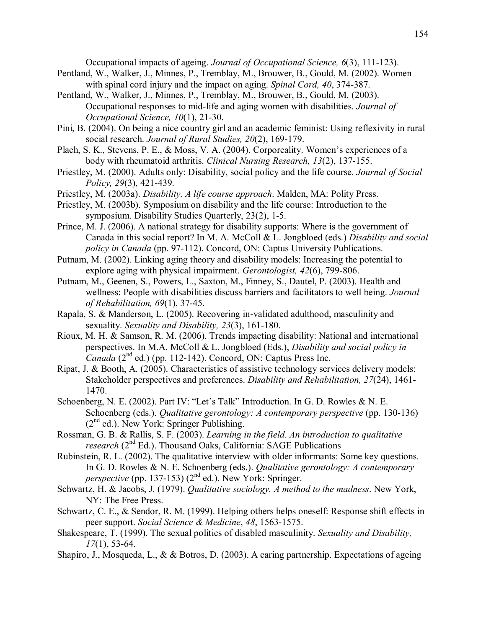Occupational impacts of ageing. *Journal of Occupational Science, 6*(3), 111-123).

- Pentland, W., Walker, J., Minnes, P., Tremblay, M., Brouwer, B., Gould, M. (2002). Women with spinal cord injury and the impact on aging. *Spinal Cord, 40*, 374-387.
- Pentland, W., Walker, J., Minnes, P., Tremblay, M., Brouwer, B., Gould, M. (2003). Occupational responses to mid-life and aging women with disabilities. *Journal of Occupational Science, 10*(1), 21-30.
- Pini, B. (2004). On being a nice country girl and an academic feminist: Using reflexivity in rural social research. *Journal of Rural Studies, 20*(2), 169-179.
- Plach, S. K., Stevens, P. E., & Moss, V. A. (2004). Corporeality. Women's experiences of a body with rheumatoid arthritis. *Clinical Nursing Research, 13*(2), 137-155.
- Priestley, M. (2000). Adults only: Disability, social policy and the life course. *Journal of Social Policy, 29*(3), 421-439.
- Priestley, M. (2003a). *Disability. A life course approach*. Malden, MA: Polity Press.
- Priestley, M. (2003b). Symposium on disability and the life course: Introduction to the symposium. Disability Studies Quarterly, 23(2), 1-5.
- Prince, M. J. (2006). A national strategy for disability supports: Where is the government of Canada in this social report? In M. A. McColl & L. Jongbloed (eds.) *Disability and social policy in Canada* (pp. 97-112). Concord, ON: Captus University Publications.
- Putnam, M. (2002). Linking aging theory and disability models: Increasing the potential to explore aging with physical impairment. *Gerontologist, 42*(6), 799-806.
- Putnam, M., Geenen, S., Powers, L., Saxton, M., Finney, S., Dautel, P. (2003). Health and wellness: People with disabilities discuss barriers and facilitators to well being. *Journal of Rehabilitation, 69*(1), 37-45.
- Rapala, S. & Manderson, L. (2005). Recovering in-validated adulthood, masculinity and sexuality. *Sexuality and Disability, 23*(3), 161-180.
- Rioux, M. H. & Samson, R. M. (2006). Trends impacting disability: National and international perspectives. In M.A. McColl & L. Jongbloed (Eds.), *Disability and social policy in Canada*  $(2^{nd}$  ed.) (pp. 112-142). Concord, ON: Captus Press Inc.
- Ripat, J. & Booth, A. (2005). Characteristics of assistive technology services delivery models: Stakeholder perspectives and preferences. *Disability and Rehabilitation, 27*(24), 1461- 1470.
- Schoenberg, N. E. (2002). Part IV: "Let's Talk" Introduction. In G. D. Rowles & N. E. Schoenberg (eds.). *Qualitative gerontology: A contemporary perspective* (pp. 130-136) (2nd ed.). New York: Springer Publishing.
- Rossman, G. B. & Rallis, S. F. (2003). *Learning in the field. An introduction to qualitative research* (2<sup>nd</sup> Ed.). Thousand Oaks, California: SAGE Publications
- Rubinstein, R. L. (2002). The qualitative interview with older informants: Some key questions. In G. D. Rowles & N. E. Schoenberg (eds.). *Qualitative gerontology: A contemporary perspective* (pp. 137-153)  $(2^{nd}$  ed.). New York: Springer.
- Schwartz, H. & Jacobs, J. (1979). *Qualitative sociology. A method to the madness*. New York, NY: The Free Press.
- Schwartz, C. E., & Sendor, R. M. (1999). Helping others helps oneself: Response shift effects in peer support. *Social Science & Medicine*, *48*, 1563-1575.
- Shakespeare, T. (1999). The sexual politics of disabled masculinity. *Sexuality and Disability, 17*(1), 53-64.
- Shapiro, J., Mosqueda, L., & & Botros, D. (2003). A caring partnership. Expectations of ageing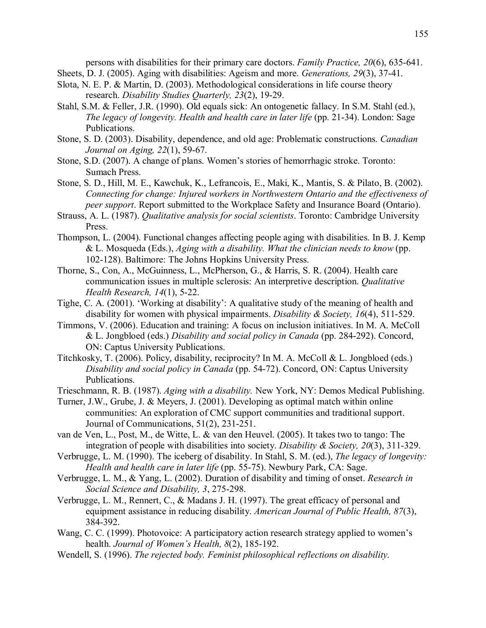persons with disabilities for their primary care doctors. *Family Practice, 20*(6), 635-641. Sheets, D. J. (2005). Aging with disabilities: Ageism and more. *Generations, 29*(3), 37-41.

- Slota, N. E. P. & Martin, D. (2003). Methodological considerations in life course theory research. *Disability Studies Quarterly, 23*(2), 19-29.
- Stahl, S.M. & Feller, J.R. (1990). Old equals sick: An ontogenetic fallacy. In S.M. Stahl (ed.), *The legacy of longevity. Health and health care in later life* (pp. 21-34). London: Sage Publications.
- Stone, S. D. (2003). Disability, dependence, and old age: Problematic constructions. *Canadian Journal on Aging, 22*(1), 59-67.
- Stone, S.D. (2007). A change of plans. Women's stories of hemorrhagic stroke. Toronto: Sumach Press.
- Stone, S. D., Hill, M. E., Kawchuk, K., Lefrancois, E., Maki, K., Mantis, S. & Pilato, B. (2002). *Connecting for change: Injured workers in Northwestern Ontario and the effectiveness of peer support*. Report submitted to the Workplace Safety and Insurance Board (Ontario).
- Strauss, A. L. (1987). *Qualitative analysis for social scientists*. Toronto: Cambridge University Press.
- Thompson, L. (2004). Functional changes affecting people aging with disabilities. In B. J. Kemp & L. Mosqueda (Eds.), *Aging with a disability. What the clinician needs to know* (pp. 102-128). Baltimore: The Johns Hopkins University Press.
- Thorne, S., Con, A., McGuinness, L., McPherson, G., & Harris, S. R. (2004). Health care communication issues in multiple sclerosis: An interpretive description. *Qualitative Health Research, 14*(1), 5-22.
- Tighe, C. A. (2001). 'Working at disability': A qualitative study of the meaning of health and disability for women with physical impairments. *Disability & Society, 16*(4), 511-529.
- Timmons, V. (2006). Education and training: A focus on inclusion initiatives. In M. A. McColl & L. Jongbloed (eds.) *Disability and social policy in Canada* (pp. 284-292). Concord, ON: Captus University Publications.
- Titchkosky, T. (2006). Policy, disability, reciprocity? In M. A. McColl & L. Jongbloed (eds.) *Disability and social policy in Canada* (pp. 54-72). Concord, ON: Captus University Publications.
- Trieschmann, R. B. (1987). *Aging with a disability.* New York, NY: Demos Medical Publishing.
- Turner, J.W., Grube, J. & Meyers, J. (2001). Developing as optimal match within online communities: An exploration of CMC support communities and traditional support. Journal of Communications, 51(2), 231-251.
- van de Ven, L., Post, M., de Witte, L. & van den Heuvel. (2005). It takes two to tango: The integration of people with disabilities into society. *Disability & Society, 20*(3), 311-329.
- Verbrugge, L. M. (1990). The iceberg of disability. In Stahl, S. M. (ed.), *The legacy of longevity: Health and health care in later life* (pp. 55-75). Newbury Park, CA: Sage.
- Verbrugge, L. M., & Yang, L. (2002). Duration of disability and timing of onset. *Research in Social Science and Disability, 3*, 275-298.
- Verbrugge, L. M., Rennert, C., & Madans J. H. (1997). The great efficacy of personal and equipment assistance in reducing disability. *American Journal of Public Health, 87*(3), 384-392.
- Wang, C. C. (1999). Photovoice: A participatory action research strategy applied to women's health. *Journal of Women's Health*, 8(2), 185-192.
- Wendell, S. (1996). *The rejected body. Feminist philosophical reflections on disability*.